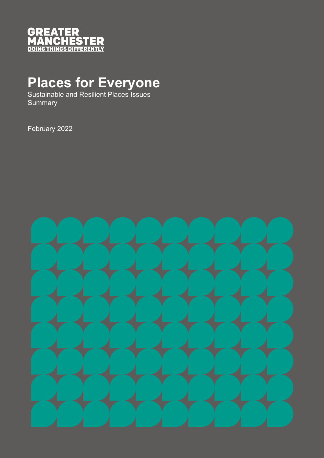

# **Places for Everyone**

Sustainable and Resilient Places Issues **Summary** 

February 2022

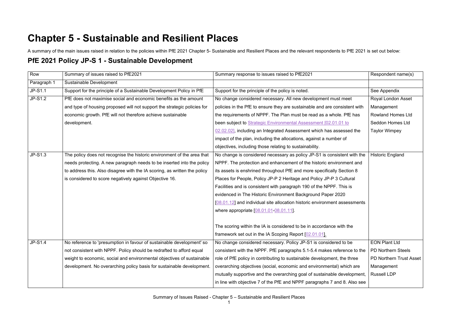## **Chapter 5 - Sustainable and Resilient Places**

A summary of the main issues raised in relation to the policies within PfE 2021 Chapter 5- Sustainable and Resilient Places and the relevant respondents to PfE 2021 is set out below:

#### **PfE 2021 Policy JP-S 1 - Sustainable Development**

| Row         | Summary of issues raised to PfE2021                                       | Summary response to issues raised to PfE2021                               | Respondent name(s)        |
|-------------|---------------------------------------------------------------------------|----------------------------------------------------------------------------|---------------------------|
| Paragraph 1 | Sustainable Development                                                   |                                                                            |                           |
| JP-S1.1     | Support for the principle of a Sustainable Development Policy in PfE      | Support for the principle of the policy is noted.                          | See Appendix              |
| $JP-S1.2$   | PfE does not maximise social and economic benefits as the amount          | No change considered necessary. All new development must meet              | Royal London Asset        |
|             | and type of housing proposed will not support the strategic policies for  | policies in the PfE to ensure they are sustainable and are consistent with | Management                |
|             | economic growth. PfE will not therefore achieve sustainable               | the requirements of NPPF. The Plan must be read as a whole. PfE has        | <b>Rowland Homes Ltd</b>  |
|             | development.                                                              | been subject to Strategic Environmental Assessment [02.01.01 to            | Seddon Homes Ltd          |
|             |                                                                           | 02.02.02], including an Integrated Assessment which has assessed the       | <b>Taylor Wimpey</b>      |
|             |                                                                           | impact of the plan, including the allocations, against a number of         |                           |
|             |                                                                           | objectives, including those relating to sustainability.                    |                           |
| JP-S1.3     | The policy does not recognise the historic environment of the area that   | No change is considered necessary as policy JP-S1 is consistent with the   | <b>Historic England</b>   |
|             | needs protecting. A new paragraph needs to be inserted into the policy    | NPPF. The protection and enhancement of the historic environment and       |                           |
|             | to address this. Also disagree with the IA scoring, as written the policy | its assets is enshrined throughout PfE and more specifically Section 8     |                           |
|             | is considered to score negatively against Objective 16.                   | Places for People, Policy JP-P 2 Heritage and Policy JP-P 3 Cultural       |                           |
|             |                                                                           | Facilities and is consistent with paragraph 190 of the NPPF. This is       |                           |
|             |                                                                           | evidenced in The Historic Environment Background Paper 2020                |                           |
|             |                                                                           | [08.01.12] and individual site allocation historic environment assessments |                           |
|             |                                                                           | where appropriate [08.01.01-08.01.11].                                     |                           |
|             |                                                                           |                                                                            |                           |
|             |                                                                           | The scoring within the IA is considered to be in accordance with the       |                           |
|             |                                                                           | framework set out in the IA Scoping Report [02.01.01].                     |                           |
| JP-S1.4     | No reference to 'presumption in favour of sustainable development' so     | No change considered necessary. Policy JP-S1 is considered to be           | <b>EON Plant Ltd</b>      |
|             | not consistent with NPPF. Policy should be redrafted to afford equal      | consistent with the NPPF. PfE paragraphs 5.1-5.4 makes reference to the    | <b>PD Northern Steels</b> |
|             | weight to economic, social and environmental objectives of sustainable    | role of PfE policy in contributing to sustainable development, the three   | PD Northern Trust Asset   |
|             | development. No overarching policy basis for sustainable development.     | overarching objectives (social, economic and environmental) which are      | Management                |
|             |                                                                           | mutually supportive and the overarching goal of sustainable development,   | <b>Russell LDP</b>        |
|             |                                                                           | in line with objective 7 of the PfE and NPPF paragraphs 7 and 8. Also see  |                           |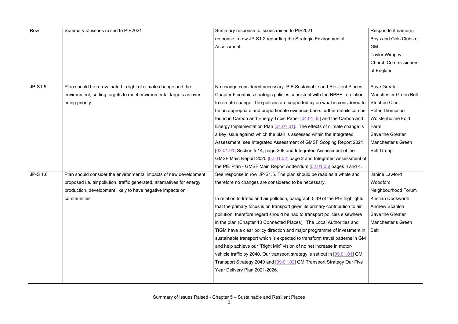| Row      | Summary of issues raised to PfE2021                                     | Summary response to issues raised to PfE2021                                   | Respondent name(s)          |
|----------|-------------------------------------------------------------------------|--------------------------------------------------------------------------------|-----------------------------|
|          |                                                                         | response in row JP-S1.2 regarding the Strategic Environmental                  | Boys and Girls Clubs of     |
|          |                                                                         | Assessment.                                                                    | <b>GM</b>                   |
|          |                                                                         |                                                                                | <b>Taylor Wimpey</b>        |
|          |                                                                         |                                                                                | <b>Church Commissioners</b> |
|          |                                                                         |                                                                                | of England                  |
|          |                                                                         |                                                                                |                             |
| JP-S1.5  | Plan should be re-evaluated in light of climate change and the          | No change considered necessary. PfE Sustainable and Resilient Places           | <b>Save Greater</b>         |
|          | environment, setting targets to meet environmental targets as over-     | Chapter 5 contains strategic policies consistent with the NPPF in relation     | Manchester Green Belt       |
|          | riding priority.                                                        | to climate change. The policies are supported by an what is considered to      | <b>Stephen Cluer</b>        |
|          |                                                                         | be an appropriate and proportionate evidence base: further details can be      | Peter Thompson              |
|          |                                                                         | found in Carbon and Energy Topic Paper [04.01.05] and the Carbon and           | <b>Wolstenholme Fold</b>    |
|          |                                                                         | Energy Implementation Plan [04.01.01]. The effects of climate change is        | Farm                        |
|          |                                                                         | a key issue against which the plan is assessed within the Integrated           | Save the Greater            |
|          |                                                                         | Assessment; see Integrated Assessment of GMSF Scoping Report 2021              | Manchester's Green          |
|          |                                                                         | [02.01.01] Section 5.14, page 208 and Integrated Assessment of the             | <b>Belt Group</b>           |
|          |                                                                         | GMSF Main Report 2020 [02.01.02] page 2 and Integrated Assessment of           |                             |
|          |                                                                         | the PfE Plan - GMSF Main Report Addendum [02.01.05] pages 3 and 4.             |                             |
| JP-S 1.6 | Plan should consider the environmental impacts of new development       | See response in row JP-S1.5. The plan should be read as a whole and            | Janine Lawford              |
|          | proposed i.e. air pollution, traffic generated, alternatives for energy | therefore no changes are considered to be necessary.                           | Woodford                    |
|          | production, development likely to have negative impacts on              |                                                                                | Neighbourhood Forum         |
|          | communities                                                             | In relation to traffic and air pollution, paragraph 5.49 of the PfE highlights | <b>Kristian Dodsworth</b>   |
|          |                                                                         | that the primary focus is on transport given its primary contribution to air   | <b>Andrew Scanlon</b>       |
|          |                                                                         | pollution, therefore regard should be had to transport policies elsewhere      | Save the Greater            |
|          |                                                                         | in the plan (Chapter 10 Connected Places). The Local Authorities and           | Manchester's Green          |
|          |                                                                         | TfGM have a clear policy direction and major programme of investment in        | <b>Belt</b>                 |
|          |                                                                         | sustainable transport which is expected to transform travel patterns in GM     |                             |
|          |                                                                         | and help achieve our "Right Mix" vision of no net increase in motor-           |                             |
|          |                                                                         | vehicle traffic by 2040. Our transport strategy is set out in [09.01.01] GM    |                             |
|          |                                                                         | Transport Strategy 2040 and [09.01.02] GM Transport Strategy Our Five          |                             |
|          |                                                                         | Year Delivery Plan 2021-2026.                                                  |                             |
|          |                                                                         |                                                                                |                             |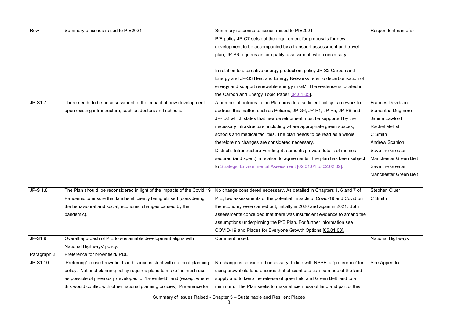| Row             | Summary of issues raised to PfE2021                                        | Summary response to issues raised to PfE2021                              | Respondent name(s)      |
|-----------------|----------------------------------------------------------------------------|---------------------------------------------------------------------------|-------------------------|
|                 |                                                                            | PfE policy JP-C7 sets out the requirement for proposals for new           |                         |
|                 |                                                                            | development to be accompanied by a transport assessment and travel        |                         |
|                 |                                                                            | plan; JP-S6 requires an air quality assessment, when necessary.           |                         |
|                 |                                                                            |                                                                           |                         |
|                 |                                                                            | In relation to alternative energy production; policy JP-S2 Carbon and     |                         |
|                 |                                                                            | Energy and JP-S3 Heat and Energy Networks refer to decarbonisation of     |                         |
|                 |                                                                            | energy and support renewable energy in GM. The evidence is located in     |                         |
|                 |                                                                            | the Carbon and Energy Topic Paper [04.01.05].                             |                         |
| <b>JP-S1.7</b>  | There needs to be an assessment of the impact of new development           | A number of policies in the Plan provide a sufficient policy framework to | <b>Frances Davidson</b> |
|                 | upon existing infrastructure, such as doctors and schools.                 | address this matter, such as Policies, JP-G6, JP-P1, JP-P5, JP-P6 and     | Samantha Dugmore        |
|                 |                                                                            | JP- D2 which states that new development must be supported by the         | Janine Lawford          |
|                 |                                                                            | necessary infrastructure, including where appropriate green spaces,       | <b>Rachel Mellish</b>   |
|                 |                                                                            | schools and medical facilities. The plan needs to be read as a whole,     | C Smith                 |
|                 |                                                                            | therefore no changes are considered necessary.                            | <b>Andrew Scanlon</b>   |
|                 |                                                                            | District's Infrastructure Funding Statements provide details of monies    | Save the Greater        |
|                 |                                                                            | secured (and spent) in relation to agreements. The plan has been subject  | Manchester Green Belt   |
|                 |                                                                            | to Strategic Environmental Assessment [02.01.01 to 02.02.02]              | Save the Greater        |
|                 |                                                                            |                                                                           | Manchester Green Belt   |
|                 |                                                                            |                                                                           |                         |
| <b>JP-S 1.8</b> | The Plan should be reconsidered in light of the impacts of the Covid 19    | No change considered necessary. As detailed in Chapters 1, 6 and 7 of     | <b>Stephen Cluer</b>    |
|                 | Pandemic to ensure that land is efficiently being utilised (considering    | PfE, two assessments of the potential impacts of Covid-19 and Covid on    | C Smith                 |
|                 | the behavioural and social, economic changes caused by the                 | the economy were carried out, initially in 2020 and again in 2021. Both   |                         |
|                 | pandemic).                                                                 | assessments concluded that there was insufficient evidence to amend the   |                         |
|                 |                                                                            | assumptions underpinning the PfE Plan. For further information see        |                         |
|                 |                                                                            | COVID-19 and Places for Everyone Growth Options [05.01.03].               |                         |
| JP-S1.9         | Overall approach of PfE to sustainable development aligns with             | Comment noted.                                                            | National Highways       |
|                 | National Highways' policy.                                                 |                                                                           |                         |
| Paragraph 2     | Preference for brownfield/ PDL                                             |                                                                           |                         |
| JP-S1.10        | 'Preferring' to use brownfield land is inconsistent with national planning | No change is considered necessary. In line with NPPF, a 'preference' for  | See Appendix            |
|                 | policy. National planning policy requires plans to make 'as much use       | using brownfield land ensures that efficient use can be made of the land  |                         |
|                 | as possible of previously developed' or 'brownfield' land (except where    | supply and to keep the release of greenfield and Green Belt land to a     |                         |
|                 | this would conflict with other national planning policies). Preference for | minimum. The Plan seeks to make efficient use of land and part of this    |                         |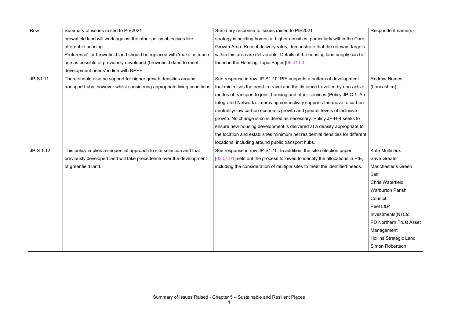| Row       | Summary of issues raised to PfE2021                                      | Summary response to issues raised to PfE2021                                 | Respondent name(s)            |
|-----------|--------------------------------------------------------------------------|------------------------------------------------------------------------------|-------------------------------|
|           | brownfield land will work against the other policy objectives like       | strategy is building homes at higher densities, particularly within the Core |                               |
|           | affordable housing.                                                      | Growth Area. Recent delivery rates, demonstrate that the relevant targets    |                               |
|           | Preference' for brownfield land should be replaced with 'make as much    | within this area are deliverable. Details of the housing land supply can be  |                               |
|           | use as possible of previously developed (brownfield) land to meet        | found in the Housing Topic Paper [06.01.03].                                 |                               |
|           | development needs' in line with NPPF.'                                   |                                                                              |                               |
| JP-S1.11  | There should also be support for higher growth densities around          | See response in row JP-S1.10. PfE supports a pattern of development          | <b>Redrow Homes</b>           |
|           | transport hubs, however whilst considering appropriate living conditions | that minimises the need to travel and the distance travelled by non-active   | (Lancashire)                  |
|           |                                                                          | modes of transport to jobs, housing and other services (Policy JP-C 1: An    |                               |
|           |                                                                          | Integrated Network). Improving connectivity supports the move to carbon      |                               |
|           |                                                                          | neutrality/ low carbon economic growth and greater levels of inclusive       |                               |
|           |                                                                          | growth. No change is considered as necessary. Policy JP-H-4 seeks to         |                               |
|           |                                                                          | ensure new housing development is delivered at a density appropriate to      |                               |
|           |                                                                          | the location and establishes minimum net residential densities for different |                               |
|           |                                                                          | locations, including around public transport hubs.                           |                               |
| JP-S 1.12 | This policy implies a sequential approach to site selection and that     | See response in row JP-S1.10. In addition, the site selection paper          | Kate Mullineux                |
|           | previously developed land will take precedence over the development      | [03.04.01] sets out the process followed to identify the allocations in PfE, | <b>Save Greater</b>           |
|           | of greenfield land.                                                      | including the consideration of multiple sites to meet the identified needs.  | Manchester's Green            |
|           |                                                                          |                                                                              | <b>Belt</b>                   |
|           |                                                                          |                                                                              | <b>Chris Waterfield</b>       |
|           |                                                                          |                                                                              | <b>Warburton Parish</b>       |
|           |                                                                          |                                                                              | Council                       |
|           |                                                                          |                                                                              | Peel L&P                      |
|           |                                                                          |                                                                              | Investments(N) Ltd            |
|           |                                                                          |                                                                              | PD Northern Trust Asset       |
|           |                                                                          |                                                                              | Management                    |
|           |                                                                          |                                                                              | <b>Hollins Strategic Land</b> |
|           |                                                                          |                                                                              | Simon Robertson               |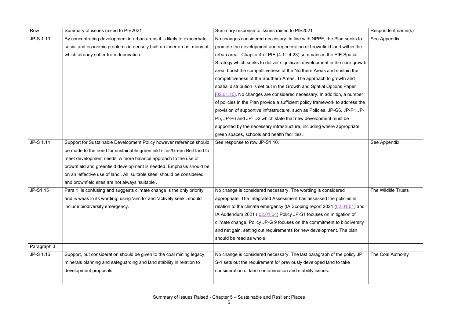| Row              | Summary of issues raised to PfE2021                                      | Summary response to issues raised to PfE2021                                 | Respondent name(s)  |
|------------------|--------------------------------------------------------------------------|------------------------------------------------------------------------------|---------------------|
| JP-S 1.13        | By concentrating development in urban areas it is likely to exacerbate   | No changes considered necessary. In line with NPPF, the Plan seeks to        | See Appendix        |
|                  | social and economic problems in densely built up inner areas, many of    | promote the development and regeneration of brownfield land within the       |                     |
|                  | which already suffer from deprivation.                                   | urban area. Chapter 4 of PfE (4.1 - 4.23) summarises the PfE Spatial         |                     |
|                  |                                                                          | Strategy which seeks to deliver significant development in the core growth   |                     |
|                  |                                                                          | area, boost the competitiveness of the Northern Areas and sustain the        |                     |
|                  |                                                                          | competitiveness of the Southern Areas. The approach to growth and            |                     |
|                  |                                                                          | spatial distribution is set out in the Growth and Spatial Options Paper      |                     |
|                  |                                                                          | [02.01.10]. No changes are considered necessary. In addition, a number       |                     |
|                  |                                                                          | of policies in the Plan provide a sufficient policy framework to address the |                     |
|                  |                                                                          | provision of supportive infrastructure, such as Policies, JP-G6, JP-P1 JP-   |                     |
|                  |                                                                          | P5, JP-P6 and JP- D2 which state that new development must be                |                     |
|                  |                                                                          | supported by the necessary infrastructure, including where appropriate       |                     |
|                  |                                                                          | green spaces, schools and health facilities.                                 |                     |
| <b>JP-S 1.14</b> | Support for Sustainable Development Policy however reference should      | See response to row JP-S1.10.                                                | See Appendix        |
|                  | be made to the need for sustainable greenfield sites/Green Belt land to  |                                                                              |                     |
|                  | meet development needs. A more balance approach to the use of            |                                                                              |                     |
|                  | brownfield and greenfield development is needed. Emphasis should be      |                                                                              |                     |
|                  | on an 'effective use of land'. All 'suitable sites' should be considered |                                                                              |                     |
|                  | and brownfield sites are not always 'suitable'.                          |                                                                              |                     |
| JP-S1.15         | Para 1 is confusing and suggests climate change is the only priority     | No change is considered necessary. The wording is considered                 | The Wildlife Trusts |
|                  | and is weak in its wording; using 'aim to' and 'actively seek'; should   | appropriate. The Integrated Assessment has assessed the policies in          |                     |
|                  | include biodiversity emergency.                                          | relation to the climate emergency (IA Scoping report 2021 (02.01.01) and     |                     |
|                  |                                                                          | IA Addendum 2021 (02.01.04) Policy JP-S1 focuses on mitigation of            |                     |
|                  |                                                                          | climate change, Policy JP-G 9 focuses on the commitment to biodiversity      |                     |
|                  |                                                                          | and net gain, setting out requirements for new development. The plan         |                     |
|                  |                                                                          | should be read as whole.                                                     |                     |
| Paragraph 3      |                                                                          |                                                                              |                     |
| JP-S 1.16        | Support, but consideration should be given to the coal mining legacy,    | No change is considered necessary. The last paragraph of the policy JP       | The Coal Authority  |
|                  | minerals planning and safeguarding and land stability in relation to     | S-1 sets out the requirement for previously developed land to take           |                     |
|                  | development proposals.                                                   | consideration of land contamination and stability issues.                    |                     |
|                  |                                                                          |                                                                              |                     |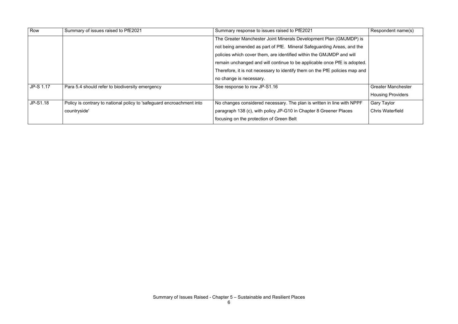| Row       | Summary of issues raised to PfE2021                                   | Summary response to issues raised to PfE2021                                | Respondent name(s)        |
|-----------|-----------------------------------------------------------------------|-----------------------------------------------------------------------------|---------------------------|
|           |                                                                       | The Greater Manchester Joint Minerals Development Plan (GMJMDP) is          |                           |
|           |                                                                       | not being amended as part of PfE. Mineral Safeguarding Areas, and the       |                           |
|           |                                                                       | policies which cover them, are identified within the GMJMDP and will        |                           |
|           |                                                                       | remain unchanged and will continue to be applicable once PfE is adopted.    |                           |
|           |                                                                       | Therefore, it is not necessary to identify them on the PfE policies map and |                           |
|           |                                                                       | no change is necessary.                                                     |                           |
| JP-S 1.17 | Para 5.4 should refer to biodiversity emergency                       | See response to row JP-S1.16                                                | <b>Greater Manchester</b> |
|           |                                                                       |                                                                             | <b>Housing Providers</b>  |
| JP-S1.18  | Policy is contrary to national policy to 'safeguard encroachment into | No changes considered necessary. The plan is written in line with NPPF      | <b>Gary Taylor</b>        |
|           | countryside'                                                          | paragraph 138 (c), with policy JP-G10 in Chapter 8 Greener Places           | <b>Chris Waterfield</b>   |
|           |                                                                       | focusing on the protection of Green Belt                                    |                           |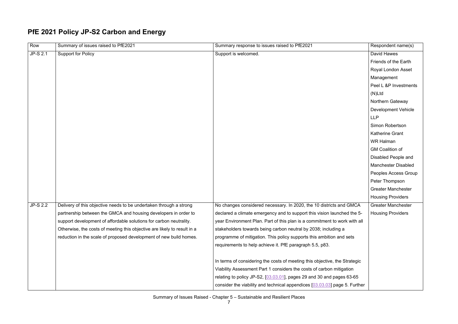### **PfE 2021 Policy JP-S2 Carbon and Energy**

| Row             | Summary of issues raised to PfE2021                                      | Summary response to issues raised to PfE2021                                 | Respondent name(s)         |
|-----------------|--------------------------------------------------------------------------|------------------------------------------------------------------------------|----------------------------|
| JP-S 2.1        | <b>Support for Policy</b>                                                | Support is welcomed.                                                         | David Hawes                |
|                 |                                                                          |                                                                              | Friends of the Earth       |
|                 |                                                                          |                                                                              | Royal London Asset         |
|                 |                                                                          |                                                                              | Management                 |
|                 |                                                                          |                                                                              | Peel L &P Investments      |
|                 |                                                                          |                                                                              | $(N)$ Ltd                  |
|                 |                                                                          |                                                                              | Northern Gateway           |
|                 |                                                                          |                                                                              | <b>Development Vehicle</b> |
|                 |                                                                          |                                                                              | <b>LLP</b>                 |
|                 |                                                                          |                                                                              | Simon Robertson            |
|                 |                                                                          |                                                                              | <b>Katherine Grant</b>     |
|                 |                                                                          |                                                                              | <b>WR Halman</b>           |
|                 |                                                                          |                                                                              | <b>GM Coalition of</b>     |
|                 |                                                                          |                                                                              | Disabled People and        |
|                 |                                                                          |                                                                              | <b>Manchester Disabled</b> |
|                 |                                                                          |                                                                              | Peoples Access Group       |
|                 |                                                                          |                                                                              | Peter Thompson             |
|                 |                                                                          |                                                                              | <b>Greater Manchester</b>  |
|                 |                                                                          |                                                                              | <b>Housing Providers</b>   |
| <b>JP-S 2.2</b> | Delivery of this objective needs to be undertaken through a strong       | No changes considered necessary. In 2020, the 10 districts and GMCA          | <b>Greater Manchester</b>  |
|                 | partnership between the GMCA and housing developers in order to          | declared a climate emergency and to support this vision launched the 5-      | <b>Housing Providers</b>   |
|                 | support development of affordable solutions for carbon neutrality.       | year Environment Plan. Part of this plan is a commitment to work with all    |                            |
|                 | Otherwise, the costs of meeting this objective are likely to result in a | stakeholders towards being carbon neutral by 2038; including a               |                            |
|                 | reduction in the scale of proposed development of new build homes.       | programme of mitigation. This policy supports this ambition and sets         |                            |
|                 |                                                                          | requirements to help achieve it. PfE paragraph 5.5, p83.                     |                            |
|                 |                                                                          |                                                                              |                            |
|                 |                                                                          | In terms of considering the costs of meeting this objective, the Strategic   |                            |
|                 |                                                                          | Viability Assessment Part 1 considers the costs of carbon mitigation         |                            |
|                 |                                                                          | relating to policy JP-S2, $[03.03.01]$ , pages 29 and 30 and pages 63-65     |                            |
|                 |                                                                          | consider the viability and technical appendices $[03.03.03]$ page 5. Further |                            |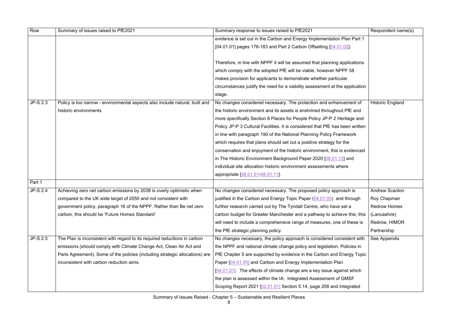| Row             | Summary of issues raised to PfE2021                                          | Summary response to issues raised to PfE2021                                  | Respondent name(s)      |
|-----------------|------------------------------------------------------------------------------|-------------------------------------------------------------------------------|-------------------------|
|                 |                                                                              | evidence is set out in the Carbon and Energy Implementation Plan Part 1       |                         |
|                 |                                                                              | [04.01.01] pages 176-183 and Part 2 Carbon Offsetting [04.01.02].             |                         |
|                 |                                                                              |                                                                               |                         |
|                 |                                                                              | Therefore, in line with NPPF it will be assumed that planning applications    |                         |
|                 |                                                                              | which comply with the adopted PfE will be viable, however NPPF 58             |                         |
|                 |                                                                              | makes provision for applicants to demonstrate whether particular              |                         |
|                 |                                                                              | circumstances justify the need for a viability assessment at the application  |                         |
|                 |                                                                              | stage.                                                                        |                         |
| <b>JP-S 2.3</b> | Policy is too narrow - environmental aspects also include natural, built and | No changes considered necessary. The protection and enhancement of            | <b>Historic England</b> |
|                 | historic environments                                                        | the historic environment and its assets is enshrined throughout PfE and       |                         |
|                 |                                                                              | more specifically Section 8 Places for People Policy JP-P 2 Heritage and      |                         |
|                 |                                                                              | Policy JP-P 3 Cultural Facilities. It is considered that PfE has been written |                         |
|                 |                                                                              | in line with paragraph 190 of the National Planning Policy Framework          |                         |
|                 |                                                                              | which requires that plans should set out a positive strategy for the          |                         |
|                 |                                                                              | conservation and enjoyment of the historic environment, this is evidenced     |                         |
|                 |                                                                              | in The Historic Environment Background Paper 2020 [08.01.12] and              |                         |
|                 |                                                                              | individual site allocation historic environment assessments where             |                         |
|                 |                                                                              | appropriate [08.01.01-08.01.11]                                               |                         |
| Part 1          |                                                                              |                                                                               |                         |
| <b>JP-S 2.4</b> | Achieving zero net carbon emissions by 2038 is overly optimistic when        | No changes considered necessary. The proposed policy approach is              | <b>Andrew Scanlon</b>   |
|                 | compared to the UK wide target of 2050 and not consistent with               | justified in the Carbon and Energy Topic Paper (04.01.05) and through         | Roy Chapman             |
|                 | government policy, paragraph 16 of the NPPF. Rather than Be net zero         | further research carried out by The Tyndall Centre, who have set a            | <b>Redrow Homes</b>     |
|                 | carbon, this should be 'Future Homes Standard'                               | carbon budget for Greater Manchester and a pathway to achieve this; this      | (Lancashire)            |
|                 |                                                                              | will need to include a comprehensive range of measures, one of these is       | Redrow, HIMOR           |
|                 |                                                                              | the PfE strategic planning policy.                                            | Partnership             |
| <b>JP-S 2.5</b> | The Plan is inconsistent with regard to its required reductions in carbon    | No changes necessary, the policy approach is considered consistent with       | See Appendix            |
|                 | emissions (should comply with Climate Change Act, Clean Air Act and          | the NPPF and national climate change policy and legislation. Policies in      |                         |
|                 | Paris Agreement). Some of the policies (including strategic allocations) are | PfE Chapter 5 are supported by evidence in the Carbon and Energy Topic        |                         |
|                 | inconsistent with carbon reduction aims.                                     | Paper [04.01.05] and Carbon and Energy Implementation Plan                    |                         |
|                 |                                                                              | [04.01.01]. The effects of climate change are a key issue against which       |                         |
|                 |                                                                              | the plan is assessed within the IA; Integrated Assessment of GMSF             |                         |
|                 |                                                                              | Scoping Report 2021 [02.01.01] Section 5.14, page 208 and Integrated          |                         |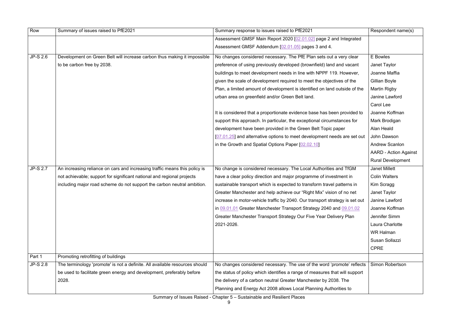| Row             | Summary of issues raised to PfE2021                                         | Summary response to issues raised to PfE2021                                 | Respondent name(s)         |
|-----------------|-----------------------------------------------------------------------------|------------------------------------------------------------------------------|----------------------------|
|                 |                                                                             | Assessment GMSF Main Report 2020 [02.01.02] page 2 and Integrated            |                            |
|                 |                                                                             | Assessment GMSF Addendum [02.01.05] pages 3 and 4.                           |                            |
| JP-S 2.6        | Development on Green Belt will increase carbon thus making it impossible    | No changes considered necessary. The PfE Plan sets out a very clear          | E Bowles                   |
|                 | to be carbon free by 2038.                                                  | preference of using previously developed (brownfield) land and vacant        | Janet Taylor               |
|                 |                                                                             | buildings to meet development needs in line with NPPF 119. However,          | Joanne Maffia              |
|                 |                                                                             | given the scale of development required to meet the objectives of the        | Gillian Boyle              |
|                 |                                                                             | Plan, a limited amount of development is identified on land outside of the   | Martin Rigby               |
|                 |                                                                             | urban area on greenfield and/or Green Belt land.                             | Janine Lawford             |
|                 |                                                                             |                                                                              | Carol Lee                  |
|                 |                                                                             | It is considered that a proportionate evidence base has been provided to     | Joanne Koffman             |
|                 |                                                                             | support this approach. In particular, the exceptional circumstances for      | Mark Brodigan              |
|                 |                                                                             | development have been provided in the Green Belt Topic paper                 | Alan Heald                 |
|                 |                                                                             | [07.01.25] and alternative options to meet development needs are set out     | John Dawson                |
|                 |                                                                             | in the Growth and Spatial Options Paper [02.02.10]                           | <b>Andrew Scanlon</b>      |
|                 |                                                                             |                                                                              | <b>AARD - Action Again</b> |
|                 |                                                                             |                                                                              | <b>Rural Development</b>   |
| <b>JP-S 2.7</b> | An increasing reliance on cars and increasing traffic means this policy is  | No change is considered necessary. The Local Authorities and TfGM            | <b>Janet Millett</b>       |
|                 | not achievable; support for significant national and regional projects      | have a clear policy direction and major programme of investment in           | <b>Colin Walters</b>       |
|                 | including major road scheme do not support the carbon neutral ambition.     | sustainable transport which is expected to transform travel patterns in      | Kim Scragg                 |
|                 |                                                                             | Greater Manchester and help achieve our "Right Mix" vision of no net         | Janet Taylor               |
|                 |                                                                             | increase in motor-vehicle traffic by 2040. Our transport strategy is set out | Janine Lawford             |
|                 |                                                                             | in 09.01.01 Greater Manchester Transport Strategy 2040 and 09.01.02          | Joanne Koffman             |
|                 |                                                                             | Greater Manchester Transport Strategy Our Five Year Delivery Plan            | Jennifer Simm              |
|                 |                                                                             | 2021-2026.                                                                   | Laura Charlotte            |
|                 |                                                                             |                                                                              | <b>WR Halman</b>           |
|                 |                                                                             |                                                                              | Susan Sollazzi             |
|                 |                                                                             |                                                                              | <b>CPRE</b>                |
| Part 1          | Promoting retrofitting of buildings                                         |                                                                              |                            |
| <b>JP-S 2.8</b> | The terminology 'promote' is not a definite. All available resources should | No changes considered necessary. The use of the word 'promote' reflects      | Simon Robertson            |
|                 | be used to facilitate green energy and development, preferably before       | the status of policy which identifies a range of measures that will support  |                            |
|                 | 2028.                                                                       | the delivery of a carbon neutral Greater Manchester by 2038. The             |                            |
|                 |                                                                             | Planning and Energy Act 2008 allows Local Planning Authorities to            |                            |

|                  | Respondent name(s)           |
|------------------|------------------------------|
| egrated          |                              |
|                  |                              |
| clear            | <b>E</b> Bowles              |
| /acant           | Janet Taylor                 |
| wever,           | Joanne Maffia                |
| of the           | Gillian Boyle                |
| de of the        | <b>Martin Rigby</b>          |
|                  | Janine Lawford               |
|                  | <b>Carol Lee</b>             |
| vided to         | Joanne Koffman               |
| es for           | Mark Brodigan                |
|                  | <b>Alan Heald</b>            |
| re set out       | John Dawson                  |
|                  | <b>Andrew Scanlon</b>        |
|                  | <b>AARD - Action Against</b> |
|                  | <b>Rural Development</b>     |
| <b>FfGM</b>      | <b>Janet Millett</b>         |
| t in             | <b>Colin Walters</b>         |
| rns in           | Kim Scragg                   |
| o net            | Janet Taylor                 |
| is set out       | Janine Lawford               |
| <u>0.01.02 (</u> | Joanne Koffman               |
| ⊃lan             | Jennifer Simm                |
|                  | Laura Charlotte              |
|                  | <b>WR Halman</b>             |
|                  | Susan Sollazzi               |
|                  | <b>CPRE</b>                  |
|                  |                              |
| e' reflects      | <b>Simon Robertson</b>       |
| support          |                              |
| ıе               |                              |
| to               |                              |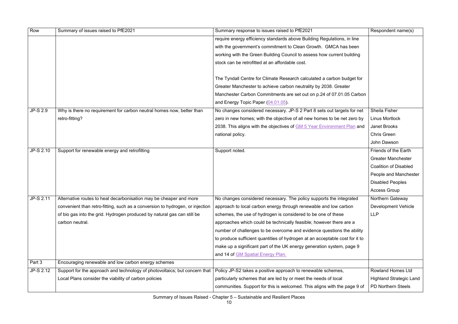| Row             | Summary of issues raised to PfE2021                                           | Summary response to issues raised to PfE2021                                   | Respondent name(s)             |
|-----------------|-------------------------------------------------------------------------------|--------------------------------------------------------------------------------|--------------------------------|
|                 |                                                                               | require energy efficiency standards above Building Regulations, in line        |                                |
|                 |                                                                               | with the government's commitment to Clean Growth. GMCA has been                |                                |
|                 |                                                                               | working with the Green Building Council to assess how current building         |                                |
|                 |                                                                               | stock can be retrofitted at an affordable cost.                                |                                |
|                 |                                                                               |                                                                                |                                |
|                 |                                                                               | The Tyndall Centre for Climate Research calculated a carbon budget for         |                                |
|                 |                                                                               | Greater Manchester to achieve carbon neutrality by 2038. Greater               |                                |
|                 |                                                                               | Manchester Carbon Commitments are set out on p.24 of 07.01.05 Carbon           |                                |
|                 |                                                                               | and Energy Topic Paper (04.01.05).                                             |                                |
| <b>JP-S 2.9</b> | Why is there no requirement for carbon neutral homes now, better than         | No changes considered necessary. JP-S 2 Part 8 sets out targets for net        | <b>Sheila Fisher</b>           |
|                 | retro-fitting?                                                                | zero in new homes; with the objective of all new homes to be net zero by       | <b>Linus Mortlock</b>          |
|                 |                                                                               | 2038. This aligns with the objectives of <b>GM 5 Year Environment Plan</b> and | <b>Janet Brooks</b>            |
|                 |                                                                               | national policy.                                                               | <b>Chris Green</b>             |
|                 |                                                                               |                                                                                | John Dawson                    |
| JP-S 2.10       | Support for renewable energy and retrofitting                                 | Support noted.                                                                 | Friends of the Earth           |
|                 |                                                                               |                                                                                | <b>Greater Manchester</b>      |
|                 |                                                                               |                                                                                | <b>Coalition of Disabled</b>   |
|                 |                                                                               |                                                                                | People and Manchester          |
|                 |                                                                               |                                                                                | <b>Disabled Peoples</b>        |
|                 |                                                                               |                                                                                | <b>Access Group</b>            |
| JP-S 2.11       | Alternative routes to heat decarbonisation may be cheaper and more            | No changes considered necessary. The policy supports the integrated            | Northern Gateway               |
|                 | convenient than retro-fitting, such as a conversion to hydrogen, or injection | approach to local carbon energy through renewable and low carbon               | <b>Development Vehicle</b>     |
|                 | of bio gas into the grid. Hydrogen produced by natural gas can still be       | schemes, the use of hydrogen is considered to be one of these                  | <b>LLP</b>                     |
|                 | carbon neutral.                                                               | approaches which could be technically feasible; however there are a            |                                |
|                 |                                                                               | number of challenges to be overcome and evidence questions the ability         |                                |
|                 |                                                                               | to produce sufficient quantities of hydrogen at an acceptable cost for it to   |                                |
|                 |                                                                               | make up a significant part of the UK energy generation system, page 9          |                                |
|                 |                                                                               | and 14 of GM Spatial Energy Plan.                                              |                                |
| Part 3          | Encouraging renewable and low carbon energy schemes                           |                                                                                |                                |
| JP-S 2.12       | Support for the approach and technology of photovoltaics; but concern that    | Policy JP-S2 takes a positive approach to renewable schemes,                   | <b>Rowland Homes Ltd</b>       |
|                 | Local Plans consider the viability of carbon policies                         | particularly schemes that are led by or meet the needs of local                | <b>Highland Strategic Land</b> |
|                 |                                                                               | communities. Support for this is welcomed. This aligns with the page 9 of      | <b>PD Northern Steels</b>      |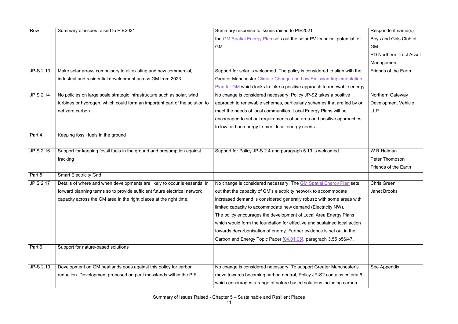| Row              | Summary of issues raised to PfE2021                                         | Summary response to issues raised to PfE2021                              | Respondent name(s)             |
|------------------|-----------------------------------------------------------------------------|---------------------------------------------------------------------------|--------------------------------|
|                  |                                                                             | the GM Spatial Energy Plan sets out the solar PV technical potential for  | Boys and Girls Club of         |
|                  |                                                                             | GM.                                                                       | <b>GM</b>                      |
|                  |                                                                             |                                                                           | <b>PD Northern Trust Asset</b> |
|                  |                                                                             |                                                                           | Management                     |
| JP-S 2.13        | Make solar arrays compulsory to all existing and new commercial,            | Support for solar is welcomed. The policy is considered to align with the | Friends of the Earth           |
|                  | industrial and residential development across GM from 2023.                 | Greater Manchester Climate Change and Low Emission Implementation         |                                |
|                  |                                                                             | Plan for GM which looks to take a positive approach to renewable energy.  |                                |
| <b>JP S 2.14</b> | No policies on large scale strategic infrastructure such as solar, wind     | No change is considered necessary. Policy JP-S2 takes a positive          | Northern Gateway               |
|                  | turbines or hydrogen, which could form an important part of the solution to | approach to renewable schemes, particularly schemes that are led by or    | <b>Development Vehicle</b>     |
|                  | net zero carbon.                                                            | meet the needs of local communities. Local Energy Plans will be           | <b>LLP</b>                     |
|                  |                                                                             | encouraged to set out requirements of an area and positive approaches     |                                |
|                  |                                                                             | to low carbon energy to meet local energy needs.                          |                                |
| Part 4           | Keeping fossil fuels in the ground                                          |                                                                           |                                |
|                  |                                                                             |                                                                           |                                |
| JP S 2.16        | Support for keeping fossil fuels in the ground and presumption against      | Support for Policy JP-S 2.4 and paragraph 5.19 is welcomed.               | W R Halman                     |
|                  | fracking                                                                    |                                                                           | Peter Thompson                 |
|                  |                                                                             |                                                                           | Friends of the Earth           |
| Part 5           | <b>Smart Electricity Grid</b>                                               |                                                                           |                                |
| JP S 2.17        | Details of where and when developments are likely to occur is essential in  | No change is considered necessary. The <b>GM Spatial Energy Plan</b> sets | <b>Chris Green</b>             |
|                  | forward planning terms so to provide sufficient future electrical network   | out that the capacity of GM's electricity network to accommodate          | <b>Janet Brooks</b>            |
|                  | capacity across the GM area in the right places at the right time.          | increased demand is considered generally robust; with some areas with     |                                |
|                  |                                                                             | limited capacity to accommodate new demand (Electricity NW).              |                                |
|                  |                                                                             | The policy encourages the development of Local Area Energy Plans          |                                |
|                  |                                                                             | which would form the foundation for effective and sustained local action  |                                |
|                  |                                                                             | towards decarbonisation of energy. Further evidence is set out in the     |                                |
|                  |                                                                             | Carbon and Energy Topic Paper [04.01.05], paragraph 3.55 p56/47.          |                                |
| Part 6           | Support for nature-based solutions                                          |                                                                           |                                |
|                  |                                                                             |                                                                           |                                |
| JP-S 2.19        | Development on GM peatlands goes against this policy for carbon             | No change is considered necessary. To support Greater Manchester's        | See Appendix                   |
|                  | reduction. Development proposed on peat mosslands within the PfE            | move towards becoming carbon neutral, Policy JP-S2 contains criteria 6,   |                                |
|                  |                                                                             | which encourages a range of nature based solutions including carbon       |                                |
|                  |                                                                             |                                                                           |                                |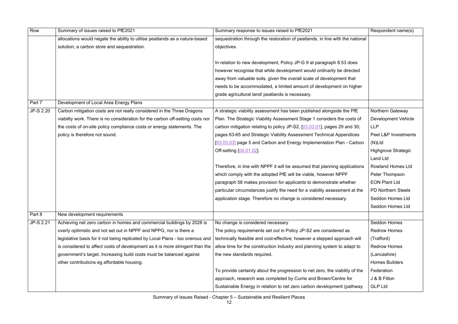| Row       | Summary of issues raised to PfE2021                                            | Summary response to issues raised to PfE2021                                  | Respondent name(s)         |
|-----------|--------------------------------------------------------------------------------|-------------------------------------------------------------------------------|----------------------------|
|           | allocations would negate the ability to utilise peatlands as a nature-based    | sequestration through the restoration of peatlands, in line with the national |                            |
|           | solution; a carbon store and sequestration.                                    | objectives.                                                                   |                            |
|           |                                                                                |                                                                               |                            |
|           |                                                                                | In relation to new development, Policy JP-G 9 at paragraph 8.53 does          |                            |
|           |                                                                                | however recognise that while development would ordinarily be directed         |                            |
|           |                                                                                | away from valuable soils, given the overall scale of development that         |                            |
|           |                                                                                | needs to be accommodated, a limited amount of development on higher           |                            |
|           |                                                                                | grade agricultural land/ peatlands is necessary.                              |                            |
| Part 7    | Development of Local Area Energy Plans                                         |                                                                               |                            |
| JP-S 2.20 | Carbon mitigation costs are not really considered in the Three Dragons         | A strategic viability assessment has been published alongside the PfE         | <b>Northern Gateway</b>    |
|           | viability work. There is no consideration for the carbon off-setting costs nor | Plan. The Strategic Viability Assessment Stage 1 considers the costs of       | <b>Development Vehicle</b> |
|           | the costs of on-site policy compliance costs or energy statements. The         | carbon mitigation relating to policy JP-S2, [03.03.01], pages 29 and 30;      | <b>LLP</b>                 |
|           | policy is therefore not sound.                                                 | pages 63-65 and Strategic Viability Assessment Technical Appendices           | Peel L&P Investments       |
|           |                                                                                | [03.03.03] page 5 and Carbon and Energy Implementation Plan - Carbon          | (N)Ltd                     |
|           |                                                                                | Off-setting [04.01.02]                                                        | <b>Highgrove Strategic</b> |
|           |                                                                                |                                                                               | <b>Land Ltd</b>            |
|           |                                                                                | Therefore, in line with NPPF it will be assumed that planning applications    | <b>Rowland Homes Ltd</b>   |
|           |                                                                                | which comply with the adopted PfE will be viable, however NPPF                | Peter Thompson             |
|           |                                                                                | paragraph 58 makes provision for applicants to demonstrate whether            | <b>EON Plant Ltd</b>       |
|           |                                                                                | particular circumstances justify the need for a viability assessment at the   | <b>PD Northern Steels</b>  |
|           |                                                                                | application stage. Therefore no change is considered necessary.               | Seddon Homes Ltd           |
|           |                                                                                |                                                                               | Seddon Homes Ltd           |
| Part 8    | New development requirements                                                   |                                                                               |                            |
| JP-S 2.21 | Achieving net zero carbon in homes and commercial buildings by 2028 is         | No change is considered necessary                                             | Seddon Homes               |
|           | overly optimistic and not set out in NPPF and NPPG, nor is there a             | The policy requirements set out in Policy JP-S2 are considered as             | <b>Redrow Homes</b>        |
|           | legislative basis for it not being replicated by Local Plans - too onerous and | technically feasible and cost-effective; however a stepped approach will      | (Trafford)                 |
|           | is considered to affect costs of development as it is more stringent than the  | allow time for the construction industry and planning system to adapt to      | <b>Redrow Homes</b>        |
|           | government's target. Increasing build costs must be balanced against           | the new standards required.                                                   | (Lancashire)               |
|           | other contributions eg affordable housing.                                     |                                                                               | <b>Homes Builders</b>      |
|           |                                                                                | To provide certainty about the progression to net zero, the viability of the  | Federation                 |
|           |                                                                                | approach, research was completed by Currie and Brown/Centre for               | J & B Fitton               |
|           |                                                                                | Sustainable Energy in relation to net zero carbon development (pathway        | <b>GLP Ltd</b>             |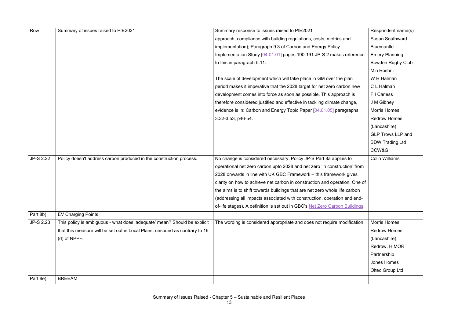| Row       | Summary of issues raised to PfE2021                                         | Summary response to issues raised to PfE2021                                 | Respondent name(s)       |
|-----------|-----------------------------------------------------------------------------|------------------------------------------------------------------------------|--------------------------|
|           |                                                                             | approach, compliance with building regulations, costs, metrics and           | <b>Susan Southward</b>   |
|           |                                                                             | implementation); Paragraph 9.3 of Carbon and Energy Policy                   | <b>Bluemantle</b>        |
|           |                                                                             | Implementation Study [04.01.01] pages 190-191.JP-S 2 makes reference         | <b>Emery Planning</b>    |
|           |                                                                             | to this in paragraph 5.11.                                                   | <b>Bowden Rugby Club</b> |
|           |                                                                             |                                                                              | Miri Roshni              |
|           |                                                                             | The scale of development which will take place in GM over the plan           | W R Halman               |
|           |                                                                             | period makes it imperative that the 2028 target for net zero carbon new      | C L Halman               |
|           |                                                                             | development comes into force as soon as possible. This approach is           | F I Carless              |
|           |                                                                             | therefore considered justified and effective in tackling climate change,     | J M Gibney               |
|           |                                                                             | evidence is in: Carbon and Energy Topic Paper [04.01.05] paragraphs          | <b>Morris Homes</b>      |
|           |                                                                             | 3.32-3.53, p46-54.                                                           | <b>Redrow Homes</b>      |
|           |                                                                             |                                                                              | (Lancashire)             |
|           |                                                                             |                                                                              | <b>GLP Trows LLP and</b> |
|           |                                                                             |                                                                              | <b>BDW Trading Ltd</b>   |
|           |                                                                             |                                                                              | CCW&G                    |
| JP-S 2.22 | Policy doesn't address carbon produced in the construction process.         | No change is considered necessary. Policy JP-S Part 8a applies to            | <b>Colin Williams</b>    |
|           |                                                                             | operational net zero carbon upto 2028 and net zero 'in construction' from    |                          |
|           |                                                                             | 2028 onwards in line with UK GBC Framework - this framework gives            |                          |
|           |                                                                             | clarity on how to achieve net carbon in construction and operation. One of   |                          |
|           |                                                                             | the aims is to shift towards buildings that are net zero whole life carbon   |                          |
|           |                                                                             | (addressing all impacts associated with construction, operation and end-     |                          |
|           |                                                                             | of-life stages). A definition is set out in GBC's Net Zero Carbon Buildings. |                          |
| Part 8b)  | <b>EV Charging Points</b>                                                   |                                                                              |                          |
| JP-S 2.23 | This policy is ambiguous - what does 'adequate' mean? Should be explicit    | The wording is considered appropriate and does not require modification.     | <b>Morris Homes</b>      |
|           | that this measure will be set out in Local Plans, unsound as contrary to 16 |                                                                              | <b>Redrow Homes</b>      |
|           | $(d)$ of NPPF.                                                              |                                                                              | (Lancashire)             |
|           |                                                                             |                                                                              | Redrow, HIMOR            |
|           |                                                                             |                                                                              | Partnership              |
|           |                                                                             |                                                                              | Jones Homes              |
|           |                                                                             |                                                                              | Oltec Group Ltd          |
| Part 8e)  | <b>BREEAM</b>                                                               |                                                                              |                          |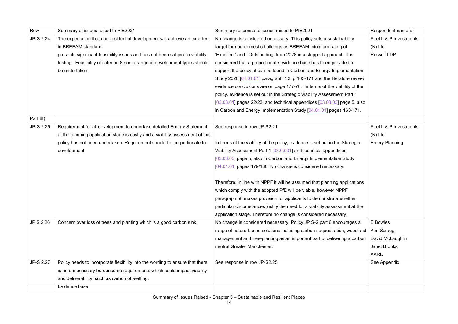| JP-S 2.24<br>The expectation that non-residential development will achieve an excellent<br>No change is considered necessary. This policy sets a sustainability<br>in BREEAM standard<br>target for non-domestic buildings as BREEAM minimum rating of<br>$(N)$ Ltd<br>'Excellent' and 'Outstanding' from 2028 in a stepped approach. It is<br>presents significant feasibility issues and has not been subject to viability<br><b>Russell LDP</b><br>testing. Feasibility of criterion 8e on a range of development types should<br>considered that a proportionate evidence base has been provided to<br>be undertaken.<br>support the policy, it can be found in Carbon and Energy Implementation<br>Study 2020 [04.01.01] paragraph 7.2, p.163-171 and the literature review<br>evidence conclusions are on page 177-78. In terms of the viability of the<br>policy, evidence is set out in the Strategic Viability Assessment Part 1<br>$[03.03.01]$ pages 22/23, and technical appendices $[03.03.03]$ page 5, also<br>in Carbon and Energy Implementation Study [04.01.01] pages 163-171. | Row      | Summary of issues raised to PfE2021 | Summary response to issues raised to PfE2021 | Respondent name(s)     |
|--------------------------------------------------------------------------------------------------------------------------------------------------------------------------------------------------------------------------------------------------------------------------------------------------------------------------------------------------------------------------------------------------------------------------------------------------------------------------------------------------------------------------------------------------------------------------------------------------------------------------------------------------------------------------------------------------------------------------------------------------------------------------------------------------------------------------------------------------------------------------------------------------------------------------------------------------------------------------------------------------------------------------------------------------------------------------------------------------|----------|-------------------------------------|----------------------------------------------|------------------------|
|                                                                                                                                                                                                                                                                                                                                                                                                                                                                                                                                                                                                                                                                                                                                                                                                                                                                                                                                                                                                                                                                                                  |          |                                     |                                              | Peel L & P Investments |
|                                                                                                                                                                                                                                                                                                                                                                                                                                                                                                                                                                                                                                                                                                                                                                                                                                                                                                                                                                                                                                                                                                  |          |                                     |                                              |                        |
|                                                                                                                                                                                                                                                                                                                                                                                                                                                                                                                                                                                                                                                                                                                                                                                                                                                                                                                                                                                                                                                                                                  |          |                                     |                                              |                        |
|                                                                                                                                                                                                                                                                                                                                                                                                                                                                                                                                                                                                                                                                                                                                                                                                                                                                                                                                                                                                                                                                                                  |          |                                     |                                              |                        |
|                                                                                                                                                                                                                                                                                                                                                                                                                                                                                                                                                                                                                                                                                                                                                                                                                                                                                                                                                                                                                                                                                                  |          |                                     |                                              |                        |
|                                                                                                                                                                                                                                                                                                                                                                                                                                                                                                                                                                                                                                                                                                                                                                                                                                                                                                                                                                                                                                                                                                  |          |                                     |                                              |                        |
|                                                                                                                                                                                                                                                                                                                                                                                                                                                                                                                                                                                                                                                                                                                                                                                                                                                                                                                                                                                                                                                                                                  |          |                                     |                                              |                        |
|                                                                                                                                                                                                                                                                                                                                                                                                                                                                                                                                                                                                                                                                                                                                                                                                                                                                                                                                                                                                                                                                                                  |          |                                     |                                              |                        |
|                                                                                                                                                                                                                                                                                                                                                                                                                                                                                                                                                                                                                                                                                                                                                                                                                                                                                                                                                                                                                                                                                                  |          |                                     |                                              |                        |
|                                                                                                                                                                                                                                                                                                                                                                                                                                                                                                                                                                                                                                                                                                                                                                                                                                                                                                                                                                                                                                                                                                  |          |                                     |                                              |                        |
|                                                                                                                                                                                                                                                                                                                                                                                                                                                                                                                                                                                                                                                                                                                                                                                                                                                                                                                                                                                                                                                                                                  | Part 8f) |                                     |                                              |                        |
| JP-S 2.25<br>Requirement for all development to undertake detailed Energy Statement<br>See response in row JP-S2.21.                                                                                                                                                                                                                                                                                                                                                                                                                                                                                                                                                                                                                                                                                                                                                                                                                                                                                                                                                                             |          |                                     |                                              | Peel L & P Investments |
| at the planning application stage is costly and a viability assessment of this<br>$(N)$ Ltd                                                                                                                                                                                                                                                                                                                                                                                                                                                                                                                                                                                                                                                                                                                                                                                                                                                                                                                                                                                                      |          |                                     |                                              |                        |
| policy has not been undertaken. Requirement should be proportionate to<br>In terms of the viability of the policy, evidence is set out in the Strategic<br><b>Emery Planning</b>                                                                                                                                                                                                                                                                                                                                                                                                                                                                                                                                                                                                                                                                                                                                                                                                                                                                                                                 |          |                                     |                                              |                        |
| Viability Assessment Part 1 [03.03.01] and technical appendices<br>development.                                                                                                                                                                                                                                                                                                                                                                                                                                                                                                                                                                                                                                                                                                                                                                                                                                                                                                                                                                                                                  |          |                                     |                                              |                        |
| [03.03.03] page 5, also in Carbon and Energy Implementation Study                                                                                                                                                                                                                                                                                                                                                                                                                                                                                                                                                                                                                                                                                                                                                                                                                                                                                                                                                                                                                                |          |                                     |                                              |                        |
| [04.01.01] pages 179/180. No change is considered necessary.                                                                                                                                                                                                                                                                                                                                                                                                                                                                                                                                                                                                                                                                                                                                                                                                                                                                                                                                                                                                                                     |          |                                     |                                              |                        |
|                                                                                                                                                                                                                                                                                                                                                                                                                                                                                                                                                                                                                                                                                                                                                                                                                                                                                                                                                                                                                                                                                                  |          |                                     |                                              |                        |
| Therefore, in line with NPPF it will be assumed that planning applications                                                                                                                                                                                                                                                                                                                                                                                                                                                                                                                                                                                                                                                                                                                                                                                                                                                                                                                                                                                                                       |          |                                     |                                              |                        |
| which comply with the adopted PfE will be viable, however NPPF                                                                                                                                                                                                                                                                                                                                                                                                                                                                                                                                                                                                                                                                                                                                                                                                                                                                                                                                                                                                                                   |          |                                     |                                              |                        |
| paragraph 58 makes provision for applicants to demonstrate whether                                                                                                                                                                                                                                                                                                                                                                                                                                                                                                                                                                                                                                                                                                                                                                                                                                                                                                                                                                                                                               |          |                                     |                                              |                        |
| particular circumstances justify the need for a viability assessment at the                                                                                                                                                                                                                                                                                                                                                                                                                                                                                                                                                                                                                                                                                                                                                                                                                                                                                                                                                                                                                      |          |                                     |                                              |                        |
| application stage. Therefore no change is considered necessary.                                                                                                                                                                                                                                                                                                                                                                                                                                                                                                                                                                                                                                                                                                                                                                                                                                                                                                                                                                                                                                  |          |                                     |                                              |                        |
| <b>JP S 2.26</b><br>Concern over loss of trees and planting which is a good carbon sink.<br>No change is considered necessary. Policy JP S-2 part 6 encourages a<br>E Bowles                                                                                                                                                                                                                                                                                                                                                                                                                                                                                                                                                                                                                                                                                                                                                                                                                                                                                                                     |          |                                     |                                              |                        |
| range of nature-based solutions including carbon sequestration, woodland<br>Kim Scragg                                                                                                                                                                                                                                                                                                                                                                                                                                                                                                                                                                                                                                                                                                                                                                                                                                                                                                                                                                                                           |          |                                     |                                              |                        |
| management and tree-planting as an important part of delivering a carbon<br>David McLaughlin                                                                                                                                                                                                                                                                                                                                                                                                                                                                                                                                                                                                                                                                                                                                                                                                                                                                                                                                                                                                     |          |                                     |                                              |                        |
| neutral Greater Manchester.<br><b>Janet Brooks</b>                                                                                                                                                                                                                                                                                                                                                                                                                                                                                                                                                                                                                                                                                                                                                                                                                                                                                                                                                                                                                                               |          |                                     |                                              |                        |
| <b>AARD</b>                                                                                                                                                                                                                                                                                                                                                                                                                                                                                                                                                                                                                                                                                                                                                                                                                                                                                                                                                                                                                                                                                      |          |                                     |                                              |                        |
| <b>JP-S 2.27</b><br>Policy needs to incorporate flexibility into the wording to ensure that there<br>See response in row JP-S2.25.<br>See Appendix                                                                                                                                                                                                                                                                                                                                                                                                                                                                                                                                                                                                                                                                                                                                                                                                                                                                                                                                               |          |                                     |                                              |                        |
| is no unnecessary burdensome requirements which could impact viability                                                                                                                                                                                                                                                                                                                                                                                                                                                                                                                                                                                                                                                                                                                                                                                                                                                                                                                                                                                                                           |          |                                     |                                              |                        |
| and deliverability; such as carbon off-setting.                                                                                                                                                                                                                                                                                                                                                                                                                                                                                                                                                                                                                                                                                                                                                                                                                                                                                                                                                                                                                                                  |          |                                     |                                              |                        |
| Evidence base                                                                                                                                                                                                                                                                                                                                                                                                                                                                                                                                                                                                                                                                                                                                                                                                                                                                                                                                                                                                                                                                                    |          |                                     |                                              |                        |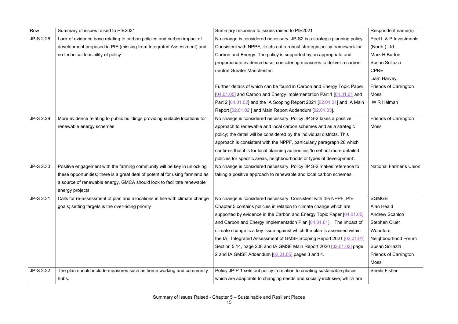| Row              | Summary of issues raised to PfE2021                                           | Summary response to issues raised to PfE2021                                 | Respondent name(s)           |
|------------------|-------------------------------------------------------------------------------|------------------------------------------------------------------------------|------------------------------|
| <b>JP-S 2.28</b> | Lack of evidence base relating to carbon policies and carbon impact of        | No change is considered necessary. JP-S2 is a strategic planning policy.     | Peel L & P Investments       |
|                  | development proposed in PfE (missing from Integrated Assessment) and          | Consistent with NPPF, it sets out a robust strategic policy framework for    | (North) Ltd                  |
|                  | no technical feasibility of policy.                                           | Carbon and Energy. The policy is supported by an appropriate and             | Mark H Burton                |
|                  |                                                                               | proportionate evidence base, considering measures to deliver a carbon        | Susan Sollazzi               |
|                  |                                                                               | neutral Greater Manchester.                                                  | <b>CPRE</b>                  |
|                  |                                                                               |                                                                              | Liam Harvey                  |
|                  |                                                                               | Further details of which can be found in Carbon and Energy Topic Paper       | <b>Friends of Carrington</b> |
|                  |                                                                               | [04.01.05] and Carbon and Energy Implementation Part 1 [04.01.01 and         | Moss                         |
|                  |                                                                               | Part 2 [04.01.02] and the IA Scoping Report 2021 [02.01.01] and IA Main      | W R Halman                   |
|                  |                                                                               | Report [02.01.02] and Main Report Addendum [02.01.05].                       |                              |
| JP-S 2.29        | More evidence relating to public buildings providing suitable locations for   | No change is considered necessary. Policy JP S-2 takes a positive            | <b>Friends of Carrington</b> |
|                  | renewable energy schemes                                                      | approach to renewable and local carbon schemes and as a strategic            | <b>Moss</b>                  |
|                  |                                                                               | policy; the detail will be considered by the individual districts. This      |                              |
|                  |                                                                               | approach is consistent with the NPPF, particularly paragraph 28 which        |                              |
|                  |                                                                               | confirms that it is for local planning authorities 'to set out more detailed |                              |
|                  |                                                                               | policies for specific areas, neighbourhoods or types of development'.        |                              |
| JP-S 2.30        | Positive engagement with the farming community will be key in unlocking       | No change is considered necessary. Policy JP S-2 makes reference to          | National Farmer's Union      |
|                  | these opportunities; there is a great deal of potential for using farmland as | taking a positive approach to renewable and local carbon schemes.            |                              |
|                  | a source of renewable energy, GMCA should look to facilitate renewable        |                                                                              |                              |
|                  | energy projects.                                                              |                                                                              |                              |
| JP-S 2.31        | Calls for re-assessment of plan and allocations in line with climate change   | No change is considered necessary. Consistent with the NPPF, PfE             | <b>SGMGB</b>                 |
|                  | goals; setting targets is the over-riding priority                            | Chapter 5 contains policies in relation to climate change which are          | <b>Alan Heald</b>            |
|                  |                                                                               | supported by evidence in the Carbon and Energy Topic Paper [04.01.05]        | <b>Andrew Scanlon</b>        |
|                  |                                                                               | and Carbon and Energy Implementation Plan [04.01.01]. The impact of          | <b>Stephen Cluer</b>         |
|                  |                                                                               | climate change is a key issue against which the plan is assessed within      | Woodford                     |
|                  |                                                                               | the IA; Integrated Assessment of GMSF Scoping Report 2021 102.01.01          | Neighbourhood Forum          |
|                  |                                                                               | Section 5.14, page 208 and IA GMSF Main Report 2020 [02.01.02] page          | Susan Sollazzi               |
|                  |                                                                               | 2 and IA GMSF Addendum [02.01.05] pages 3 and 4.                             | <b>Friends of Carrington</b> |
|                  |                                                                               |                                                                              | <b>Moss</b>                  |
| <b>JP-S 2.32</b> | The plan should include measures such as home working and community           | Policy JP-P 1 sets out policy in relation to creating sustainable places     | <b>Sheila Fisher</b>         |
|                  | hubs.                                                                         | which are adaptable to changing needs and socially inclusive; which are      |                              |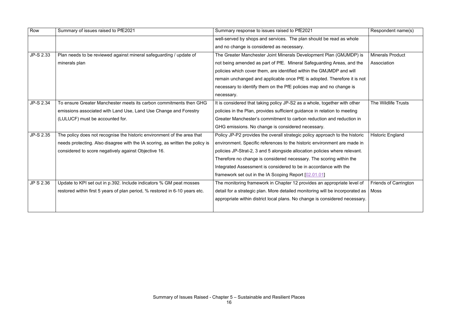| Row              | Summary of issues raised to PfE2021                                           | Summary response to issues raised to PfE2021                                  | Respondent name(s)           |
|------------------|-------------------------------------------------------------------------------|-------------------------------------------------------------------------------|------------------------------|
|                  |                                                                               | well-served by shops and services. The plan should be read as whole           |                              |
|                  |                                                                               | and no change is considered as necessary.                                     |                              |
| JP-S 2.33        | Plan needs to be reviewed against mineral safeguarding / update of            | The Greater Manchester Joint Minerals Development Plan (GMJMDP) is            | <b>Minerals Product</b>      |
|                  | minerals plan                                                                 | not being amended as part of PfE. Mineral Safeguarding Areas, and the         | Association                  |
|                  |                                                                               | policies which cover them, are identified within the GMJMDP and will          |                              |
|                  |                                                                               | remain unchanged and applicable once PfE is adopted. Therefore it is not      |                              |
|                  |                                                                               | necessary to identify them on the PfE policies map and no change is           |                              |
|                  |                                                                               | necessary.                                                                    |                              |
| <b>JP-S 2.34</b> | To ensure Greater Manchester meets its carbon commitments then GHG            | It is considered that taking policy JP-S2 as a whole, together with other     | The Wildlife Trusts          |
|                  | emissions associated with Land Use, Land Use Change and Forestry              | policies in the Plan, provides sufficient guidance in relation to meeting     |                              |
|                  | (LULUCF) must be accounted for.                                               | Greater Manchester's commitment to carbon reduction and reduction in          |                              |
|                  |                                                                               | GHG emissions. No change is considered necessary.                             |                              |
| JP-S 2.35        | The policy does not recognise the historic environment of the area that       | Policy JP-P2 provides the overall strategic policy approach to the historic   | <b>Historic England</b>      |
|                  | needs protecting. Also disagree with the IA scoring, as written the policy is | environment. Specific references to the historic environment are made in      |                              |
|                  | considered to score negatively against Objective 16.                          | policies JP-Strat-2, 3 and 5 alongside allocation policies where relevant.    |                              |
|                  |                                                                               | Therefore no change is considered necessary. The scoring within the           |                              |
|                  |                                                                               | Integrated Assessment is considered to be in accordance with the              |                              |
|                  |                                                                               | framework set out in the IA Scoping Report [02.01.01]                         |                              |
| JP S 2.36        | Update to KPI set out in p.392. Include indicators % GM peat mosses           | The monitoring framework in Chapter 12 provides an appropriate level of       | <b>Friends of Carrington</b> |
|                  | restored within first 5 years of plan period, % restored in 6-10 years etc.   | detail for a strategic plan. More detailed monitoring will be incorporated as | <b>Moss</b>                  |
|                  |                                                                               | appropriate within district local plans. No change is considered necessary.   |                              |
|                  |                                                                               |                                                                               |                              |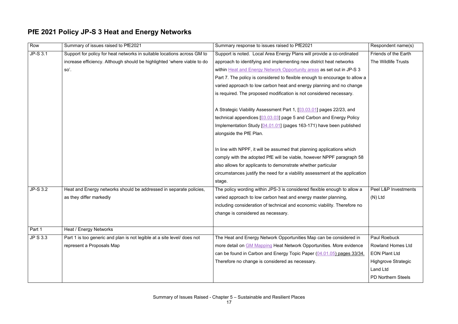### **PfE 2021 Policy JP-S 3 Heat and Energy Networks**

| Row             | Summary of issues raised to PfE2021                                     | Summary response to issues raised to PfE2021                                 | Respondent name(s)         |
|-----------------|-------------------------------------------------------------------------|------------------------------------------------------------------------------|----------------------------|
| JP-S 3.1        | Support for policy for heat networks in suitable locations across GM to | Support is noted. Local Area Energy Plans will provide a co-ordinated        | Friends of the Earth       |
|                 | increase efficiency. Although should be highlighted 'where viable to do | approach to identifying and implementing new district heat networks          | The Wildlife Trusts        |
|                 | so'.                                                                    | within Heat and Energy Network Opportunity areas as set out in JP-S 3        |                            |
|                 |                                                                         | Part 7. The policy is considered to flexible enough to encourage to allow a  |                            |
|                 |                                                                         | varied approach to low carbon heat and energy planning and no change         |                            |
|                 |                                                                         | is required. The proposed modification is not considered necessary.          |                            |
|                 |                                                                         |                                                                              |                            |
|                 |                                                                         | A Strategic Viability Assessment Part 1, [03.03.01] pages 22/23, and         |                            |
|                 |                                                                         | technical appendices [03.03.03] page 5 and Carbon and Energy Policy          |                            |
|                 |                                                                         | Implementation Study [04.01.01] (pages 163-171) have been published          |                            |
|                 |                                                                         | alongside the PfE Plan.                                                      |                            |
|                 |                                                                         |                                                                              |                            |
|                 |                                                                         | In line with NPPF, it will be assumed that planning applications which       |                            |
|                 |                                                                         | comply with the adopted PfE will be viable, however NPPF paragraph 58        |                            |
|                 |                                                                         | also allows for applicants to demonstrate whether particular                 |                            |
|                 |                                                                         | circumstances justify the need for a viability assessment at the application |                            |
|                 |                                                                         | stage.                                                                       |                            |
| JP-S 3.2        | Heat and Energy networks should be addressed in separate policies,      | The policy wording within JPS-3 is considered flexible enough to allow a     | Peel L&P Investments       |
|                 | as they differ markedly                                                 | varied approach to low carbon heat and energy master planning,               | $(N)$ Ltd                  |
|                 |                                                                         | including consideration of technical and economic viability. Therefore no    |                            |
|                 |                                                                         | change is considered as necessary.                                           |                            |
|                 |                                                                         |                                                                              |                            |
| Part 1          | Heat / Energy Networks                                                  |                                                                              |                            |
| <b>JP S 3.3</b> | Part 1 is too generic and plan is not legible at a site level/ does not | The Heat and Energy Network Opportunities Map can be considered in           | Paul Roebuck               |
|                 | represent a Proposals Map                                               | more detail on GM Mapping Heat Network Opportunities. More evidence          | <b>Rowland Homes Ltd</b>   |
|                 |                                                                         | can be found in Carbon and Energy Topic Paper (04.01.05) pages 33/34.        | <b>EON Plant Ltd</b>       |
|                 |                                                                         | Therefore no change is considered as necessary.                              | <b>Highgrove Strategic</b> |
|                 |                                                                         |                                                                              | Land Ltd                   |
|                 |                                                                         |                                                                              | <b>PD Northern Steels</b>  |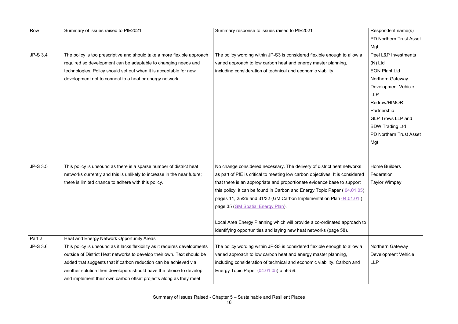| Row             | Summary of issues raised to PfE2021                                        | Summary response to issues raised to PfE2021                                  | Respondent name(s)             |
|-----------------|----------------------------------------------------------------------------|-------------------------------------------------------------------------------|--------------------------------|
|                 |                                                                            |                                                                               | <b>PD Northern Trust Asset</b> |
|                 |                                                                            |                                                                               | Mgt                            |
| <b>JP-S 3.4</b> | The policy is too prescriptive and should take a more flexible approach    | The policy wording within JP-S3 is considered flexible enough to allow a      | Peel L&P Investments           |
|                 | required so development can be adaptable to changing needs and             | varied approach to low carbon heat and energy master planning,                | $(N)$ Ltd                      |
|                 | technologies. Policy should set out when it is acceptable for new          | including consideration of technical and economic viability.                  | <b>EON Plant Ltd</b>           |
|                 | development not to connect to a heat or energy network.                    |                                                                               | Northern Gateway               |
|                 |                                                                            |                                                                               | <b>Development Vehicle</b>     |
|                 |                                                                            |                                                                               | <b>LLP</b>                     |
|                 |                                                                            |                                                                               | Redrow/HIMOR                   |
|                 |                                                                            |                                                                               | Partnership                    |
|                 |                                                                            |                                                                               | <b>GLP Trows LLP and</b>       |
|                 |                                                                            |                                                                               | <b>BDW Trading Ltd</b>         |
|                 |                                                                            |                                                                               | PD Northern Trust Asset        |
|                 |                                                                            |                                                                               | Mgt                            |
|                 |                                                                            |                                                                               |                                |
|                 |                                                                            |                                                                               |                                |
| JP-S 3.5        | This policy is unsound as there is a sparse number of district heat        | No change considered necessary. The delivery of district heat networks        | <b>Home Builders</b>           |
|                 | networks currently and this is unlikely to increase in the near future;    | as part of PfE is critical to meeting low carbon objectives. It is considered | Federation                     |
|                 | there is limited chance to adhere with this policy.                        | that there is an appropriate and proportionate evidence base to support       | <b>Taylor Wimpey</b>           |
|                 |                                                                            | this policy, it can be found in Carbon and Energy Topic Paper $(04.01.05)$    |                                |
|                 |                                                                            | pages 11, 25/26 and 31/32 (GM Carbon Implementation Plan 04.01.01)            |                                |
|                 |                                                                            | page 35 (GM Spatial Energy Plan).                                             |                                |
|                 |                                                                            |                                                                               |                                |
|                 |                                                                            | Local Area Energy Planning which will provide a co-ordinated approach to      |                                |
|                 |                                                                            | identifying opportunities and laying new heat networks (page 58).             |                                |
| Part 2          | Heat and Energy Network Opportunity Areas                                  |                                                                               |                                |
| JP-S 3.6        | This policy is unsound as it lacks flexibility as it requires developments | The policy wording within JP-S3 is considered flexible enough to allow a      | Northern Gateway               |
|                 | outside of District Heat networks to develop their own. Text should be     | varied approach to low carbon heat and energy master planning,                | <b>Development Vehicle</b>     |
|                 | added that suggests that if carbon reduction can be achieved via           | including consideration of technical and economic viability. Carbon and       | <b>LLP</b>                     |
|                 | another solution then developers should have the choice to develop         | Energy Topic Paper (04.01.05) p 56-59.                                        |                                |
|                 | and implement their own carbon offset projects along as they meet          |                                                                               |                                |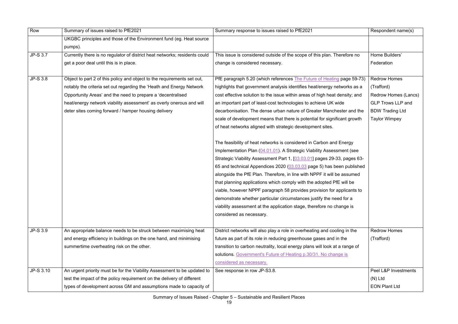| Row       | Summary of issues raised to PfE2021                                        | Summary response to issues raised to PfE2021                                | Respondent name(s)       |
|-----------|----------------------------------------------------------------------------|-----------------------------------------------------------------------------|--------------------------|
|           | UKGBC principles and those of the Environment fund (eg. Heat source        |                                                                             |                          |
|           | pumps).                                                                    |                                                                             |                          |
| JP-S 3.7  | Currently there is no regulator of district heat networks; residents could | This issue is considered outside of the scope of this plan. Therefore no    | Home Builders'           |
|           | get a poor deal until this is in place.                                    | change is considered necessary.                                             | Federation               |
|           |                                                                            |                                                                             |                          |
| JP-S 3.8  | Object to part 2 of this policy and object to the requirements set out,    | PfE paragraph 5.20 (which references The Future of Heating page 59-73)      | <b>Redrow Homes</b>      |
|           | notably the criteria set out regarding the 'Heath and Energy Network       | highlights that government analysis identifies heat/energy networks as a    | (Trafford)               |
|           | Opportunity Areas' and the need to prepare a 'decentralised                | cost effective solution to the issue within areas of high heat density; and | Redrow Homes (Lancs)     |
|           | heat/energy network viability assessment' as overly onerous and will       | an important part of least-cost technologies to achieve UK wide             | <b>GLP Trows LLP and</b> |
|           | deter sites coming forward / hamper housing delivery                       | decarbonisation. The dense urban nature of Greater Manchester and the       | <b>BDW Trading Ltd</b>   |
|           |                                                                            | scale of development means that there is potential for significant growth   | <b>Taylor Wimpey</b>     |
|           |                                                                            | of heat networks aligned with strategic development sites.                  |                          |
|           |                                                                            |                                                                             |                          |
|           |                                                                            | The feasibility of heat networks is considered in Carbon and Energy         |                          |
|           |                                                                            | Implementation Plan (04.01.01). A Strategic Viability Assessment (see       |                          |
|           |                                                                            | Strategic Viability Assessment Part 1, [03.03.01] pages 29-33, pages 63-    |                          |
|           |                                                                            | 65 and technical Appendices 2020 (03.03.03 page 5) has been published       |                          |
|           |                                                                            | alongside the PfE Plan. Therefore, in line with NPPF it will be assumed     |                          |
|           |                                                                            | that planning applications which comply with the adopted PfE will be        |                          |
|           |                                                                            | viable, however NPPF paragraph 58 provides provision for applicants to      |                          |
|           |                                                                            | demonstrate whether particular circumstances justify the need for a         |                          |
|           |                                                                            | viability assessment at the application stage, therefore no change is       |                          |
|           |                                                                            | considered as necessary.                                                    |                          |
|           |                                                                            |                                                                             |                          |
| JP-S 3.9  | An appropriate balance needs to be struck between maximising heat          | District networks will also play a role in overheating and cooling in the   | <b>Redrow Homes</b>      |
|           | and energy efficiency in buildings on the one hand, and minimising         | future as part of its role in reducing greenhouse gases and in the          | (Trafford)               |
|           | summertime overheating risk on the other.                                  | transition to carbon neutrality, local energy plans will look at a range of |                          |
|           |                                                                            | solutions. Government's Future of Heating p.30/31. No change is             |                          |
|           |                                                                            | considered as necessary.                                                    |                          |
| JP-S 3.10 | An urgent priority must be for the Viability Assessment to be updated to   | See response in row JP-S3.8.                                                | Peel L&P Investments     |
|           | test the impact of the policy requirement on the delivery of different     |                                                                             | $(N)$ Ltd                |
|           | types of development across GM and assumptions made to capacity of         |                                                                             | <b>EON Plant Ltd</b>     |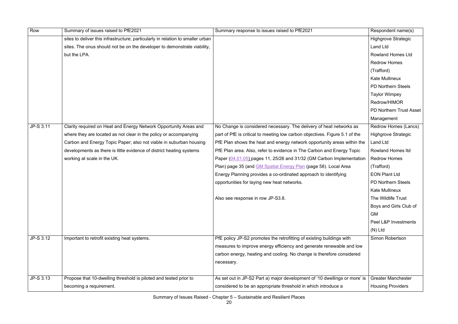| Row       | Summary of issues raised to PfE2021                                             | Summary response to issues raised to PfE2021                                | Respondent name(s)         |
|-----------|---------------------------------------------------------------------------------|-----------------------------------------------------------------------------|----------------------------|
|           | sites to deliver this infrastructure; particularly in relation to smaller urban |                                                                             | <b>Highgrove Strategic</b> |
|           | sites. The onus should not be on the developer to demonstrate viability,        |                                                                             | <b>Land Ltd</b>            |
|           | but the LPA.                                                                    |                                                                             | <b>Rowland Homes Ltd</b>   |
|           |                                                                                 |                                                                             | <b>Redrow Homes</b>        |
|           |                                                                                 |                                                                             | (Trafford)                 |
|           |                                                                                 |                                                                             | <b>Kate Mullineux</b>      |
|           |                                                                                 |                                                                             | <b>PD Northern Steels</b>  |
|           |                                                                                 |                                                                             | <b>Taylor Wimpey</b>       |
|           |                                                                                 |                                                                             | Redrow/HIMOR               |
|           |                                                                                 |                                                                             | PD Northern Trust Asset    |
|           |                                                                                 |                                                                             | Management                 |
| JP-S 3.11 | Clarity required on Heat and Energy Network Opportunity Areas and               | No Change is considered necessary. The delivery of heat networks as         | Redrow Homes (Lancs)       |
|           | where they are located as not clear in the policy or accompanying               | part of PfE is critical to meeting low carbon objectives. Figure 5.1 of the | <b>Highgrove Strategic</b> |
|           | Carbon and Energy Topic Paper; also not viable in suburban housing              | PfE Plan shows the heat and energy network opportunity areas within the     | <b>Land Ltd</b>            |
|           | developments as there is little evidence of district heating systems            | PfE Plan area. Also, refer to evidence in The Carbon and Energy Topic       | <b>Rowland Homes Itd</b>   |
|           | working at scale in the UK.                                                     | Paper (04.01.05) pages 11, 25/26 and 31/32 (GM Carbon Implementation        | <b>Redrow Homes</b>        |
|           |                                                                                 | Plan) page 35 (and GM Spatial Energy Plan (page 58). Local Area             | (Trafford)                 |
|           |                                                                                 | Energy Planning provides a co-ordinated approach to identifying             | <b>EON Plant Ltd</b>       |
|           |                                                                                 | opportunities for laying new heat networks.                                 | <b>PD Northern Steels</b>  |
|           |                                                                                 |                                                                             | <b>Kate Mullineux</b>      |
|           |                                                                                 | Also see response in row JP-S3.8.                                           | The Wildlife Trust         |
|           |                                                                                 |                                                                             | Boys and Girls Club of     |
|           |                                                                                 |                                                                             | <b>GM</b>                  |
|           |                                                                                 |                                                                             | Peel L&P Investments       |
|           |                                                                                 |                                                                             | $(N)$ Ltd                  |
| JP-S 3.12 | Important to retrofit existing heat systems.                                    | PfE policy JP-S2 promotes the retrofitting of existing buildings with       | Simon Robertson            |
|           |                                                                                 | measures to improve energy efficiency and generate renewable and low        |                            |
|           |                                                                                 | carbon energy, heating and cooling. No change is therefore considered       |                            |
|           |                                                                                 | necessary.                                                                  |                            |
|           |                                                                                 |                                                                             |                            |
| JP-S 3.13 | Propose that 10-dwelling threshold is piloted and tested prior to               | As set out in JP-S2 Part a) major development of '10 dwellings or more' is  | <b>Greater Manchester</b>  |
|           | becoming a requirement.                                                         | considered to be an appropriate threshold in which introduce a              | <b>Housing Providers</b>   |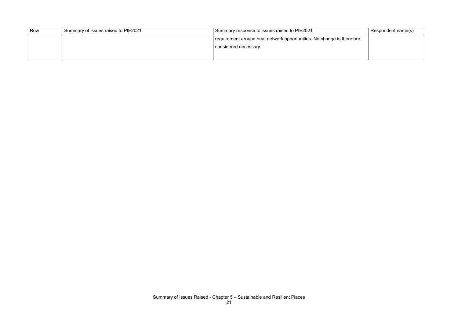| Row | Summary of issues raised to PfE2021 | Summary response to issues raised to PfE2021                          | Respondent name(s) |
|-----|-------------------------------------|-----------------------------------------------------------------------|--------------------|
|     |                                     | requirement around heat network opportunities. No change is therefore |                    |
|     |                                     | considered necessary.                                                 |                    |
|     |                                     |                                                                       |                    |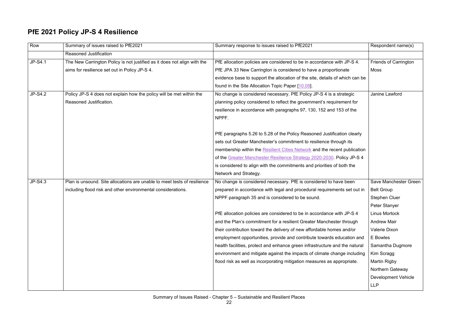### **PfE 2021 Policy JP-S 4 Resilience**

| Row            | Summary of issues raised to PfE2021                                      | Summary response to issues raised to PfE2021                                 | Respondent name(s)           |
|----------------|--------------------------------------------------------------------------|------------------------------------------------------------------------------|------------------------------|
|                | <b>Reasoned Justification</b>                                            |                                                                              |                              |
| <b>JP-S4.1</b> | The New Carrington Policy is not justified as it does not align with the | PfE allocation policies are considered to be in accordance with JP-S 4.      | <b>Friends of Carrington</b> |
|                | aims for resilience set out in Policy JP-S 4.                            | PfE JPA 33 New Carrington is considered to have a proportionate              | Moss                         |
|                |                                                                          | evidence base to support the allocation of the site, details of which can be |                              |
|                |                                                                          | found in the Site Allocation Topic Paper [10.09].                            |                              |
| <b>JP-S4.2</b> | Policy JP-S 4 does not explain how the policy will be met within the     | No change is considered necessary. PfE Policy JP-S 4 is a strategic          | Janine Lawford               |
|                | Reasoned Justification.                                                  | planning policy considered to reflect the government's requirement for       |                              |
|                |                                                                          | resilience in accordance with paragraphs 97, 130, 152 and 153 of the         |                              |
|                |                                                                          | NPPF.                                                                        |                              |
|                |                                                                          |                                                                              |                              |
|                |                                                                          | PfE paragraphs 5.26 to 5.28 of the Policy Reasoned Justification clearly     |                              |
|                |                                                                          | sets out Greater Manchester's commitment to resilience through its           |                              |
|                |                                                                          | membership within the Resilient Cities Network and the recent publication    |                              |
|                |                                                                          | of the Greater Manchester Resilience Strategy 2020-2030. Policy JP-S 4       |                              |
|                |                                                                          | is considered to align with the commitments and priorities of both the       |                              |
|                |                                                                          | Network and Strategy.                                                        |                              |
| JP-S4.3        | Plan is unsound. Site allocations are unable to meet tests of resilience | No change is considered necessary. PfE is considered to have been            | Save Manchester Green        |
|                | including flood risk and other environmental considerations.             | prepared in accordance with legal and procedural requirements set out in     | <b>Belt Group</b>            |
|                |                                                                          | NPPF paragraph 35 and is considered to be sound.                             | <b>Stephen Cluer</b>         |
|                |                                                                          |                                                                              | Peter Stanyer                |
|                |                                                                          | PfE allocation policies are considered to be in accordance with JP-S 4       | <b>Linus Mortock</b>         |
|                |                                                                          | and the Plan's commitment for a resilient Greater Manchester through         | <b>Andrew Mair</b>           |
|                |                                                                          | their contribution toward the delivery of new affordable homes and/or        | Valerie Dixon                |
|                |                                                                          | employment opportunities, provide and contribute towards education and       | E Bowles                     |
|                |                                                                          | health facilities, protect and enhance green infrastructure and the natural  | Samantha Dugmore             |
|                |                                                                          | environment and mitigate against the impacts of climate change including     | Kim Scragg                   |
|                |                                                                          | flood risk as well as incorporating mitigation measures as appropriate.      | <b>Martin Rigby</b>          |
|                |                                                                          |                                                                              | <b>Northern Gateway</b>      |
|                |                                                                          |                                                                              | <b>Development Vehicle</b>   |
|                |                                                                          |                                                                              | <b>LLP</b>                   |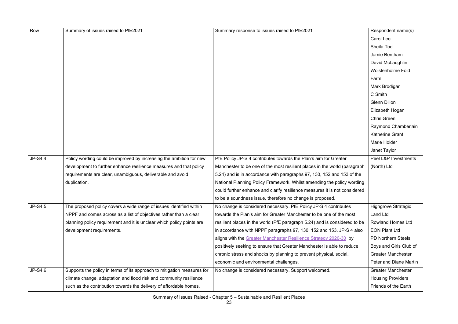| Row            | Summary of issues raised to PfE2021                                     | Summary response to issues raised to PfE2021                               | Respondent name(s)         |
|----------------|-------------------------------------------------------------------------|----------------------------------------------------------------------------|----------------------------|
|                |                                                                         |                                                                            | <b>Carol Lee</b>           |
|                |                                                                         |                                                                            | Sheila Tod                 |
|                |                                                                         |                                                                            | Jamie Bentham              |
|                |                                                                         |                                                                            | David McLaughlin           |
|                |                                                                         |                                                                            | <b>Wolstenholme Fold</b>   |
|                |                                                                         |                                                                            | Farm                       |
|                |                                                                         |                                                                            | Mark Brodigan              |
|                |                                                                         |                                                                            | C Smith                    |
|                |                                                                         |                                                                            | <b>Glenn Dillon</b>        |
|                |                                                                         |                                                                            | Elizabeth Hogan            |
|                |                                                                         |                                                                            | <b>Chris Green</b>         |
|                |                                                                         |                                                                            | Raymond Chamberlain        |
|                |                                                                         |                                                                            | <b>Katherine Grant</b>     |
|                |                                                                         |                                                                            | <b>Marie Holder</b>        |
|                |                                                                         |                                                                            | Janet Taylor               |
| JP-S4.4        | Policy wording could be improved by increasing the ambition for new     | PfE Policy JP-S 4 contributes towards the Plan's aim for Greater           | Peel L&P Investments       |
|                | development to further enhance resilience measures and that policy      | Manchester to be one of the most resilient places in the world (paragraph  | (North) Ltd                |
|                | requirements are clear, unambiguous, deliverable and avoid              | 5.24) and is in accordance with paragraphs 97, 130, 152 and 153 of the     |                            |
|                | duplication.                                                            | National Planning Policy Framework. Whilst amending the policy wording     |                            |
|                |                                                                         | could further enhance and clarify resilience measures it is not considered |                            |
|                |                                                                         | to be a soundness issue, therefore no change is proposed.                  |                            |
| <b>JP-S4.5</b> | The proposed policy covers a wide range of issues identified within     | No change is considered necessary. PfE Policy JP-S 4 contributes           | <b>Highgrove Strategic</b> |
|                | NPPF and comes across as a list of objectives rather than a clear       | towards the Plan's aim for Greater Manchester to be one of the most        | <b>Land Ltd</b>            |
|                | planning policy requirement and it is unclear which policy points are   | resilient places in the world (PfE paragraph 5.24) and is considered to be | <b>Rowland Homes Ltd</b>   |
|                | development requirements.                                               | in accordance with NPPF paragraphs 97, 130, 152 and 153. JP-S 4 also       | <b>EON Plant Ltd</b>       |
|                |                                                                         | aligns with the Greater Manchester Resilience Strategy 2020-30 by          | <b>PD Northern Steels</b>  |
|                |                                                                         | positively seeking to ensure that Greater Manchester is able to reduce     | Boys and Girls Club of     |
|                |                                                                         | chronic stress and shocks by planning to prevent physical, social,         | <b>Greater Manchester</b>  |
|                |                                                                         | economic and environmental challenges.                                     | Peter and Diane Martin     |
| JP-S4.6        | Supports the policy in terms of its approach to mitigation measures for | No change is considered necessary. Support welcomed.                       | <b>Greater Manchester</b>  |
|                | climate change, adaptation and flood risk and community resilience      |                                                                            | <b>Housing Providers</b>   |
|                | such as the contribution towards the delivery of affordable homes.      |                                                                            | Friends of the Earth       |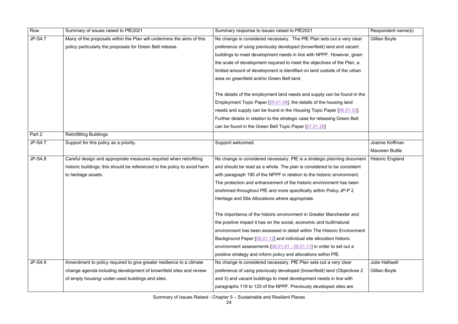| Row            | Summary of issues raised to PfE2021                                       | Summary response to issues raised to PfE2021                               | Respondent name(s)      |
|----------------|---------------------------------------------------------------------------|----------------------------------------------------------------------------|-------------------------|
| <b>JP-S4.7</b> | Many of the proposals within the Plan will undermine the aims of this     | No change is considered necessary. The PfE Plan sets out a very clear      | Gillian Boyle           |
|                | policy particularly the proposals for Green Belt release.                 | preference of using previously developed (brownfield) land and vacant      |                         |
|                |                                                                           | buildings to meet development needs in line with NPPF. However, given      |                         |
|                |                                                                           | the scale of development required to meet the objectives of the Plan, a    |                         |
|                |                                                                           | limited amount of development is identified on land outside of the urban   |                         |
|                |                                                                           | area on greenfield and/or Green Belt land.                                 |                         |
|                |                                                                           |                                                                            |                         |
|                |                                                                           | The details of the employment land needs and supply can be found in the    |                         |
|                |                                                                           | Employment Topic Paper [05.01.04], the details of the housing land         |                         |
|                |                                                                           | needs and supply can be found in the Housing Topic Paper [06.01.03].       |                         |
|                |                                                                           | Further details in relation to the strategic case for releasing Green Belt |                         |
|                |                                                                           | can be found in the Green Belt Topic Paper [07.01.25]                      |                         |
| Part 2         | <b>Retrofitting Buildings</b>                                             |                                                                            |                         |
| <b>JP-S4.7</b> | Support for this policy as a priority.                                    | Support welcomed.                                                          | Joanne Koffman          |
|                |                                                                           |                                                                            | <b>Maureen Buttle</b>   |
| <b>JP-S4.8</b> | Careful design and appropriate measures required when retrofitting        | No change is considered necessary. PfE is a strategic planning document    | <b>Historic England</b> |
|                | historic buildings; this should be referenced in the policy to avoid harm | and should be read as a whole. The plan is considered to be consistent     |                         |
|                | to heritage assets.                                                       | with paragraph 190 of the NPPF in relation to the historic environment.    |                         |
|                |                                                                           | The protection and enhancement of the historic environment has been        |                         |
|                |                                                                           | enshrined throughout PfE and more specifically within Policy JP-P 2        |                         |
|                |                                                                           | Heritage and Site Allocations where appropriate.                           |                         |
|                |                                                                           |                                                                            |                         |
|                |                                                                           | The importance of the historic environment in Greater Manchester and       |                         |
|                |                                                                           | the positive impact it has on the social, economic and built/natural       |                         |
|                |                                                                           | environment has been assessed in detail within The Historic Environment    |                         |
|                |                                                                           | Background Paper [08.01.12] and individual site allocation historic        |                         |
|                |                                                                           | environment assessments [08.01.01 - 08.01.11] in order to set out a        |                         |
|                |                                                                           | positive strategy and inform policy and allocations within PfE.            |                         |
| JP-S4.9        | Amendment to policy required to give greater resilience to a climate      | No change is considered necessary. PfE Plan sets out a very clear          | <b>Julie Halliwell</b>  |
|                | change agenda including development of brownfield sites and review        | preference of using previously developed (brownfield) land (Objectives 2   | <b>Gillian Boyle</b>    |
|                | of empty housing/ under-used buildings and sites.                         | and 3) and vacant buildings to meet development needs in line with         |                         |
|                |                                                                           | paragraphs 119 to 120 of the NPPF. Previously developed sites are          |                         |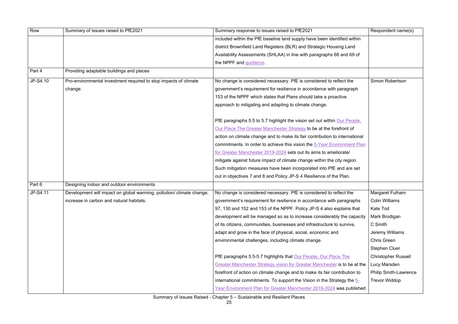| Row      | Summary of issues raised to PfE2021                                   | Summary response to issues raised to PfE2021                                | Respondent name(s)           |
|----------|-----------------------------------------------------------------------|-----------------------------------------------------------------------------|------------------------------|
|          |                                                                       | included within the PfE baseline land supply have been identified within    |                              |
|          |                                                                       | district Brownfield Land Registers (BLR) and Strategic Housing Land         |                              |
|          |                                                                       | Availability Assessments (SHLAA) in line with paragraphs 68 and 69 of       |                              |
|          |                                                                       | the NPPF and guidance.                                                      |                              |
| Part 4   | Providing adaptable buildings and places                              |                                                                             |                              |
| JP-S4.10 | Pro-environmental investment required to stop impacts of climate      | No change is considered necessary. PfE is considered to reflect the         | Simon Robertson              |
|          | change.                                                               | government's requirement for resilience in accordance with paragraph        |                              |
|          |                                                                       | 153 of the NPPF which states that Plans should take a proactive             |                              |
|          |                                                                       | approach to mitigating and adapting to climate change.                      |                              |
|          |                                                                       |                                                                             |                              |
|          |                                                                       | PfE paragraphs 5.5 to 5.7 highlight the vision set out within Our People.   |                              |
|          |                                                                       | Our Place The Greater Manchester Strategy to be at the forefront of         |                              |
|          |                                                                       | action on climate change and to make its fair contribution to international |                              |
|          |                                                                       | commitments. In order to achieve this vision the 5-Year Environment Plan    |                              |
|          |                                                                       | for Greater Manchester 2019-2024 sets out its aims to ameliorate/           |                              |
|          |                                                                       | mitigate against future impact of climate change within the city region.    |                              |
|          |                                                                       | Such mitigation measures have been incorporated into PfE and are set        |                              |
|          |                                                                       | out in objectives 7 and 8 and Policy JP-S 4 Resilience of the Plan.         |                              |
| Part 6   | Designing indoor and outdoor environments                             |                                                                             |                              |
| JP-S4.11 | Development will impact on global warming, pollution/ climate change, | No change is considered necessary. PfE is considered to reflect the         | Margaret Fulham              |
|          | increase in carbon and natural habitats.                              | government's requirement for resilience in accordance with paragraphs       | <b>Colin Williams</b>        |
|          |                                                                       | 97, 130 and 152 and 153 of the NPPF. Policy JP-S 4 also explains that       | <b>Kate Tod</b>              |
|          |                                                                       | development will be managed so as to increase considerably the capacity     | Mark Brodigan                |
|          |                                                                       | of its citizens, communities, businesses and infrastructure to survive,     | C Smith                      |
|          |                                                                       | adapt and grow in the face of physical, social, economic and                | Jeremy Williams              |
|          |                                                                       | environmental challenges, including climate change.                         | <b>Chris Green</b>           |
|          |                                                                       |                                                                             | <b>Stephen Cluer</b>         |
|          |                                                                       | PfE paragraphs 5.5-5.7 highlights that Our People, Our Place The            | <b>Christopher Russell</b>   |
|          |                                                                       | Greater Manchester Strategy vision for Greater Manchester is to be at the   | Lucy Marsden                 |
|          |                                                                       | forefront of action on climate change and to make its fair contribution to  | <b>Philip Smith-Lawrence</b> |
|          |                                                                       | international commitments. To support the Vision in the Strategy the 5-     | <b>Trevor Widdop</b>         |
|          |                                                                       | Year Environment Plan for Greater Manchester 2019-2024 was published        |                              |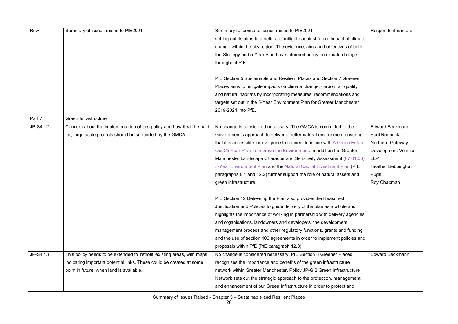| Row        | Summary of issues raised to PfE2021                                      | Summary response to issues raised to PfE2021                                  | Respondent name(s)         |
|------------|--------------------------------------------------------------------------|-------------------------------------------------------------------------------|----------------------------|
|            |                                                                          | setting out its aims to ameliorate/ mitigate against future impact of climate |                            |
|            |                                                                          | change within the city region. The evidence, aims and objectives of both      |                            |
|            |                                                                          | the Strategy and 5-Year Plan have informed policy on climate change           |                            |
|            |                                                                          | throughout PfE.                                                               |                            |
|            |                                                                          |                                                                               |                            |
|            |                                                                          | PfE Section 5 Sustainable and Resilient Places and Section 7 Greener          |                            |
|            |                                                                          | Places aims to mitigate impacts on climate change, carbon, air quality        |                            |
|            |                                                                          | and natural habitats by incorporating measures, recommendations and           |                            |
|            |                                                                          | targets set out in the 5-Year Environment Plan for Greater Manchester         |                            |
|            |                                                                          | 2019-2024 into PfE.                                                           |                            |
| Part 7     | Green Infrastructure                                                     |                                                                               |                            |
| JP-S4.12   | Concern about the implementation of this policy and how it will be paid  | No change is considered necessary. The GMCA is committed to the               | <b>Edward Beckmann</b>     |
|            | for; large scale projects should be supported by the GMCA.               | Government's approach to deliver a better natural environment ensuring        | Paul Roebuck               |
|            |                                                                          | that it is accessible for everyone to connect to in line with A Green Future: | <b>Northern Gateway</b>    |
|            |                                                                          | Our 25 Year Plan to Improve the Environment. In addition the Greater          | <b>Development Vehicle</b> |
|            |                                                                          | Manchester Landscape Character and Sensitivity Assessment (07.01.06),         | <b>LLP</b>                 |
|            |                                                                          | 5-Year Environment Plan and the Natural Capital Investment Plan (PfE)         | <b>Heather Bebbington</b>  |
|            |                                                                          | paragraphs 8.1 and 12.2) further support the role of natural assets and       | Pugh                       |
|            |                                                                          | green infrastructure.                                                         | Roy Chapman                |
|            |                                                                          | PfE Section 12 Delivering the Plan also provides the Reasoned                 |                            |
|            |                                                                          | Justification and Policies to guide delivery of the plan as a whole and       |                            |
|            |                                                                          |                                                                               |                            |
|            |                                                                          | highlights the importance of working in partnership with delivery agencies    |                            |
|            |                                                                          | and organisations, landowners and developers, the development                 |                            |
|            |                                                                          | management process and other regulatory functions, grants and funding         |                            |
|            |                                                                          | and the use of section 106 agreements in order to implement policies and      |                            |
| $JP-S4.13$ |                                                                          | proposals within PfE (PfE paragraph 12.3).                                    | <b>Edward Beckmann</b>     |
|            | This policy needs to be extended to 'retrofit' existing areas, with maps | No change is considered necessary. PfE Section 8 Greener Places               |                            |
|            | indicating important potential links. These could be created at some     | recognises the importance and benefits of the green infrastructure            |                            |
|            | point in future, when land is available.                                 | network within Greater Manchester. Policy JP-G 2 Green Infrastructure         |                            |
|            |                                                                          | Network sets out the strategic approach to the protection, management         |                            |
|            |                                                                          | and enhancement of our Green Infrastructure in order to protect and           |                            |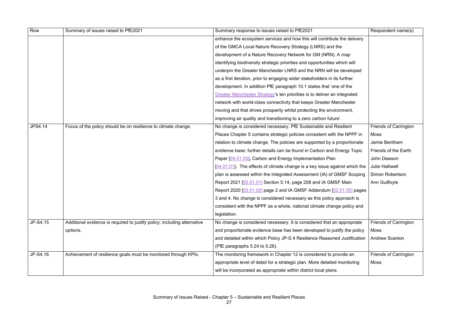| Row            | Summary of issues raised to PfE2021                                      | Summary response to issues raised to PfE2021                               | Respondent name(s)           |
|----------------|--------------------------------------------------------------------------|----------------------------------------------------------------------------|------------------------------|
|                |                                                                          | enhance the ecosystem services and how this will contribute the delivery   |                              |
|                |                                                                          | of the GMCA Local Nature Recovery Strategy (LNRS) and the                  |                              |
|                |                                                                          | development of a Nature Recovery Network for GM (NRN). A map               |                              |
|                |                                                                          | identifying biodiversity strategic priorities and opportunities which will |                              |
|                |                                                                          | underpin the Greater Manchester LNRS and the NRN will be developed         |                              |
|                |                                                                          | as a first iteration, prior to engaging wider stakeholders in its further  |                              |
|                |                                                                          | development. In addition PfE paragraph 10.1 states that 'one of the        |                              |
|                |                                                                          | Greater Manchester Strategy's ten priorities is to deliver an integrated   |                              |
|                |                                                                          | network with world-class connectivity that keeps Greater Manchester        |                              |
|                |                                                                          | moving and that drives prosperity whilst protecting the environment,       |                              |
|                |                                                                          | improving air quality and transitioning to a zero carbon future'.          |                              |
| <b>JPS4.14</b> | Focus of the policy should be on resilience to climate change.           | No change is considered necessary. PfE Sustainable and Resilient           | <b>Friends of Carrington</b> |
|                |                                                                          | Places Chapter 5 contains strategic policies consistent with the NPPF in   | <b>Moss</b>                  |
|                |                                                                          | relation to climate change. The policies are supported by a proportionate  | Jamie Bentham                |
|                |                                                                          | evidence base: further details can be found in Carbon and Energy Topic     | Friends of the Earth         |
|                |                                                                          | Paper [04.01.05], Carbon and Energy Implementation Plan                    | John Dawson                  |
|                |                                                                          | [04.01.01]. The effects of climate change is a key issue against which the | <b>Julie Halliwell</b>       |
|                |                                                                          | plan is assessed within the Integrated Assessment (IA) of GMSF Scoping     | <b>Simon Robertson</b>       |
|                |                                                                          | Report 2021 [02.01.01] Section 5.14, page 208 and IA GMSF Main             | Ann Guilfoyle                |
|                |                                                                          | Report 2020 [02.01.02] page 2 and IA GMSF Addendum [02.01.05] pages        |                              |
|                |                                                                          | 3 and 4. No change is considered necessary as this policy approach is      |                              |
|                |                                                                          | consistent with the NPPF as a whole, national climate change policy and    |                              |
|                |                                                                          | legislation.                                                               |                              |
| JP-S4.15       | Additional evidence is required to justify policy; including alternative | No change is considered necessary. It is considered that an appropriate    | <b>Friends of Carrington</b> |
|                | options.                                                                 | and proportionate evidence base has been developed to justify the policy   | Moss                         |
|                |                                                                          | and detailed within which Policy JP-S 4 Resilience Reasoned Justification  | <b>Andrew Scanlon</b>        |
|                |                                                                          | (PfE paragraphs 5.24 to 5.28).                                             |                              |
| JP-S4.16       | Achievement of resilience goals must be monitored through KPIs.          | The monitoring framework in Chapter 12 is considered to provide an         | <b>Friends of Carrington</b> |
|                |                                                                          | appropriate level of detail for a strategic plan. More detailed monitoring | Moss                         |
|                |                                                                          | will be incorporated as appropriate within district local plans.           |                              |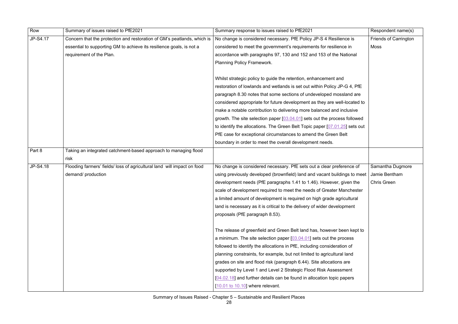| Row      | Summary of issues raised to PfE2021                                     | Summary response to issues raised to PfE2021                                | Respondent name(s)           |
|----------|-------------------------------------------------------------------------|-----------------------------------------------------------------------------|------------------------------|
| JP-S4.17 | Concern that the protection and restoration of GM's peatlands, which is | No change is considered necessary. PfE Policy JP-S 4 Resilience is          | <b>Friends of Carrington</b> |
|          | essential to supporting GM to achieve its resilience goals, is not a    | considered to meet the government's requirements for resilience in          | Moss                         |
|          | requirement of the Plan.                                                | accordance with paragraphs 97, 130 and 152 and 153 of the National          |                              |
|          |                                                                         | <b>Planning Policy Framework.</b>                                           |                              |
|          |                                                                         |                                                                             |                              |
|          |                                                                         | Whilst strategic policy to guide the retention, enhancement and             |                              |
|          |                                                                         | restoration of lowlands and wetlands is set out within Policy JP-G 4, PfE   |                              |
|          |                                                                         | paragraph 8.30 notes that some sections of undeveloped mossland are         |                              |
|          |                                                                         | considered appropriate for future development as they are well-located to   |                              |
|          |                                                                         | make a notable contribution to delivering more balanced and inclusive       |                              |
|          |                                                                         | growth. The site selection paper [03.04.01] sets out the process followed   |                              |
|          |                                                                         | to identify the allocations. The Green Belt Topic paper [07.01.25] sets out |                              |
|          |                                                                         | PfE case for exceptional circumstances to amend the Green Belt              |                              |
|          |                                                                         | boundary in order to meet the overall development needs.                    |                              |
| Part 8   | Taking an integrated catchment-based approach to managing flood         |                                                                             |                              |
|          | risk                                                                    |                                                                             |                              |
| JP-S4.18 | Flooding farmers' fields/ loss of agricultural land will impact on food | No change is considered necessary. PfE sets out a clear preference of       | Samantha Dugmore             |
|          | demand/ production                                                      | using previously developed (brownfield) land and vacant buildings to meet   | Jamie Bentham                |
|          |                                                                         | development needs (PfE paragraphs 1.41 to 1.46). However, given the         | <b>Chris Green</b>           |
|          |                                                                         | scale of development required to meet the needs of Greater Manchester       |                              |
|          |                                                                         | a limited amount of development is required on high grade agricultural      |                              |
|          |                                                                         | land is necessary as it is critical to the delivery of wider development    |                              |
|          |                                                                         | proposals (PfE paragraph 8.53).                                             |                              |
|          |                                                                         |                                                                             |                              |
|          |                                                                         | The release of greenfield and Green Belt land has, however been kept to     |                              |
|          |                                                                         | a minimum. The site selection paper [03.04.01] sets out the process         |                              |
|          |                                                                         | followed to identify the allocations in PfE, including consideration of     |                              |
|          |                                                                         | planning constraints, for example, but not limited to agricultural land     |                              |
|          |                                                                         | grades on site and flood risk (paragraph 6.44). Site allocations are        |                              |
|          |                                                                         | supported by Level 1 and Level 2 Strategic Flood Risk Assessment            |                              |
|          |                                                                         | $[04.02.18]$ and further details can be found in allocation topic papers    |                              |
|          |                                                                         | $[10.01$ to $10.10]$ where relevant.                                        |                              |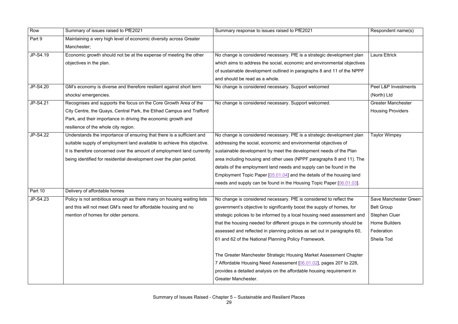| Row      | Summary of issues raised to PfE2021                                                                                                                                                                                                                                                              | Summary response to issues raised to PfE2021                                                                                                                                                                                                                                                                                                                                                                                                                                                                    | Respondent name(s)                                                                                                     |
|----------|--------------------------------------------------------------------------------------------------------------------------------------------------------------------------------------------------------------------------------------------------------------------------------------------------|-----------------------------------------------------------------------------------------------------------------------------------------------------------------------------------------------------------------------------------------------------------------------------------------------------------------------------------------------------------------------------------------------------------------------------------------------------------------------------------------------------------------|------------------------------------------------------------------------------------------------------------------------|
| Part 9   | Maintaining a very high level of economic diversity across Greater<br>Manchester;                                                                                                                                                                                                                |                                                                                                                                                                                                                                                                                                                                                                                                                                                                                                                 |                                                                                                                        |
| JP-S4.19 | Economic growth should not be at the expense of meeting the other<br>objectives in the plan.                                                                                                                                                                                                     | No change is considered necessary. PfE is a strategic development plan<br>which aims to address the social, economic and environmental objectives<br>of sustainable development outlined in paragraphs 8 and 11 of the NPPF<br>and should be read as a whole.                                                                                                                                                                                                                                                   | <b>Laura Ettrick</b>                                                                                                   |
| JP-S4.20 | GM's economy is diverse and therefore resilient against short term<br>shocks/ emergencies.                                                                                                                                                                                                       | No change is considered necessary. Support welcomed                                                                                                                                                                                                                                                                                                                                                                                                                                                             | Peel L&P Investments<br>(North) Ltd                                                                                    |
| JP-S4.21 | Recognises and supports the focus on the Core Growth Area of the<br>City Centre, the Quays, Central Park, the Etihad Campus and Trafford<br>Park, and their importance in driving the economic growth and<br>resilience of the whole city region.                                                | No change is considered necessary. Support welcomed.                                                                                                                                                                                                                                                                                                                                                                                                                                                            | <b>Greater Manchester</b><br><b>Housing Providers</b>                                                                  |
| JP-S4.22 | Understands the importance of ensuring that there is a sufficient and<br>suitable supply of employment land available to achieve this objective.<br>It is therefore concerned over the amount of employment land currently<br>being identified for residential development over the plan period. | No change is considered necessary. PfE is a strategic development plan<br>addressing the social, economic and environmental objectives of<br>sustainable development by meet the development needs of the Plan<br>area including housing and other uses (NPPF paragraphs 8 and 11). The<br>details of the employment land needs and supply can be found in the<br>Employment Topic Paper [05.01.04] and the details of the housing land<br>needs and supply can be found in the Housing Topic Paper [06.01.03]. | <b>Taylor Wimpey</b>                                                                                                   |
| Part 10  | Delivery of affordable homes                                                                                                                                                                                                                                                                     |                                                                                                                                                                                                                                                                                                                                                                                                                                                                                                                 |                                                                                                                        |
| JP-S4.23 | Policy is not ambitious enough as there many on housing waiting lists<br>and this will not meet GM's need for affordable housing and no<br>mention of homes for older persons.                                                                                                                   | No change is considered necessary. PfE is considered to reflect the<br>government's objective to significantly boost the supply of homes, for<br>strategic policies to be informed by a local housing need assessment and<br>that the housing needed for different groups in the community should be<br>assessed and reflected in planning policies as set out in paragraphs 60,<br>61 and 62 of the National Planning Policy Framework.                                                                        | Save Manchester Green<br><b>Belt Group</b><br><b>Stephen Cluer</b><br><b>Home Builders</b><br>Federation<br>Sheila Tod |
|          |                                                                                                                                                                                                                                                                                                  | The Greater Manchester Strategic Housing Market Assessment Chapter<br>7 Affordable Housing Need Assessment [06.01.02], pages 207 to 228,<br>provides a detailed analysis on the affordable housing requirement in<br>Greater Manchester.                                                                                                                                                                                                                                                                        |                                                                                                                        |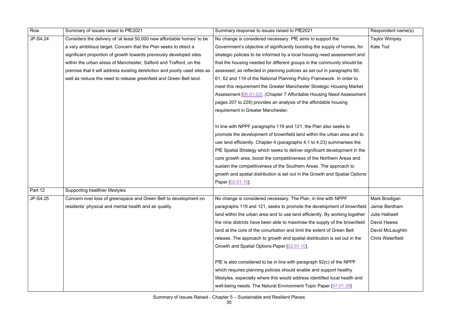| Row      | Summary of issues raised to PfE2021                                        | Summary response to issues raised to PfE2021                                 | Respondent name(s)      |
|----------|----------------------------------------------------------------------------|------------------------------------------------------------------------------|-------------------------|
| JP-S4.24 | Considers the delivery of 'at least 50,000 new affordable homes' to be     | No change is considered necessary. PfE aims to support the                   | <b>Taylor Wimpey</b>    |
|          | a very ambitious target. Concern that the Plan seeks to direct a           | Government's objective of significantly boosting the supply of homes, for    | Kate Tod                |
|          | significant proportion of growth towards previously developed sites        | strategic policies to be informed by a local housing need assessment and     |                         |
|          | within the urban areas of Manchester, Salford and Trafford, on the         | that the housing needed for different groups in the community should be      |                         |
|          | premise that it will address existing dereliction and poorly used sites as | assessed; as reflected in planning policies as set out in paragraphs 60,     |                         |
|          | well as reduce the need to release greenfield and Green Belt land.         | 61, 62 and 119 of the National Planning Policy Framework. In order to        |                         |
|          |                                                                            | meet this requirement the Greater Manchester Strategic Housing Market        |                         |
|          |                                                                            | Assessment [06.01.02], (Chapter 7 Affordable Housing Need Assessment         |                         |
|          |                                                                            | pages 207 to 228) provides an analysis of the affordable housing             |                         |
|          |                                                                            | requirement in Greater Manchester.                                           |                         |
|          |                                                                            |                                                                              |                         |
|          |                                                                            | In line with NPPF paragraphs 119 and 121, the Plan also seeks to             |                         |
|          |                                                                            | promote the development of brownfield land within the urban area and to      |                         |
|          |                                                                            | use land efficiently. Chapter 4 (paragraphs 4.1 to 4.23) summarises the      |                         |
|          |                                                                            | PfE Spatial Strategy which seeks to deliver significant development in the   |                         |
|          |                                                                            | core growth area, boost the competitiveness of the Northern Areas and        |                         |
|          |                                                                            | sustain the competitiveness of the Southern Areas. The approach to           |                         |
|          |                                                                            | growth and spatial distribution is set out in the Growth and Spatial Options |                         |
|          |                                                                            | Paper [02.01.10].                                                            |                         |
| Part 12  | Supporting healthier lifestyles                                            |                                                                              |                         |
| JP-S4.25 | Concern over loss of greenspace and Green Belt to development on           | No change is considered necessary. The Plan, in line with NPPF               | Mark Brodigan           |
|          | residents' physical and mental health and air quality.                     | paragraphs 119 and 121, seeks to promote the development of brownfield       | Jamie Bentham           |
|          |                                                                            | land within the urban area and to use land efficiently. By working together  | <b>Julie Halliwell</b>  |
|          |                                                                            | the nine districts have been able to maximise the supply of the brownfield   | David Hawes             |
|          |                                                                            | land at the core of the conurbation and limit the extent of Green Belt       | David McLaughlin        |
|          |                                                                            | release. The approach to growth and spatial distribution is set out in the   | <b>Chris Waterfield</b> |
|          |                                                                            | Growth and Spatial Options Paper [02.01.10].                                 |                         |
|          |                                                                            | PfE is also considered to be in line with paragraph 92(c) of the NPPF        |                         |
|          |                                                                            | which requires planning policies should enable and support healthy           |                         |
|          |                                                                            | lifestyles, especially where this would address identified local health and  |                         |
|          |                                                                            | well-being needs. The Natural Environment Topic Paper [07.01.26]             |                         |
|          |                                                                            |                                                                              |                         |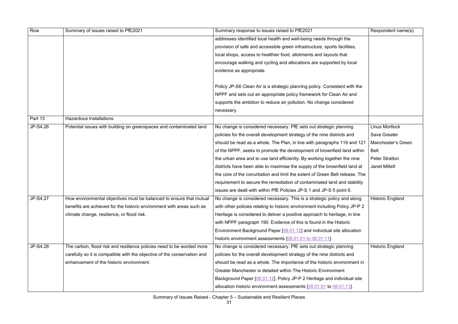| Row      | Summary of issues raised to PfE2021                                      | Summary response to issues raised to PfE2021                                 | Respondent name(s)      |
|----------|--------------------------------------------------------------------------|------------------------------------------------------------------------------|-------------------------|
|          |                                                                          | addresses identified local health and well-being needs through the           |                         |
|          |                                                                          | provision of safe and accessible green infrastructure, sports facilities,    |                         |
|          |                                                                          | local shops, access to healthier food, allotments and layouts that           |                         |
|          |                                                                          | encourage walking and cycling and allocations are supported by local         |                         |
|          |                                                                          | evidence as appropriate.                                                     |                         |
|          |                                                                          |                                                                              |                         |
|          |                                                                          | Policy JP-S6 Clean Air is a strategic planning policy. Consistent with the   |                         |
|          |                                                                          | NPPF and sets out an appropriate policy framework for Clean Air and          |                         |
|          |                                                                          | supports the ambition to reduce air pollution. No change considered          |                         |
|          |                                                                          | necessary.                                                                   |                         |
| Part 13  | <b>Hazardous Installations</b>                                           |                                                                              |                         |
| JP-S4.26 | Potential issues with building on greenspaces and contaminated land      | No change is considered necessary. PfE sets out strategic planning           | <b>Linus Mortlock</b>   |
|          |                                                                          | policies for the overall development strategy of the nine districts and      | <b>Save Greater</b>     |
|          |                                                                          | should be read as a whole. The Plan, in line with paragraphs 119 and 121     | Manchester's Green      |
|          |                                                                          | of the NPPF, seeks to promote the development of brownfield land within      | Belt                    |
|          |                                                                          | the urban area and to use land efficiently. By working together the nine     | <b>Peter Stratton</b>   |
|          |                                                                          | districts have been able to maximise the supply of the brownfield land at    | <b>Janet Millett</b>    |
|          |                                                                          | the core of the conurbation and limit the extent of Green Belt release. The  |                         |
|          |                                                                          | requirement to secure the remediation of contaminated land and stability     |                         |
|          |                                                                          | issues are dealt with within PfE Policies JP-S 1 and JP-S 5 point 6.         |                         |
| JP-S4.27 | How environmental objectives must be balanced to ensure that mutual      | No change is considered necessary. This is a strategic policy and along      | <b>Historic England</b> |
|          | benefits are achieved for the historic environment with areas such as    | with other policies relating to historic environment including Policy JP-P 2 |                         |
|          | climate change, resilience, or flood risk.                               | Heritage is considered to deliver a positive approach to heritage, in line   |                         |
|          |                                                                          | with NPPF paragraph 190. Evidence of this is found in the Historic           |                         |
|          |                                                                          | Environment Background Paper [08.01.12] and individual site allocation       |                         |
|          |                                                                          | historic environment assessments [08.01.01 to 08.01.11].                     |                         |
| JP-S4.28 | The carbon, flood risk and resilience policies need to be worded more    | No change is considered necessary. PfE sets out strategic planning           | <b>Historic England</b> |
|          | carefully so it is compatible with the objective of the conservation and | policies for the overall development strategy of the nine districts and      |                         |
|          | enhancement of the historic environment.                                 | should be read as a whole. The importance of the historic environment in     |                         |
|          |                                                                          | Greater Manchester is detailed within The Historic Environment               |                         |
|          |                                                                          | Background Paper [08.01.12]. Policy JP-P 2 Heritage and individual site      |                         |
|          |                                                                          | allocation historic environment assessments [08.01.01 to 08.01.11].          |                         |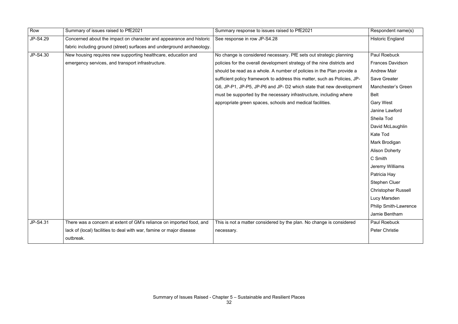| Row      | Summary of issues raised to PfE2021                                    | Summary response to issues raised to PfE2021                              | Respondent name(s)           |
|----------|------------------------------------------------------------------------|---------------------------------------------------------------------------|------------------------------|
| JP-S4.29 | Concerned about the impact on character and appearance and historic    | See response in row JP-S4.28                                              | <b>Historic England</b>      |
|          | fabric including ground (street) surfaces and underground archaeology. |                                                                           |                              |
| JP-S4.30 | New housing requires new supporting healthcare, education and          | No change is considered necessary. PfE sets out strategic planning        | <b>Paul Roebuck</b>          |
|          | emergency services, and transport infrastructure.                      | policies for the overall development strategy of the nine districts and   | <b>Frances Davidson</b>      |
|          |                                                                        | should be read as a whole. A number of policies in the Plan provide a     | <b>Andrew Mair</b>           |
|          |                                                                        | sufficient policy framework to address this matter, such as Policies, JP- | <b>Save Greater</b>          |
|          |                                                                        | G6, JP-P1, JP-P5, JP-P6 and JP- D2 which state that new development       | Manchester's Green           |
|          |                                                                        | must be supported by the necessary infrastructure, including where        | Belt                         |
|          |                                                                        | appropriate green spaces, schools and medical facilities.                 | <b>Gary West</b>             |
|          |                                                                        |                                                                           | Janine Lawford               |
|          |                                                                        |                                                                           | Sheila Tod                   |
|          |                                                                        |                                                                           | David McLaughlin             |
|          |                                                                        |                                                                           | Kate Tod                     |
|          |                                                                        |                                                                           | Mark Brodigan                |
|          |                                                                        |                                                                           | <b>Alison Doherty</b>        |
|          |                                                                        |                                                                           | C Smith                      |
|          |                                                                        |                                                                           | Jeremy Williams              |
|          |                                                                        |                                                                           | Patricia Hay                 |
|          |                                                                        |                                                                           | <b>Stephen Cluer</b>         |
|          |                                                                        |                                                                           | <b>Christopher Russell</b>   |
|          |                                                                        |                                                                           | Lucy Marsden                 |
|          |                                                                        |                                                                           | <b>Philip Smith-Lawrence</b> |
|          |                                                                        |                                                                           | Jamie Bentham                |
| JP-S4.31 | There was a concern at extent of GM's reliance on imported food, and   | This is not a matter considered by the plan. No change is considered      | Paul Roebuck                 |
|          | lack of (local) facilities to deal with war, famine or major disease   | necessary.                                                                | <b>Peter Christie</b>        |
|          | outbreak.                                                              |                                                                           |                              |
|          |                                                                        |                                                                           |                              |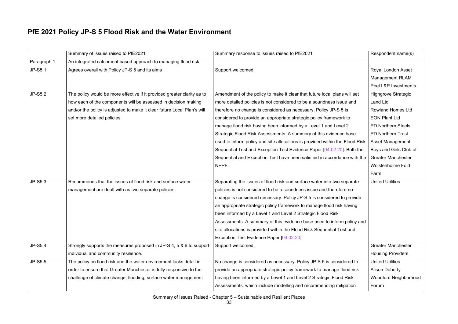#### **PfE 2021 Policy JP-S 5 Flood Risk and the Water Environment**

|                | Summary of issues raised to PfE2021                                     | Summary response to issues raised to PfE2021                                 | Respondent name(s)           |
|----------------|-------------------------------------------------------------------------|------------------------------------------------------------------------------|------------------------------|
| Paragraph 1    | An integrated catchment based approach to managing flood risk           |                                                                              |                              |
| <b>JP-S5.1</b> | Agrees overall with Policy JP-S 5 and its aims                          | Support welcomed.                                                            | Royal London Asset           |
|                |                                                                         |                                                                              | <b>Management RLAM</b>       |
|                |                                                                         |                                                                              | Peel L&P Investments         |
| JP-S5.2        | The policy would be more effective if it provided greater clarity as to | Amendment of the policy to make it clear that future local plans will set    | <b>Highgrove Strategic</b>   |
|                | how each of the components will be assessed in decision making          | more detailed policies is not considered to be a soundness issue and         | <b>Land Ltd</b>              |
|                | and/or the policy is adjusted to make it clear future Local Plan's will | therefore no change is considered as necessary. Policy JP-S 5 is             | <b>Rowland Homes Ltd</b>     |
|                | set more detailed policies.                                             | considered to provide an appropriate strategic policy framework to           | <b>EON Plant Ltd</b>         |
|                |                                                                         | manage flood risk having been informed by a Level 1 and Level 2              | <b>PD Northern Steels</b>    |
|                |                                                                         | Strategic Flood Risk Assessments. A summary of this evidence base            | <b>PD Northern Trust</b>     |
|                |                                                                         | used to inform policy and site allocations is provided within the Flood Risk | Asset Management             |
|                |                                                                         | Sequential Test and Exception Test Evidence Paper [04.02.20]. Both the       | Boys and Girls Club of       |
|                |                                                                         | Sequential and Exception Test have been satisfied in accordance with the     | <b>Greater Manchester</b>    |
|                |                                                                         | NPPF.                                                                        | <b>Wolstenholme Fold</b>     |
|                |                                                                         |                                                                              | Farm                         |
| JP-S5.3        | Recommends that the issues of flood risk and surface water              | Separating the issues of flood risk and surface water into two separate      | <b>United Utilities</b>      |
|                | management are dealt with as two separate policies.                     | policies is not considered to be a soundness issue and therefore no          |                              |
|                |                                                                         | change is considered necessary. Policy JP-S 5 is considered to provide       |                              |
|                |                                                                         | an appropriate strategic policy framework to manage flood risk having        |                              |
|                |                                                                         | been informed by a Level 1 and Level 2 Strategic Flood Risk                  |                              |
|                |                                                                         | Assessments. A summary of this evidence base used to inform policy and       |                              |
|                |                                                                         | site allocations is provided within the Flood Risk Sequential Test and       |                              |
|                |                                                                         | Exception Test Evidence Paper [04.02.20].                                    |                              |
| JP-S5.4        | Strongly supports the measures proposed in JP-S 4, 5 & 6 to support     | Support welcomed.                                                            | <b>Greater Manchester</b>    |
|                | individual and community resilience.                                    |                                                                              | <b>Housing Providers</b>     |
| JP-S5.5        | The policy on flood risk and the water environment lacks detail in      | No change is considered as necessary. Policy JP-S 5 is considered to         | <b>United Utilities</b>      |
|                | order to ensure that Greater Manchester is fully responsive to the      | provide an appropriate strategic policy framework to manage flood risk       | <b>Alison Doherty</b>        |
|                | challenge of climate change, flooding, surface water management         | having been informed by a Level 1 and Level 2 Strategic Flood Risk           | <b>Woodford Neighborhood</b> |
|                |                                                                         | Assessments, which include modelling and recommending mitigation             | Forum                        |
|                |                                                                         |                                                                              |                              |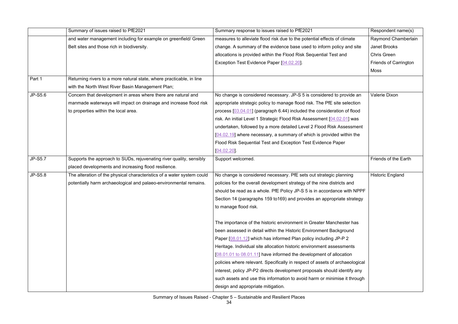|                | Summary of issues raised to PfE2021                                    | Summary response to issues raised to PfE2021                                 | Respondent name(s)           |
|----------------|------------------------------------------------------------------------|------------------------------------------------------------------------------|------------------------------|
|                | and water management including for example on greenfield/ Green        | measures to alleviate flood risk due to the potential effects of climate     | Raymond Chamberlain          |
|                | Belt sites and those rich in biodiversity.                             | change. A summary of the evidence base used to inform policy and site        | Janet Brooks                 |
|                |                                                                        | allocations is provided within the Flood Risk Sequential Test and            | <b>Chris Green</b>           |
|                |                                                                        | Exception Test Evidence Paper [04.02.20].                                    | <b>Friends of Carrington</b> |
|                |                                                                        |                                                                              | Moss                         |
| Part 1         | Returning rivers to a more natural state, where practicable, in line   |                                                                              |                              |
|                | with the North West River Basin Management Plan;                       |                                                                              |                              |
| JP-S5.6        | Concern that development in areas where there are natural and          | No change is considered necessary. JP-S 5 is considered to provide an        | Valerie Dixon                |
|                | manmade waterways will impact on drainage and increase flood risk      | appropriate strategic policy to manage flood risk. The PfE site selection    |                              |
|                | to properties within the local area.                                   | process [03.04.01] (paragraph 6.44) included the consideration of flood      |                              |
|                |                                                                        | risk. An initial Level 1 Strategic Flood Risk Assessment [04.02.01] was      |                              |
|                |                                                                        | undertaken, followed by a more detailed Level 2 Flood Risk Assessment        |                              |
|                |                                                                        | $[04.02.19]$ where necessary, a summary of which is provided within the      |                              |
|                |                                                                        | Flood Risk Sequential Test and Exception Test Evidence Paper                 |                              |
|                |                                                                        | [04.02.20]                                                                   |                              |
| <b>JP-S5.7</b> | Supports the approach to SUDs, rejuvenating river quality, sensibly    | Support welcomed.                                                            | Friends of the Earth         |
|                | placed developments and increasing flood resilience.                   |                                                                              |                              |
| <b>JP-S5.8</b> | The alteration of the physical characteristics of a water system could | No change is considered necessary. PfE sets out strategic planning           | <b>Historic England</b>      |
|                | potentially harm archaeological and palaeo-environmental remains.      | policies for the overall development strategy of the nine districts and      |                              |
|                |                                                                        | should be read as a whole. PfE Policy JP-S 5 is in accordance with NPPF      |                              |
|                |                                                                        | Section 14 (paragraphs 159 to169) and provides an appropriate strategy       |                              |
|                |                                                                        | to manage flood risk.                                                        |                              |
|                |                                                                        |                                                                              |                              |
|                |                                                                        | The importance of the historic environment in Greater Manchester has         |                              |
|                |                                                                        | been assessed in detail within the Historic Environment Background           |                              |
|                |                                                                        | Paper [08.01.12] which has informed Plan policy including JP-P 2             |                              |
|                |                                                                        | Heritage. Individual site allocation historic environment assessments        |                              |
|                |                                                                        | [08.01.01 to 08.01.11] have informed the development of allocation           |                              |
|                |                                                                        | policies where relevant. Specifically in respect of assets of archaeological |                              |
|                |                                                                        | interest, policy JP-P2 directs development proposals should identify any     |                              |
|                |                                                                        | such assets and use this information to avoid harm or minimise it through    |                              |
|                |                                                                        | design and appropriate mitigation.                                           |                              |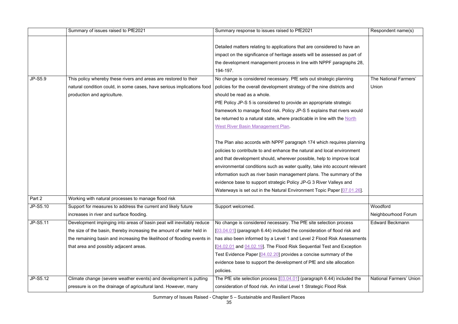|          | Summary of issues raised to PfE2021                                     | Summary response to issues raised to PfE2021                               | Respondent name(s)             |
|----------|-------------------------------------------------------------------------|----------------------------------------------------------------------------|--------------------------------|
|          |                                                                         |                                                                            |                                |
|          |                                                                         | Detailed matters relating to applications that are considered to have an   |                                |
|          |                                                                         | impact on the significance of heritage assets will be assessed as part of  |                                |
|          |                                                                         | the development management process in line with NPPF paragraphs 28,        |                                |
|          |                                                                         | 194-197.                                                                   |                                |
| JP-S5.9  | This policy whereby these rivers and areas are restored to their        | No change is considered necessary. PfE sets out strategic planning         | The National Farmers'          |
|          | natural condition could, in some cases, have serious implications food  | policies for the overall development strategy of the nine districts and    | Union                          |
|          | production and agriculture.                                             | should be read as a whole.                                                 |                                |
|          |                                                                         | PfE Policy JP-S 5 is considered to provide an appropriate strategic        |                                |
|          |                                                                         | framework to manage flood risk. Policy JP-S 5 explains that rivers would   |                                |
|          |                                                                         | be returned to a natural state, where practicable in line with the North   |                                |
|          |                                                                         | <b>West River Basin Management Plan</b>                                    |                                |
|          |                                                                         |                                                                            |                                |
|          |                                                                         | The Plan also accords with NPPF paragraph 174 which requires planning      |                                |
|          |                                                                         | policies to contribute to and enhance the natural and local environment    |                                |
|          |                                                                         | and that development should, wherever possible, help to improve local      |                                |
|          |                                                                         | environmental conditions such as water quality, take into account relevant |                                |
|          |                                                                         | information such as river basin management plans. The summary of the       |                                |
|          |                                                                         | evidence base to support strategic Policy JP-G 3 River Valleys and         |                                |
|          |                                                                         | Waterways is set out in the Natural Environment Topic Paper [07.01.26].    |                                |
| Part 2   | Working with natural processes to manage flood risk                     |                                                                            |                                |
| JP-S5.10 | Support for measures to address the current and likely future           | Support welcomed.                                                          | Woodford                       |
|          | increases in river and surface flooding.                                |                                                                            | Neighbourhood Forum            |
| JP-S5.11 | Development impinging into areas of basin peat will inevitably reduce   | No change is considered necessary. The PfE site selection process          | <b>Edward Beckmann</b>         |
|          | the size of the basin, thereby increasing the amount of water held in   | [03.04.01] (paragraph 6.44) included the consideration of flood risk and   |                                |
|          | the remaining basin and increasing the likelihood of flooding events in | has also been informed by a Level 1 and Level 2 Flood Risk Assessments     |                                |
|          | that area and possibly adjacent areas.                                  | [04.02.01 and 04.02.19]. The Flood Risk Sequential Test and Exception      |                                |
|          |                                                                         | Test Evidence Paper [04.02.20] provides a concise summary of the           |                                |
|          |                                                                         | evidence base to support the development of PfE and site allocation        |                                |
|          |                                                                         | policies.                                                                  |                                |
| JP-S5.12 | Climate change (severe weather events) and development is putting       | The PfE site selection process $[03.04.01]$ (paragraph 6.44) included the  | <b>National Farmers' Union</b> |
|          | pressure is on the drainage of agricultural land. However, many         | consideration of flood risk. An initial Level 1 Strategic Flood Risk       |                                |
|          |                                                                         |                                                                            |                                |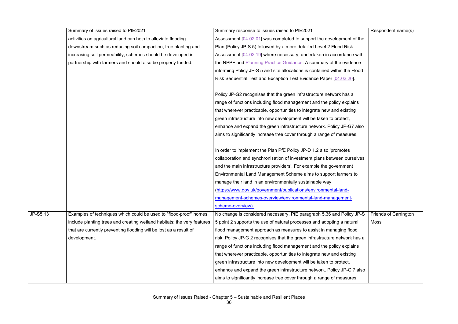|          | Summary of issues raised to PfE2021                                     | Summary response to issues raised to PfE2021                               | Respondent name(s)           |
|----------|-------------------------------------------------------------------------|----------------------------------------------------------------------------|------------------------------|
|          | activities on agricultural land can help to alleviate flooding          | Assessment [04.02.01] was completed to support the development of the      |                              |
|          | downstream such as reducing soil compaction, tree planting and          | Plan (Policy JP-S 5) followed by a more detailed Level 2 Flood Risk        |                              |
|          | increasing soil permeability; schemes should be developed in            | Assessment [04.02.19] where necessary, undertaken in accordance with       |                              |
|          | partnership with farmers and should also be properly funded.            | the NPPF and Planning Practice Guidance. A summary of the evidence         |                              |
|          |                                                                         | informing Policy JP-S 5 and site allocations is contained within the Flood |                              |
|          |                                                                         | Risk Sequential Test and Exception Test Evidence Paper [04.02.20].         |                              |
|          |                                                                         |                                                                            |                              |
|          |                                                                         | Policy JP-G2 recognises that the green infrastructure network has a        |                              |
|          |                                                                         | range of functions including flood management and the policy explains      |                              |
|          |                                                                         | that wherever practicable, opportunities to integrate new and existing     |                              |
|          |                                                                         | green infrastructure into new development will be taken to protect,        |                              |
|          |                                                                         | enhance and expand the green infrastructure network. Policy JP-G7 also     |                              |
|          |                                                                         | aims to significantly increase tree cover through a range of measures.     |                              |
|          |                                                                         |                                                                            |                              |
|          |                                                                         | In order to implement the Plan PfE Policy JP-D 1.2 also 'promotes          |                              |
|          |                                                                         | collaboration and synchronisation of investment plans between ourselves    |                              |
|          |                                                                         | and the main infrastructure providers'. For example the government         |                              |
|          |                                                                         | Environmental Land Management Scheme aims to support farmers to            |                              |
|          |                                                                         | manage their land in an environmentally sustainable way                    |                              |
|          |                                                                         | (https://www.gov.uk/government/publications/environmental-land-            |                              |
|          |                                                                         | management-schemes-overview/environmental-land-management-                 |                              |
|          |                                                                         | scheme-overview).                                                          |                              |
| JP-S5.13 | Examples of techniques which could be used to "flood-proof" homes       | No change is considered necessary. PfE paragraph 5.36 and Policy JP-S      | <b>Friends of Carrington</b> |
|          | include planting trees and creating wetland habitats; the very features | 5 point 2 supports the use of natural processes and adopting a natural     | <b>Moss</b>                  |
|          | that are currently preventing flooding will be lost as a result of      | flood management approach as measures to assist in managing flood          |                              |
|          | development.                                                            | risk. Policy JP-G 2 recognises that the green infrastructure network has a |                              |
|          |                                                                         | range of functions including flood management and the policy explains      |                              |
|          |                                                                         | that wherever practicable, opportunities to integrate new and existing     |                              |
|          |                                                                         | green infrastructure into new development will be taken to protect,        |                              |
|          |                                                                         | enhance and expand the green infrastructure network. Policy JP-G 7 also    |                              |
|          |                                                                         | aims to significantly increase tree cover through a range of measures.     |                              |
|          |                                                                         |                                                                            |                              |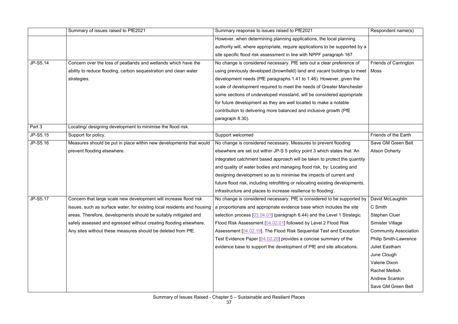|          | Summary of issues raised to PfE2021                                     | Summary response to issues raised to PfE2021                                                     | Respondent name(s)           |
|----------|-------------------------------------------------------------------------|--------------------------------------------------------------------------------------------------|------------------------------|
|          |                                                                         | However, when determining planning applications, the local planning                              |                              |
|          |                                                                         | authority will, where appropriate, require applications to be supported by a                     |                              |
|          |                                                                         | site specific flood risk assessment in line with NPPF paragraph 167.                             |                              |
| JP-S5.14 | Concern over the loss of peatlands and wetlands which have the          | No change is considered necessary. PfE sets out a clear preference of                            | <b>Friends of Carrington</b> |
|          | ability to reduce flooding, carbon sequestration and clean water        | using previously developed (brownfield) land and vacant buildings to meet   Moss                 |                              |
|          | strategies.                                                             | development needs (PfE paragraphs 1.41 to 1.46). However, given the                              |                              |
|          |                                                                         | scale of development required to meet the needs of Greater Manchester                            |                              |
|          |                                                                         | some sections of undeveloped mossland, will be considered appropriate                            |                              |
|          |                                                                         | for future development as they are well located to make a notable                                |                              |
|          |                                                                         | contribution to delivering more balanced and inclusive growth (PfE                               |                              |
|          |                                                                         | paragraph 8.30).                                                                                 |                              |
| Part 3   | Locating/ designing development to minimise the flood risk.             |                                                                                                  |                              |
| JP-S5.15 | Support for policy.                                                     | Support welcomed                                                                                 | Friends of the Earth         |
| JP-S5.16 | Measures should be put in place within new developments that would      | No change is considered necessary. Measures to prevent flooding                                  | Save GM Green Belt           |
|          | prevent flooding elsewhere.                                             | elsewhere are set out within JP-S 5 policy point 3 which states that 'An                         | <b>Alison Doherty</b>        |
|          |                                                                         | integrated catchment based approach will be taken to protect the quantity                        |                              |
|          |                                                                         | and quality of water bodies and managing flood risk, by: Locating and                            |                              |
|          |                                                                         | designing development so as to minimise the impacts of current and                               |                              |
|          |                                                                         | future flood risk, including retrofitting or relocating existing developments,                   |                              |
|          |                                                                         | infrastructure and places to increase resilience to flooding'.                                   |                              |
| JP-S5.17 | Concern that large scale new development will increase flood risk       | No change is considered necessary. PfE is considered to be supported by $\vert$ David McLaughlin |                              |
|          | issues, such as surface water, for existing local residents and housing | a proportionate and appropriate evidence base which includes the site                            | C Smith                      |
|          | areas. Therefore, developments should be suitably mitigated and         | selection process [03.04.01] (paragraph 6.44) and the Level 1 Strategic                          | <b>Stephen Cluer</b>         |
|          | safely assessed and egressed without creating flooding elsewhere.       | Flood Risk Assessment [04.02.01] followed by Level 2 Flood Risk                                  | Simister Village             |
|          | Any sites without these measures should be deleted from PfE.            | Assessment [04.02.19]. The Flood Risk Sequential Test and Exception                              | <b>Community Association</b> |
|          |                                                                         | Test Evidence Paper [04.02.20] provides a concise summary of the                                 | <b>Philip Smith-Lawrence</b> |
|          |                                                                         | evidence base to support the development of PfE and site allocations.                            | <b>Juliet Eastham</b>        |
|          |                                                                         |                                                                                                  | June Clough                  |
|          |                                                                         |                                                                                                  | Valerie Dixon                |
|          |                                                                         |                                                                                                  | <b>Rachel Mellish</b>        |
|          |                                                                         |                                                                                                  | <b>Andrew Scanlon</b>        |
|          |                                                                         |                                                                                                  | Save GM Green Belt           |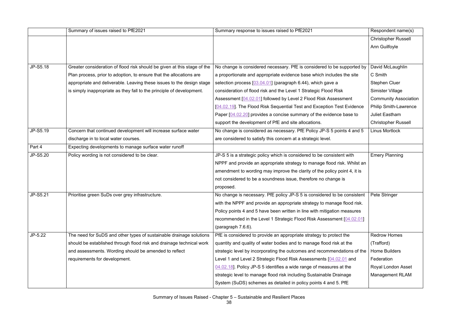|          | Summary of issues raised to PfE2021                                      | Summary response to issues raised to PfE2021                              | Respondent name(s)           |
|----------|--------------------------------------------------------------------------|---------------------------------------------------------------------------|------------------------------|
|          |                                                                          |                                                                           | <b>Christopher Russell</b>   |
|          |                                                                          |                                                                           | Ann Guilfoyle                |
|          |                                                                          |                                                                           |                              |
|          |                                                                          |                                                                           |                              |
| JP-S5.18 | Greater consideration of flood risk should be given at this stage of the | No change is considered necessary. PfE is considered to be supported by   | David McLaughlin             |
|          | Plan process, prior to adoption, to ensure that the allocations are      | a proportionate and appropriate evidence base which includes the site     | C Smith                      |
|          | appropriate and deliverable. Leaving these issues to the design stage    | selection process [03.04.01] (paragraph 6.44), which gave a               | <b>Stephen Cluer</b>         |
|          | is simply inappropriate as they fall to the principle of development.    | consideration of flood risk and the Level 1 Strategic Flood Risk          | <b>Simister Village</b>      |
|          |                                                                          | Assessment [04.02.01] followed by Level 2 Flood Risk Assessment           | <b>Community Association</b> |
|          |                                                                          | [04.02.19]. The Flood Risk Sequential Test and Exception Test Evidence    | <b>Philip Smith-Lawrence</b> |
|          |                                                                          | Paper [04.02.20] provides a concise summary of the evidence base to       | <b>Juliet Eastham</b>        |
|          |                                                                          | support the development of PfE and site allocations.                      | <b>Christopher Russell</b>   |
| JP-S5.19 | Concern that continued development will increase surface water           | No change is considered as necessary. PfE Policy JP-S 5 points 4 and 5    | Linus Mortlock               |
|          | discharge in to local water courses.                                     | are considered to satisfy this concern at a strategic level.              |                              |
| Part 4   | Expecting developments to manage surface water runoff                    |                                                                           |                              |
| JP-S5.20 | Policy wording is not considered to be clear.                            | JP-S 5 is a strategic policy which is considered to be consistent with    | <b>Emery Planning</b>        |
|          |                                                                          | NPPF and provide an appropriate strategy to manage flood risk. Whilst an  |                              |
|          |                                                                          | amendment to wording may improve the clarity of the policy point 4, it is |                              |
|          |                                                                          | not considered to be a soundness issue, therefore no change is            |                              |
|          |                                                                          | proposed.                                                                 |                              |
| JP-S5.21 | Prioritise green SuDs over grey infrastructure.                          | No change is necessary. PfE policy JP-S 5 is considered to be consistent  | Pete Stringer                |
|          |                                                                          | with the NPPF and provide an appropriate strategy to manage flood risk.   |                              |
|          |                                                                          | Policy points 4 and 5 have been written in line with mitigation measures  |                              |
|          |                                                                          | recommended in the Level 1 Strategic Flood Risk Assessment [04.02.01]     |                              |
|          |                                                                          | (paragraph 7.6.6).                                                        |                              |
| JP-5.22  | The need for SuDS and other types of sustainable drainage solutions      | PfE is considered to provide an appropriate strategy to protect the       | <b>Redrow Homes</b>          |
|          | should be established through flood risk and drainage technical work     | quantity and quality of water bodies and to manage flood risk at the      | (Trafford)                   |
|          | and assessments. Wording should be amended to reflect                    | strategic level by incorporating the outcomes and recommendations of the  | <b>Home Builders</b>         |
|          | requirements for development.                                            | Level 1 and Level 2 Strategic Flood Risk Assessments [04.02.01 and        | Federation                   |
|          |                                                                          | 04.02.18]. Policy JP-S 5 identifies a wide range of measures at the       | <b>Royal London Asset</b>    |
|          |                                                                          | strategic level to manage flood risk including Sustainable Drainage       | <b>Management RLAM</b>       |
|          |                                                                          | System (SuDS) schemes as detailed in policy points 4 and 5. PfE           |                              |
|          |                                                                          |                                                                           |                              |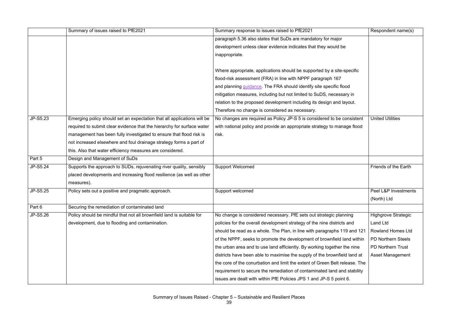|          | Summary of issues raised to PfE2021                                     | Summary response to issues raised to PfE2021                                | Respondent name(s)         |
|----------|-------------------------------------------------------------------------|-----------------------------------------------------------------------------|----------------------------|
|          |                                                                         | paragraph 5.36 also states that SuDs are mandatory for major                |                            |
|          |                                                                         | development unless clear evidence indicates that they would be              |                            |
|          |                                                                         | inappropriate.                                                              |                            |
|          |                                                                         |                                                                             |                            |
|          |                                                                         | Where appropriate, applications should be supported by a site-specific      |                            |
|          |                                                                         | flood-risk assessment (FRA) in line with NPPF paragraph 167                 |                            |
|          |                                                                         | and planning <i>guidance</i> . The FRA should identify site specific flood  |                            |
|          |                                                                         | mitigation measures, including but not limited to SuDS, necessary in        |                            |
|          |                                                                         | relation to the proposed development including its design and layout.       |                            |
|          |                                                                         | Therefore no change is considered as necessary.                             |                            |
| JP-S5.23 | Emerging policy should set an expectation that all applications will be | No changes are required as Policy JP-S 5 is considered to be consistent     | <b>United Utilities</b>    |
|          | required to submit clear evidence that the hierarchy for surface water  | with national policy and provide an appropriate strategy to manage flood    |                            |
|          | management has been fully investigated to ensure that flood risk is     | risk.                                                                       |                            |
|          | not increased elsewhere and foul drainage strategy forms a part of      |                                                                             |                            |
|          | this. Also that water efficiency measures are considered.               |                                                                             |                            |
| Part 5   | Design and Management of SuDs                                           |                                                                             |                            |
| JP-S5.24 | Supports the approach to SUDs, rejuvenating river quality, sensibly     | <b>Support Welcomed</b>                                                     | Friends of the Earth       |
|          | placed developments and increasing flood resilience (as well as other   |                                                                             |                            |
|          | measures).                                                              |                                                                             |                            |
| JP-S5.25 | Policy sets out a positive and pragmatic approach.                      | Support welcomed                                                            | Peel L&P Investments       |
|          |                                                                         |                                                                             | (North) Ltd                |
| Part 6   | Securing the remediation of contaminated land                           |                                                                             |                            |
| JP-S5.26 | Policy should be mindful that not all brownfield land is suitable for   | No change is considered necessary. PfE sets out strategic planning          | <b>Highgrove Strategic</b> |
|          | development, due to flooding and contamination.                         | policies for the overall development strategy of the nine districts and     | <b>Land Ltd</b>            |
|          |                                                                         | should be read as a whole. The Plan, in line with paragraphs 119 and 121    | <b>Rowland Homes Ltd</b>   |
|          |                                                                         | of the NPPF, seeks to promote the development of brownfield land within     | <b>PD Northern Steels</b>  |
|          |                                                                         | the urban area and to use land efficiently. By working together the nine    | <b>PD Northern Trust</b>   |
|          |                                                                         | districts have been able to maximise the supply of the brownfield land at   | Asset Management           |
|          |                                                                         | the core of the conurbation and limit the extent of Green Belt release. The |                            |
|          |                                                                         | requirement to secure the remediation of contaminated land and stability    |                            |
|          |                                                                         | issues are dealt with within PfE Policies JPS 1 and JP-S 5 point 6.         |                            |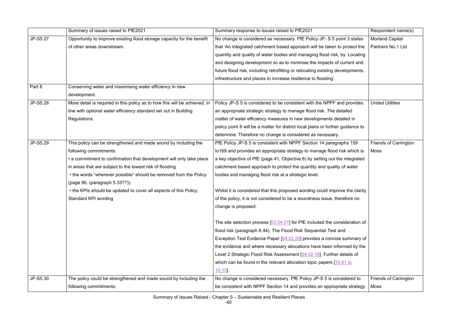|          | Summary of issues raised to PfE2021                                        | Summary response to issues raised to PfE2021                                    | Respondent name(s)           |
|----------|----------------------------------------------------------------------------|---------------------------------------------------------------------------------|------------------------------|
| JP-S5.27 | Opportunity to improve existing flood storage capacity for the benefit     | No change is considered as necessary. PfE Policy JP- S 5 point 3 states         | <b>Morland Capital</b>       |
|          | of other areas downstream.                                                 | that 'An integrated catchment based approach will be taken to protect the       | Partners No.1 Ltd            |
|          |                                                                            | quantity and quality of water bodies and managing flood risk, by: Locating      |                              |
|          |                                                                            | and designing development so as to minimise the impacts of current and          |                              |
|          |                                                                            | future flood risk, including retrofitting or relocating existing developments,  |                              |
|          |                                                                            | infrastructure and places to increase resilience to flooding'.                  |                              |
| Part 8   | Conserving water and maximising water efficiency in new                    |                                                                                 |                              |
|          | development.                                                               |                                                                                 |                              |
| JP-S5.28 | More detail is required in this policy as to how this will be achieved; in | Policy JP-S 5 is considered to be consistent with the NPPF and provides         | <b>United Utilities</b>      |
|          | line with optional water efficiency standard set out in Building           | an appropriate strategic strategy to manage flood risk. The detailed            |                              |
|          | Regulations.                                                               | matter of water efficiency measures in new developments detailed in             |                              |
|          |                                                                            | policy point 8 will be a matter for district local plans or further guidance to |                              |
|          |                                                                            | determine. Therefore no change is considered as necessary.                      |                              |
| JP-S5.29 | This policy can be strengthened and made sound by including the            | PfE Policy JP-S 5 is consistent with NPPF Section 14 paragraphs 159             | Friends of Carrington        |
|          | following commitments:                                                     | to 169 and provides an appropriate strategy to manage flood risk which is       | Moss                         |
|          | • a commitment to confirmation that development will only take place       | a key objective of PfE (page 41, Objective 8) by setting out the integrated     |                              |
|          | in areas that are subject to the lowest risk of flooding                   | catchment based approach to protect the quantity and quality of water           |                              |
|          | • the words "wherever possible" should be removed from the Policy          | bodies and managing flood risk at a strategic level.                            |                              |
|          | (page 96, (paragraph 5.33??)).                                             |                                                                                 |                              |
|          | • the KPIs should be updated to cover all aspects of this Policy.          | Whilst it is considered that this proposed wording could improve the clarity    |                              |
|          | <b>Standard KPI wording</b>                                                | of the policy, it is not considered to be a soundness issue, therefore no       |                              |
|          |                                                                            | change is proposed.                                                             |                              |
|          |                                                                            |                                                                                 |                              |
|          |                                                                            | The site selection process $[03.04.01]$ for PfE included the consideration of   |                              |
|          |                                                                            | flood risk (paragraph 6.44). The Flood Risk Sequential Test and                 |                              |
|          |                                                                            | Exception Test Evidence Paper [04.02.20] provides a concise summary of          |                              |
|          |                                                                            | the evidence and where necessary allocations have been informed by the          |                              |
|          |                                                                            | Level 2 Strategic Flood Risk Assessment [04.02.18]. Further details of          |                              |
|          |                                                                            | which can be found in the relevant allocation topic papers $[10.01]$ to         |                              |
|          |                                                                            | 10.10                                                                           |                              |
| JP-S5.30 | The policy could be strengthened and made sound by including the           | No change is considered necessary. PfE Policy JP-S 5 is considered to           | <b>Friends of Carrington</b> |
|          | following commitments:                                                     | be consistent with NPPF Section 14 and provides an appropriate strategy         | Moss                         |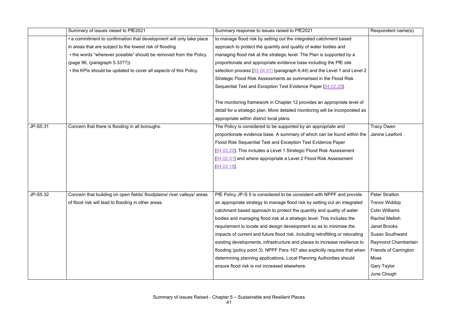|          | Summary of issues raised to PfE2021                                     | Summary response to issues raised to PfE2021                                   | Respondent name(s)           |
|----------|-------------------------------------------------------------------------|--------------------------------------------------------------------------------|------------------------------|
|          | • a commitment to confirmation that development will only take place    | to manage flood risk by setting out the integrated catchment based             |                              |
|          | in areas that are subject to the lowest risk of flooding                | approach to protect the quantity and quality of water bodies and               |                              |
|          | • the words "wherever possible" should be removed from the Policy       | managing flood risk at the strategic level. The Plan is supported by a         |                              |
|          | (page 96, (paragraph 5.33??)).                                          | proportionate and appropriate evidence base including the PfE site             |                              |
|          | • the KPIs should be updated to cover all aspects of this Policy.       | selection process [03.04.01] (paragraph 6.44) and the Level 1 and Level 2      |                              |
|          |                                                                         | Strategic Flood Risk Assessments as summarised in the Flood Risk               |                              |
|          |                                                                         | Sequential Test and Exception Test Evidence Paper [04.02.20].                  |                              |
|          |                                                                         | The monitoring framework in Chapter 12 provides an appropriate level of        |                              |
|          |                                                                         | detail for a strategic plan. More detailed monitoring will be incorporated as  |                              |
|          |                                                                         | appropriate within district local plans.                                       |                              |
| JP-S5.31 | Concern that there is flooding in all boroughs.                         | The Policy is considered to be supported by an appropriate and                 | <b>Tracy Owen</b>            |
|          |                                                                         | proportionate evidence base. A summary of which can be found within the        | Janine Lawford               |
|          |                                                                         | Flood Risk Sequential Test and Exception Test Evidence Paper                   |                              |
|          |                                                                         | [04.02.20]. This includes a Level 1 Strategic Flood Risk Assessment            |                              |
|          |                                                                         | [04.02.01] and where appropriate a Level 2 Flood Risk Assessment               |                              |
|          |                                                                         | [04.02.18]                                                                     |                              |
|          |                                                                         |                                                                                |                              |
|          |                                                                         |                                                                                |                              |
| JP-S5.32 | Concern that building on open fields/ floodplains/ river valleys/ areas | PfE Policy JP-S 5 is considered to be consistent with NPPF and provide         | <b>Peter Stratton</b>        |
|          | of flood risk will lead to flooding in other areas.                     | an appropriate strategy to manage flood risk by setting out an integrated      | <b>Trevor Widdop</b>         |
|          |                                                                         | catchment based approach to protect the quantity and quality of water          | <b>Colin Williams</b>        |
|          |                                                                         | bodies and managing flood risk at a strategic level. This includes the         | <b>Rachel Mellish</b>        |
|          |                                                                         | requirement to locate and design development so as to minimise the             | <b>Janet Brooks</b>          |
|          |                                                                         | impacts of current and future flood risk, including retrofitting or relocating | <b>Susan Southward</b>       |
|          |                                                                         | existing developments, infrastructure and places to increase resilience to     | Raymond Chamberlain          |
|          |                                                                         | flooding (policy point 3). NPPF Para 167 also explicitly requires that when    | <b>Friends of Carrington</b> |
|          |                                                                         | determining planning applications, Local Planning Authorities should           | <b>Moss</b>                  |
|          |                                                                         | ensure flood risk is not increased elsewhere.                                  | <b>Gary Taylor</b>           |
|          |                                                                         |                                                                                | June Clough                  |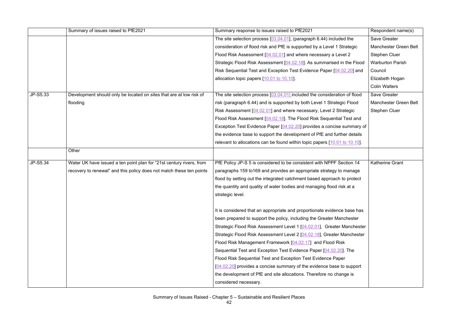|          | Summary of issues raised to PfE2021                                  | Summary response to issues raised to PfE2021                                | Respondent name(s)      |
|----------|----------------------------------------------------------------------|-----------------------------------------------------------------------------|-------------------------|
|          |                                                                      | The site selection process $[03.04.01]$ , (paragraph 6.44) included the     | Save Greater            |
|          |                                                                      | consideration of flood risk and PfE is supported by a Level 1 Strategic     | Manchester Green Belt   |
|          |                                                                      | Flood Risk Assessment [04.02.01] and where necessary a Level 2              | <b>Stephen Cluer</b>    |
|          |                                                                      | Strategic Flood Risk Assessment [04.02.18]. As summarised in the Flood      | <b>Warburton Parish</b> |
|          |                                                                      | Risk Sequential Test and Exception Test Evidence Paper [04.02.20] and       | Council                 |
|          |                                                                      | allocation topic papers [10.01 to 10.10].                                   | Elizabeth Hogan         |
|          |                                                                      |                                                                             | <b>Colin Walters</b>    |
| JP-S5.33 | Development should only be located on sites that are at low risk of  | The site selection process $[03.04.01]$ included the consideration of flood | Save Greater            |
|          | flooding                                                             | risk (paragraph 6.44) and is supported by both Level 1 Strategic Flood      | Manchester Green Belt   |
|          |                                                                      | Risk Assessment [04.02.01] and where necessary, Level 2 Strategic           | <b>Stephen Cluer</b>    |
|          |                                                                      | Flood Risk Assessment [04.02.18]. The Flood Risk Sequential Test and        |                         |
|          |                                                                      | Exception Test Evidence Paper [04.02.20] provides a concise summary of      |                         |
|          |                                                                      | the evidence base to support the development of PfE and further details     |                         |
|          |                                                                      | relevant to allocations can be found within topic papers [10.01 to 10.10].  |                         |
|          | Other                                                                |                                                                             |                         |
| JP-S5.34 | Water UK have issued a ten point plan for "21st century rivers, from | PfE Policy JP-S 5 is considered to be consistent with NPPF Section 14       | <b>Katherine Grant</b>  |
|          | recovery to renewal" and this policy does not match these ten points | paragraphs 159 to 169 and provides an appropriate strategy to manage        |                         |
|          |                                                                      | flood by setting out the integrated catchment based approach to protect     |                         |
|          |                                                                      | the quantity and quality of water bodies and managing flood risk at a       |                         |
|          |                                                                      | strategic level.                                                            |                         |
|          |                                                                      | It is considered that an appropriate and proportionate evidence base has    |                         |
|          |                                                                      | been prepared to support the policy, including the Greater Manchester       |                         |
|          |                                                                      | Strategic Flood Risk Assessment Level 1 [04.02.01], Greater Manchester      |                         |
|          |                                                                      | Strategic Flood Risk Assessment Level 2 [04.02.18], Greater Manchester      |                         |
|          |                                                                      | Flood Risk Management Framework [04.02.17] and Flood Risk                   |                         |
|          |                                                                      | Sequential Test and Exception Test Evidence Paper [04.02.20]. The           |                         |
|          |                                                                      | Flood Risk Sequential Test and Exception Test Evidence Paper                |                         |
|          |                                                                      | $[04.02.20]$ provides a concise summary of the evidence base to support     |                         |
|          |                                                                      | the development of PfE and site allocations. Therefore no change is         |                         |
|          |                                                                      | considered necessary.                                                       |                         |
|          |                                                                      |                                                                             |                         |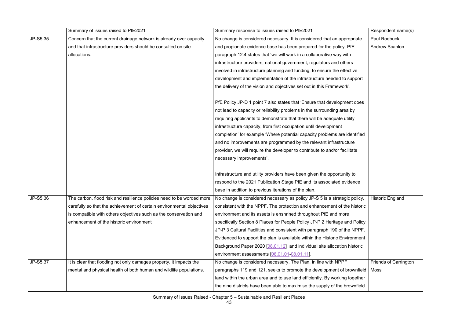|          | Summary of issues raised to PfE2021                                   | Summary response to issues raised to PfE2021                                  | Respondent name(s)           |
|----------|-----------------------------------------------------------------------|-------------------------------------------------------------------------------|------------------------------|
| JP-S5.35 | Concern that the current drainage network is already over capacity    | No change is considered necessary. It is considered that an appropriate       | Paul Roebuck                 |
|          | and that infrastructure providers should be consulted on site         | and propionate evidence base has been prepared for the policy. PfE            | <b>Andrew Scanlon</b>        |
|          | allocations.                                                          | paragraph 12.4 states that 'we will work in a collaborative way with          |                              |
|          |                                                                       | infrastructure providers, national government, regulators and others          |                              |
|          |                                                                       | involved in infrastructure planning and funding, to ensure the effective      |                              |
|          |                                                                       | development and implementation of the infrastructure needed to support        |                              |
|          |                                                                       | the delivery of the vision and objectives set out in this Framework'.         |                              |
|          |                                                                       | PfE Policy JP-D 1 point 7 also states that 'Ensure that development does      |                              |
|          |                                                                       | not lead to capacity or reliability problems in the surrounding area by       |                              |
|          |                                                                       | requiring applicants to demonstrate that there will be adequate utility       |                              |
|          |                                                                       | infrastructure capacity, from first occupation until development              |                              |
|          |                                                                       | completion' for example 'Where potential capacity problems are identified     |                              |
|          |                                                                       | and no improvements are programmed by the relevant infrastructure             |                              |
|          |                                                                       | provider, we will require the developer to contribute to and/or facilitate    |                              |
|          |                                                                       | necessary improvements'.                                                      |                              |
|          |                                                                       | Infrastructure and utility providers have been given the opportunity to       |                              |
|          |                                                                       | respond to the 2021 Publication Stage PfE and its associated evidence         |                              |
|          |                                                                       | base in addition to previous iterations of the plan.                          |                              |
| JP-S5.36 | The carbon, flood risk and resilience policies need to be worded more | No change is considered necessary as policy JP-S 5 is a strategic policy,     | Historic England             |
|          | carefully so that the achievement of certain environmental objectives | consistent with the NPPF. The protection and enhancement of the historic      |                              |
|          | is compatible with others objectives such as the conservation and     | environment and its assets is enshrined throughout PfE and more               |                              |
|          | enhancement of the historic environment                               | specifically Section 8 Places for People Policy JP-P 2 Heritage and Policy    |                              |
|          |                                                                       | JP-P 3 Cultural Facilities and consistent with paragraph 190 of the NPPF.     |                              |
|          |                                                                       | Evidenced to support the plan is available within the Historic Environment    |                              |
|          |                                                                       | Background Paper 2020 [08.01.12] and individual site allocation historic      |                              |
|          |                                                                       | environment assessments [08.01.01-08.01.11].                                  |                              |
| JP-S5.37 | It is clear that flooding not only damages property, it impacts the   | No change is considered necessary. The Plan, in line with NPPF                | <b>Friends of Carrington</b> |
|          | mental and physical health of both human and wildlife populations.    | paragraphs 119 and 121, seeks to promote the development of brownfield   Moss |                              |
|          |                                                                       | land within the urban area and to use land efficiently. By working together   |                              |
|          |                                                                       | the nine districts have been able to maximise the supply of the brownfield    |                              |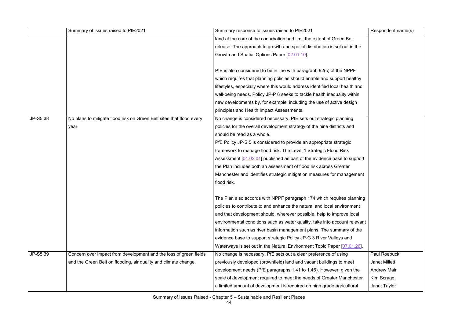|          | Summary of issues raised to PfE2021                                  | Summary response to issues raised to PfE2021                                | Respondent name(s)   |
|----------|----------------------------------------------------------------------|-----------------------------------------------------------------------------|----------------------|
|          |                                                                      | land at the core of the conurbation and limit the extent of Green Belt      |                      |
|          |                                                                      | release. The approach to growth and spatial distribution is set out in the  |                      |
|          |                                                                      | Growth and Spatial Options Paper [02.01.10].                                |                      |
|          |                                                                      |                                                                             |                      |
|          |                                                                      | PfE is also considered to be in line with paragraph 92(c) of the NPPF       |                      |
|          |                                                                      | which requires that planning policies should enable and support healthy     |                      |
|          |                                                                      | lifestyles, especially where this would address identified local health and |                      |
|          |                                                                      | well-being needs. Policy JP-P 6 seeks to tackle health inequality within    |                      |
|          |                                                                      | new developments by, for example, including the use of active design        |                      |
|          |                                                                      | principles and Health Impact Assessments.                                   |                      |
| JP-S5.38 | No plans to mitigate flood risk on Green Belt sites that flood every | No change is considered necessary. PfE sets out strategic planning          |                      |
|          | year.                                                                | policies for the overall development strategy of the nine districts and     |                      |
|          |                                                                      | should be read as a whole.                                                  |                      |
|          |                                                                      | PfE Policy JP-S 5 is considered to provide an appropriate strategic         |                      |
|          |                                                                      | framework to manage flood risk. The Level 1 Strategic Flood Risk            |                      |
|          |                                                                      | Assessment [04.02.01] published as part of the evidence base to support     |                      |
|          |                                                                      | the Plan includes both an assessment of flood risk across Greater           |                      |
|          |                                                                      | Manchester and identifies strategic mitigation measures for management      |                      |
|          |                                                                      | flood risk.                                                                 |                      |
|          |                                                                      |                                                                             |                      |
|          |                                                                      | The Plan also accords with NPPF paragraph 174 which requires planning       |                      |
|          |                                                                      | policies to contribute to and enhance the natural and local environment     |                      |
|          |                                                                      | and that development should, wherever possible, help to improve local       |                      |
|          |                                                                      | environmental conditions such as water quality, take into account relevant  |                      |
|          |                                                                      | information such as river basin management plans. The summary of the        |                      |
|          |                                                                      | evidence base to support strategic Policy JP-G 3 River Valleys and          |                      |
|          |                                                                      | Waterways is set out in the Natural Environment Topic Paper [07.01.26].     |                      |
| JP-S5.39 | Concern over impact from development and the loss of green fields    | No change is necessary. PfE sets out a clear preference of using            | <b>Paul Roebuck</b>  |
|          | and the Green Belt on flooding, air quality and climate change.      | previously developed (brownfield) land and vacant buildings to meet         | <b>Janet Millett</b> |
|          |                                                                      | development needs (PfE paragraphs 1.41 to 1.46). However, given the         | <b>Andrew Mair</b>   |
|          |                                                                      | scale of development required to meet the needs of Greater Manchester       | Kim Scragg           |
|          |                                                                      | a limited amount of development is required on high grade agricultural      | Janet Taylor         |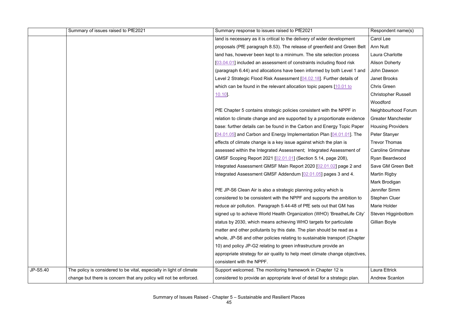|          | Summary of issues raised to PfE2021                                  | Summary response to issues raised to PfE2021                                 | Respondent name(s)         |
|----------|----------------------------------------------------------------------|------------------------------------------------------------------------------|----------------------------|
|          |                                                                      | land is necessary as it is critical to the delivery of wider development     | <b>Carol Lee</b>           |
|          |                                                                      | proposals (PfE paragraph 8.53). The release of greenfield and Green Belt     | <b>Ann Nutt</b>            |
|          |                                                                      | land has, however been kept to a minimum. The site selection process         | Laura Charlotte            |
|          |                                                                      | [03.04.01] included an assessment of constraints including flood risk        | <b>Alison Doherty</b>      |
|          |                                                                      | (paragraph 6.44) and allocations have been informed by both Level 1 and      | John Dawson                |
|          |                                                                      | Level 2 Strategic Flood Risk Assessment [04.02.18]. Further details of       | <b>Janet Brooks</b>        |
|          |                                                                      | which can be found in the relevant allocation topic papers $[10.01$ to       | <b>Chris Green</b>         |
|          |                                                                      | 10.10                                                                        | <b>Christopher Russell</b> |
|          |                                                                      |                                                                              | Woodford                   |
|          |                                                                      | PfE Chapter 5 contains strategic policies consistent with the NPPF in        | Neighbourhood Forum        |
|          |                                                                      | relation to climate change and are supported by a proportionate evidence     | <b>Greater Manchester</b>  |
|          |                                                                      | base: further details can be found in the Carbon and Energy Topic Paper      | <b>Housing Providers</b>   |
|          |                                                                      | [04.01.05] and Carbon and Energy Implementation Plan [04.01.01]. The         | Peter Stanyer              |
|          |                                                                      | effects of climate change is a key issue against which the plan is           | <b>Trevor Thomas</b>       |
|          |                                                                      | assessed within the Integrated Assessment; Integrated Assessment of          | <b>Caroline Grimshaw</b>   |
|          |                                                                      | GMSF Scoping Report 2021 [02.01.01] (Section 5.14, page 208),                | Ryan Beardwood             |
|          |                                                                      | Integrated Assessment GMSF Main Report 2020 [02.01.02] page 2 and            | Save GM Green Belt         |
|          |                                                                      | Integrated Assessment GMSF Addendum [02.01.05] pages 3 and 4.                | <b>Martin Rigby</b>        |
|          |                                                                      |                                                                              | Mark Brodigan              |
|          |                                                                      | PfE JP-S6 Clean Air is also a strategic planning policy which is             | Jennifer Simm              |
|          |                                                                      | considered to be consistent with the NPPF and supports the ambition to       | Stephen Cluer              |
|          |                                                                      | reduce air pollution. Paragraph 5.44-48 of PfE sets out that GM has          | <b>Marie Holder</b>        |
|          |                                                                      | signed up to achieve World Health Organization (WHO) 'BreatheLife City'      | Steven Higginbottom        |
|          |                                                                      | status by 2030, which means achieving WHO targets for particulate            | Gillian Boyle              |
|          |                                                                      | matter and other pollutants by this date. The plan should be read as a       |                            |
|          |                                                                      | whole, JP-S6 and other policies relating to sustainable transport (Chapter   |                            |
|          |                                                                      | 10) and policy JP-G2 relating to green infrastructure provide an             |                            |
|          |                                                                      | appropriate strategy for air quality to help meet climate change objectives, |                            |
|          |                                                                      | consistent with the NPPF.                                                    |                            |
| JP-S5.40 | The policy is considered to be vital, especially in light of climate | Support welcomed. The monitoring framework in Chapter 12 is                  | Laura Ettrick              |
|          | change but there is concern that any policy will not be enforced.    | considered to provide an appropriate level of detail for a strategic plan.   | <b>Andrew Scanlon</b>      |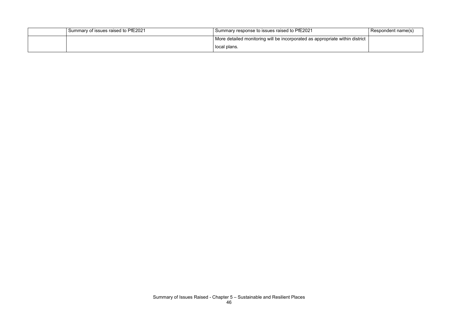| Summary of issues raised to PfE2021 | I Summary response to issues raised to PfE2021                               | Respondent name(s) |
|-------------------------------------|------------------------------------------------------------------------------|--------------------|
|                                     | More detailed monitoring will be incorporated as appropriate within district |                    |
|                                     | local plans.                                                                 |                    |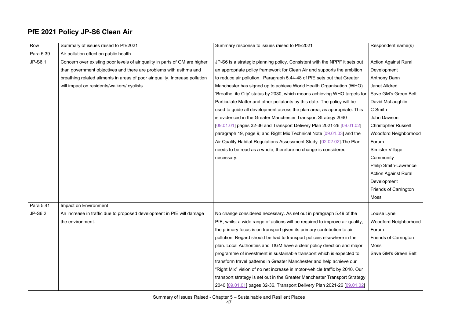### **PfE 2021 Policy JP-S6 Clean Air**

| Row       | Summary of issues raised to PfE2021                                         | Summary response to issues raised to PfE2021                                 | Respondent name(s)           |
|-----------|-----------------------------------------------------------------------------|------------------------------------------------------------------------------|------------------------------|
| Para 5.39 | Air pollution effect on public health                                       |                                                                              |                              |
| JP-S6.1   | Concern over existing poor levels of air quality in parts of GM are higher  | JP-S6 is a strategic planning policy. Consistent with the NPPF it sets out   | <b>Action Against Rural</b>  |
|           | than government objectives and there are problems with asthma and           | an appropriate policy framework for Clean Air and supports the ambition      | Development                  |
|           | breathing related ailments in areas of poor air quality. Increase pollution | to reduce air pollution. Paragraph 5.44-48 of PfE sets out that Greater      | <b>Anthony Dann</b>          |
|           | will impact on residents/walkers/ cyclists.                                 | Manchester has signed up to achieve World Health Organisation (WHO)          | <b>Janet Alldred</b>         |
|           |                                                                             | 'BreatheLife City' status by 2030, which means achieving WHO targets for     | Save GM's Green Belt         |
|           |                                                                             | Particulate Matter and other pollutants by this date. The policy will be     | David McLaughlin             |
|           |                                                                             | used to guide all development across the plan area, as appropriate. This     | C Smith                      |
|           |                                                                             | is evidenced in the Greater Manchester Transport Strategy 2040               | John Dawson                  |
|           |                                                                             | [09.01.01] pages 32-36 and Transport Delivery Plan 2021-26 [09.01.02]        | <b>Christopher Russell</b>   |
|           |                                                                             | paragraph 19, page 9; and Right Mix Technical Note [09.01.03] and the        | <b>Woodford Neighborhood</b> |
|           |                                                                             | Air Quality Habitat Regulations Assessment Study [02.02.02]. The Plan        | Forum                        |
|           |                                                                             | needs to be read as a whole, therefore no change is considered               | Simister Village             |
|           |                                                                             | necessary.                                                                   | Community                    |
|           |                                                                             |                                                                              | <b>Philip Smith-Lawrence</b> |
|           |                                                                             |                                                                              | <b>Action Against Rural</b>  |
|           |                                                                             |                                                                              | Development                  |
|           |                                                                             |                                                                              | <b>Friends of Carrington</b> |
|           |                                                                             |                                                                              | <b>Moss</b>                  |
| Para 5.41 | Impact on Environment                                                       |                                                                              |                              |
| JP-S6.2   | An increase in traffic due to proposed development in PfE will damage       | No change considered necessary. As set out in paragraph 5.49 of the          | Louise Lyne                  |
|           | the environment.                                                            | PfE, whilst a wide range of actions will be required to improve air quality, | <b>Woodford Neighborhood</b> |
|           |                                                                             | the primary focus is on transport given its primary contribution to air      | Forum                        |
|           |                                                                             | pollution. Regard should be had to transport policies elsewhere in the       | <b>Friends of Carrington</b> |
|           |                                                                             | plan. Local Authorities and TfGM have a clear policy direction and major     | <b>Moss</b>                  |
|           |                                                                             | programme of investment in sustainable transport which is expected to        | Save GM's Green Belt         |
|           |                                                                             | transform travel patterns in Greater Manchester and help achieve our         |                              |
|           |                                                                             | "Right Mix" vision of no net increase in motor-vehicle traffic by 2040. Our  |                              |
|           |                                                                             | transport strategy is set out in the Greater Manchester Transport Strategy   |                              |
|           |                                                                             | 2040 [09.01.01] pages 32-36, Transport Delivery Plan 2021-26 [09.01.02]      |                              |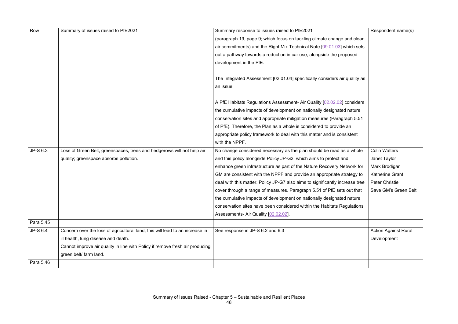| Row       | Summary of issues raised to PfE2021                                          | Summary response to issues raised to PfE2021                                 | Respondent name(s)          |
|-----------|------------------------------------------------------------------------------|------------------------------------------------------------------------------|-----------------------------|
|           |                                                                              | (paragraph 19, page 9; which focus on tackling climate change and clean      |                             |
|           |                                                                              | air commitments) and the Right Mix Technical Note [09.01.03] which sets      |                             |
|           |                                                                              | out a pathway towards a reduction in car use, alongside the proposed         |                             |
|           |                                                                              | development in the PfE.                                                      |                             |
|           |                                                                              |                                                                              |                             |
|           |                                                                              | The Integrated Assessment [02.01.04] specifically considers air quality as   |                             |
|           |                                                                              | an issue.                                                                    |                             |
|           |                                                                              |                                                                              |                             |
|           |                                                                              | A PfE Habitats Regulations Assessment- Air Quality [02.02.02] considers      |                             |
|           |                                                                              | the cumulative impacts of development on nationally designated nature        |                             |
|           |                                                                              | conservation sites and appropriate mitigation measures (Paragraph 5.51       |                             |
|           |                                                                              | of PfE). Therefore, the Plan as a whole is considered to provide an          |                             |
|           |                                                                              | appropriate policy framework to deal with this matter and is consistent      |                             |
|           |                                                                              | with the NPPF.                                                               |                             |
| JP-S 6.3  | Loss of Green Belt, greenspaces, trees and hedgerows will not help air       | No change considered necessary as the plan should be read as a whole         | <b>Colin Walters</b>        |
|           | quality; greenspace absorbs pollution.                                       | and this policy alongside Policy JP-G2, which aims to protect and            | Janet Taylor                |
|           |                                                                              | enhance green infrastructure as part of the Nature Recovery Network for      | Mark Brodigan               |
|           |                                                                              | GM are consistent with the NPPF and provide an appropriate strategy to       | <b>Katherine Grant</b>      |
|           |                                                                              | deal with this matter. Policy JP-G7 also aims to significantly increase tree | <b>Peter Christie</b>       |
|           |                                                                              | cover through a range of measures. Paragraph 5.51 of PfE sets out that       | Save GM's Green Belt        |
|           |                                                                              | the cumulative impacts of development on nationally designated nature        |                             |
|           |                                                                              | conservation sites have been considered within the Habitats Regulations      |                             |
|           |                                                                              | Assessments- Air Quality [02.02.02].                                         |                             |
| Para 5.45 |                                                                              |                                                                              |                             |
| JP-S 6.4  | Concern over the loss of agricultural land, this will lead to an increase in | See response in JP-S 6.2 and 6.3                                             | <b>Action Against Rural</b> |
|           | ill health, lung disease and death.                                          |                                                                              | Development                 |
|           | Cannot improve air quality in line with Policy if remove fresh air producing |                                                                              |                             |
|           | green belt/ farm land.                                                       |                                                                              |                             |
| Para 5.46 |                                                                              |                                                                              |                             |
|           |                                                                              |                                                                              |                             |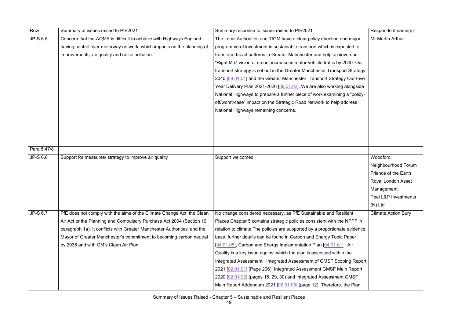| Row         | Summary of issues raised to PfE2021                                      | Summary response to issues raised to PfE2021                                | Respondent name(s)         |
|-------------|--------------------------------------------------------------------------|-----------------------------------------------------------------------------|----------------------------|
| JP-S 6.5    | Concern that the AQMA is difficult to achieve with Highways England      | The Local Authorities and TfGM have a clear policy direction and major      | Mr Martin Arthur           |
|             | having control over motorway network; which impacts on the planning of   | programme of investment in sustainable transport which is expected to       |                            |
|             | improvements, air quality and noise pollution.                           | transform travel patterns in Greater Manchester and help achieve our        |                            |
|             |                                                                          | "Right Mix" vision of no net increase in motor-vehicle traffic by 2040. Our |                            |
|             |                                                                          | transport strategy is set out in the Greater Manchester Transport Strategy  |                            |
|             |                                                                          | 2040 [09.01.01] and the Greater Manchester Transport Strategy Our Five      |                            |
|             |                                                                          | Year Delivery Plan 2021-2026 [09.01.02]. We are also working alongside      |                            |
|             |                                                                          | National Highways to prepare a further piece of work examining a "policy-   |                            |
|             |                                                                          | off/worst-case" impact on the Strategic Road Network to help address        |                            |
|             |                                                                          | National Highways remaining concerns.                                       |                            |
|             |                                                                          |                                                                             |                            |
|             |                                                                          |                                                                             |                            |
|             |                                                                          |                                                                             |                            |
|             |                                                                          |                                                                             |                            |
| Para 5.47/8 |                                                                          |                                                                             |                            |
| JP-S 6.6    | Support for measures/ strategy to improve air quality                    | Support welcomed.                                                           | Woodford                   |
|             |                                                                          |                                                                             | Neighbourhood Forum        |
|             |                                                                          |                                                                             | Friends of the Earth       |
|             |                                                                          |                                                                             | Royal London Asset         |
|             |                                                                          |                                                                             | Management                 |
|             |                                                                          |                                                                             | Peel L&P Investments       |
|             |                                                                          |                                                                             | $(N)$ Ltd                  |
| JP-S 6.7    | PfE does not comply with the aims of the Climate Change Act, the Clean   | No change considered necessary, as PfE Sustainable and Resilient            | <b>Climate Action Bury</b> |
|             | Air Act or the Planning and Compulsory Purchase Act 2004 (Section 19,    | Places Chapter 5 contains strategic policies consistent with the NPPF in    |                            |
|             | paragraph 1a). It conflicts with Greater Manchester Authorities' and the | relation to climate The policies are supported by a proportionate evidence  |                            |
|             | Mayor of Greater Manchester's commitment to becoming carbon neutral      | base: further details can be found in Carbon and Energy Topic Paper         |                            |
|             | by 2038 and with GM's Clean Air Plan.                                    | [04.01.05], Carbon and Energy Implementation Plan [04.01.01]. Air           |                            |
|             |                                                                          | Quality is a key issue against which the plan is assessed within the        |                            |
|             |                                                                          | Integrated Assessment; Integrated Assessment of GMSF Scoping Report         |                            |
|             |                                                                          | 2021 [02.01.01] (Page 206), Integrated Assessment GMSF Main Report          |                            |
|             |                                                                          | 2020 [02.01.02] (pages 15, 29, 30) and Integrated Assessment GMSF           |                            |
|             |                                                                          | Main Report Addendum 2021 [02.01.05] (page 12). Therefore, the Plan         |                            |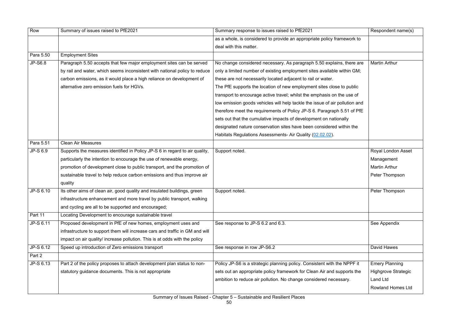| Row       | Summary of issues raised to PfE2021                                          | Summary response to issues raised to PfE2021                                | Respondent name(s)         |
|-----------|------------------------------------------------------------------------------|-----------------------------------------------------------------------------|----------------------------|
|           |                                                                              | as a whole, is considered to provide an appropriate policy framework to     |                            |
|           |                                                                              | deal with this matter.                                                      |                            |
| Para 5.50 | <b>Employment Sites</b>                                                      |                                                                             |                            |
| JP-S6.8   | Paragraph 5.50 accepts that few major employment sites can be served         | No change considered necessary. As paragraph 5.50 explains, there are       | <b>Martin Arthur</b>       |
|           | by rail and water, which seems inconsistent with national policy to reduce   | only a limited number of existing employment sites available within GM;     |                            |
|           | carbon emissions, as it would place a high reliance on development of        | these are not necessarily located adjacent to rail or water.                |                            |
|           | alternative zero emission fuels for HGVs.                                    | The PfE supports the location of new employment sites close to public       |                            |
|           |                                                                              | transport to encourage active travel; whilst the emphasis on the use of     |                            |
|           |                                                                              | low emission goods vehicles will help tackle the issue of air pollution and |                            |
|           |                                                                              | therefore meet the requirements of Policy JP-S 6. Paragraph 5.51 of PfE     |                            |
|           |                                                                              | sets out that the cumulative impacts of development on nationally           |                            |
|           |                                                                              | designated nature conservation sites have been considered within the        |                            |
|           |                                                                              | Habitats Regulations Assessments- Air Quality (02.02.02).                   |                            |
| Para 5.51 | <b>Clean Air Measures</b>                                                    |                                                                             |                            |
| JP-S 6.9  | Supports the measures identified in Policy JP-S 6 in regard to air quality,  | Support noted.                                                              | Royal London Asset         |
|           | particularly the intention to encourage the use of renewable energy,         |                                                                             | Management                 |
|           | promotion of development close to public transport, and the promotion of     |                                                                             | <b>Martin Arthur</b>       |
|           | sustainable travel to help reduce carbon emissions and thus improve air      |                                                                             | Peter Thompson             |
|           | quality                                                                      |                                                                             |                            |
| JP-S 6.10 | Its other aims of clean air, good quality and insulated buildings, green     | Support noted.                                                              | Peter Thompson             |
|           | infrastructure enhancement and more travel by public transport, walking      |                                                                             |                            |
|           | and cycling are all to be supported and encouraged;                          |                                                                             |                            |
| Part 11   | Locating Development to encourage sustainable travel                         |                                                                             |                            |
| JP-S 6.11 | Proposed development in PfE of new homes, employment uses and                | See response to JP-S 6.2 and 6.3.                                           | See Appendix               |
|           | infrastructure to support them will increase cars and traffic in GM and will |                                                                             |                            |
|           | impact on air quality/ increase pollution. This is at odds with the policy   |                                                                             |                            |
| JP-S 6.12 | Speed up introduction of Zero emissions transport                            | See response in row JP-S6.2                                                 | David Hawes                |
| Part 2    |                                                                              |                                                                             |                            |
| JP-S 6.13 | Part 2 of the policy proposes to attach development plan status to non-      | Policy JP-S6 is a strategic planning policy. Consistent with the NPPF it    | <b>Emery Planning</b>      |
|           | statutory guidance documents. This is not appropriate                        | sets out an appropriate policy framework for Clean Air and supports the     | <b>Highgrove Strategic</b> |
|           |                                                                              | ambition to reduce air pollution. No change considered necessary.           | Land Ltd                   |
|           |                                                                              |                                                                             | <b>Rowland Homes Ltd</b>   |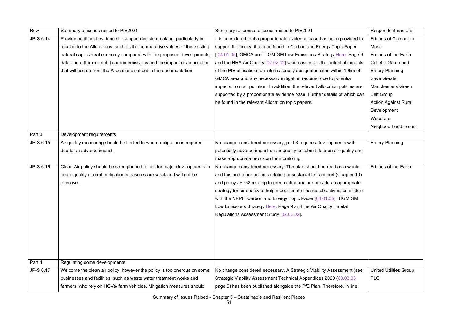| Row       | Summary of issues raised to PfE2021                                         | Summary response to issues raised to PfE2021                                  | Respondent name(s)            |
|-----------|-----------------------------------------------------------------------------|-------------------------------------------------------------------------------|-------------------------------|
| JP-S 6.14 | Provide additional evidence to support decision-making, particularly in     | It is considered that a proportionate evidence base has been provided to      | <b>Friends of Carrington</b>  |
|           | relation to the Allocations, such as the comparative values of the existing | support the policy, it can be found in Carbon and Energy Topic Paper          | <b>Moss</b>                   |
|           | natural capital/rural economy compared with the proposed developments,      | [,04.01.05], GMCA and TfGM GM Low Emissions Strategy Here. Page 9             | <b>Friends of the Earth</b>   |
|           | data about (for example) carbon emissions and the impact of air pollution   | and the HRA Air Quality [02.02.02] which assesses the potential impacts       | <b>Collette Gammond</b>       |
|           | that will accrue from the Allocations set out in the documentation          | of the PfE allocations on internationally designated sites within 10km of     | <b>Emery Planning</b>         |
|           |                                                                             | GMCA area and any necessary mitigation required due to potential              | <b>Save Greater</b>           |
|           |                                                                             | impacts from air pollution. In addition, the relevant allocation policies are | Manchester's Green            |
|           |                                                                             | supported by a proportionate evidence base. Further details of which can      | <b>Belt Group</b>             |
|           |                                                                             | be found in the relevant Allocation topic papers.                             | <b>Action Against Rural</b>   |
|           |                                                                             |                                                                               | Development                   |
|           |                                                                             |                                                                               | Woodford                      |
|           |                                                                             |                                                                               | Neighbourhood Forum           |
| Part 3    | Development requirements                                                    |                                                                               |                               |
| JP-S 6.15 | Air quality monitoring should be limited to where mitigation is required    | No change considered necessary, part 3 requires developments with             | <b>Emery Planning</b>         |
|           | due to an adverse impact.                                                   | potentially adverse impact on air quality to submit data on air quality and   |                               |
|           |                                                                             | make appropriate provision for monitoring.                                    |                               |
| JP-S 6.16 | Clean Air policy should be strengthened to call for major developments to   | No change considered necessary. The plan should be read as a whole            | Friends of the Earth          |
|           | be air quality neutral, mitigation measures are weak and will not be        | and this and other policies relating to sustainable transport (Chapter 10)    |                               |
|           | effective.                                                                  | and policy JP-G2 relating to green infrastructure provide an appropriate      |                               |
|           |                                                                             | strategy for air quality to help meet climate change objectives, consistent   |                               |
|           |                                                                             | with the NPPF. Carbon and Energy Topic Paper [04.01.05], TfGM GM              |                               |
|           |                                                                             | Low Emissions Strategy Here. Page 9 and the Air Quality Habitat               |                               |
|           |                                                                             | Regulations Assessment Study [02.02.02].                                      |                               |
|           |                                                                             |                                                                               |                               |
|           |                                                                             |                                                                               |                               |
|           |                                                                             |                                                                               |                               |
|           |                                                                             |                                                                               |                               |
|           |                                                                             |                                                                               |                               |
| Part 4    | Regulating some developments                                                |                                                                               |                               |
| JP-S 6.17 | Welcome the clean air policy, however the policy is too onerous on some     | No change considered necessary. A Strategic Viability Assessment (see         | <b>United Utilities Group</b> |
|           | businesses and facilities; such as waste water treatment works and          | Strategic Viability Assessment Technical Appendices 2020 (03.03.03            | <b>PLC</b>                    |
|           | farmers, who rely on HGVs/ farm vehicles. Mitigation measures should        | page 5) has been published alongside the PfE Plan. Therefore, in line         |                               |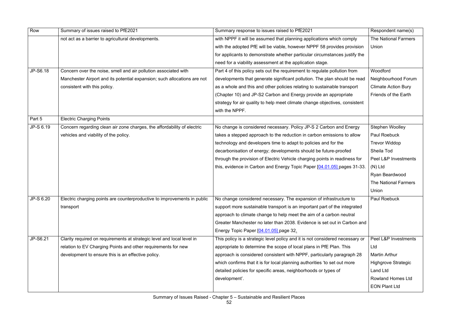| Row       | Summary of issues raised to PfE2021                                                                                                           | Summary response to issues raised to PfE2021                                  | Respondent name(s)          |
|-----------|-----------------------------------------------------------------------------------------------------------------------------------------------|-------------------------------------------------------------------------------|-----------------------------|
|           | not act as a barrier to agricultural developments.                                                                                            | with NPPF it will be assumed that planning applications which comply          | <b>The National Farmers</b> |
|           |                                                                                                                                               | with the adopted PfE will be viable, however NPPF 58 provides provision       | Union                       |
|           |                                                                                                                                               | for applicants to demonstrate whether particular circumstances justify the    |                             |
|           |                                                                                                                                               | need for a viability assessment at the application stage.                     |                             |
| JP-S6.18  | Concern over the noise, smell and air pollution associated with                                                                               | Part 4 of this policy sets out the requirement to regulate pollution from     | Woodford                    |
|           | Manchester Airport and its potential expansion; such allocations are not                                                                      | developments that generate significant pollution. The plan should be read     | Neighbourhood Forum         |
|           | consistent with this policy.                                                                                                                  | as a whole and this and other policies relating to sustainable transport      | <b>Climate Action Bury</b>  |
|           |                                                                                                                                               | (Chapter 10) and JP-S2 Carbon and Energy provide an appropriate               | Friends of the Earth        |
|           |                                                                                                                                               | strategy for air quality to help meet climate change objectives, consistent   |                             |
|           |                                                                                                                                               | with the NPPF.                                                                |                             |
| Part 5    | <b>Electric Charging Points</b>                                                                                                               |                                                                               |                             |
| JP-S 6.19 | Concern regarding clean air zone charges, the affordability of electric                                                                       | No change is considered necessary. Policy JP-S 2 Carbon and Energy            | Stephen Woolley             |
|           | vehicles and viability of the policy.                                                                                                         | takes a stepped approach to the reduction in carbon emissions to allow        | <b>Paul Roebuck</b>         |
|           |                                                                                                                                               | technology and developers time to adapt to policies and for the               | <b>Trevor Widdop</b>        |
|           |                                                                                                                                               | decarbonisation of energy; developments should be future-proofed              | Sheila Tod                  |
|           |                                                                                                                                               | through the provision of Electric Vehicle charging points in readiness for    | Peel L&P Investments        |
|           |                                                                                                                                               | this, evidence in Carbon and Energy Topic Paper [04.01.05] pages 31-33.       | $(N)$ Ltd                   |
|           |                                                                                                                                               |                                                                               | Ryan Beardwood              |
|           |                                                                                                                                               |                                                                               | <b>The National Farmers</b> |
|           |                                                                                                                                               |                                                                               | Union                       |
| JP-S 6.20 | Electric charging points are counterproductive to improvements in public   No change considered necessary. The expansion of infrastructure to |                                                                               | <b>Paul Roebuck</b>         |
|           | transport                                                                                                                                     | support more sustainable transport is an important part of the integrated     |                             |
|           |                                                                                                                                               | approach to climate change to help meet the aim of a carbon neutral           |                             |
|           |                                                                                                                                               | Greater Manchester no later than 2038. Evidence is set out in Carbon and      |                             |
|           |                                                                                                                                               | Energy Topic Paper [04.01.05] page 32.                                        |                             |
| JP-S6.21  | Clarity required on requirements at strategic level and local level in                                                                        | This policy is a strategic level policy and it is not considered necessary or | Peel L&P Investments        |
|           | relation to EV Charging Points and other requirements for new                                                                                 | appropriate to determine the scope of local plans in PfE Plan. This           | Ltd                         |
|           | development to ensure this is an effective policy.                                                                                            | approach is considered consistent with NPPF, particularly paragraph 28        | <b>Martin Arthur</b>        |
|           |                                                                                                                                               | which confirms that it is for local planning authorities 'to set out more     | <b>Highgrove Strategic</b>  |
|           |                                                                                                                                               | detailed policies for specific areas, neighborhoods or types of               | <b>Land Ltd</b>             |
|           |                                                                                                                                               | development'.                                                                 | <b>Rowland Homes Ltd</b>    |
|           |                                                                                                                                               |                                                                               | <b>EON Plant Ltd</b>        |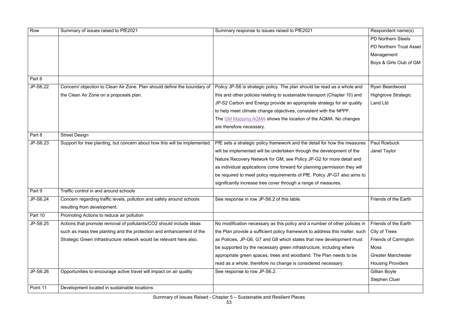| Row      | Summary of issues raised to PfE2021                                        | Summary response to issues raised to PfE2021                                | Respondent name(s)           |
|----------|----------------------------------------------------------------------------|-----------------------------------------------------------------------------|------------------------------|
|          |                                                                            |                                                                             | <b>PD Northern Steels</b>    |
|          |                                                                            |                                                                             | PD Northern Trust Asset      |
|          |                                                                            |                                                                             | Management                   |
|          |                                                                            |                                                                             | Boys & Girls Club of GM      |
|          |                                                                            |                                                                             |                              |
| Part 6   |                                                                            |                                                                             |                              |
| JP-S6.22 | Concern/ objection to Clean Air Zone. Plan should define the boundary of   | Policy JP-S6 is strategic policy. The plan should be read as a whole and    | Ryan Beardwood               |
|          | the Clean Air Zone on a proposals plan.                                    | this and other policies relating to sustainable transport (Chapter 10) and  | <b>Highgrove Strategic</b>   |
|          |                                                                            | JP-S2 Carbon and Energy provide an appropriate strategy for air quality     | <b>Land Ltd</b>              |
|          |                                                                            | to help meet climate change objectives, consistent with the NPPF.           |                              |
|          |                                                                            | The GM Mapping AQMA shows the location of the AQMA. No changes              |                              |
|          |                                                                            | are therefore necessary.                                                    |                              |
| Part 8   | <b>Street Design</b>                                                       |                                                                             |                              |
| JP-S6.23 | Support for tree planting, but concern about how this will be implemented. | PfE sets a strategic policy framework and the detail for how the measures   | <b>Paul Roebuck</b>          |
|          |                                                                            | will be implemented will be undertaken through the development of the       | Janet Taylor                 |
|          |                                                                            | Nature Recovery Network for GM, see Policy JP-G2 for more detail and        |                              |
|          |                                                                            | as individual applications come forward for planning permission they will   |                              |
|          |                                                                            | be required to meet policy requirements of PfE. Policy JP-G7 also aims to   |                              |
|          |                                                                            | significantly increase tree cover through a range of measures.              |                              |
| Part 9   | Traffic control in and around schools                                      |                                                                             |                              |
| JP-S6.24 | Concern regarding traffic levels, pollution and safety around schools      | See response in row JP-S6.2 of this table.                                  | <b>Friends of the Earth</b>  |
|          | resulting from development.                                                |                                                                             |                              |
| Part 10  | Promoting Actions to reduce air pollution                                  |                                                                             |                              |
| JP-S6.25 | Actions that promote removal of pollutants/CO2 should include ideas        | No modification necessary as this policy and a number of other policies in  | Friends of the Earth         |
|          | such as mass tree planting and the protection and enhancement of the       | the Plan provide a sufficient policy framework to address this matter, such | <b>City of Trees</b>         |
|          | Strategic Green Infrastructure network would be relevant here also.        | as Policies, JP-G6, G7 and G8 which states that new development must        | <b>Friends of Carrington</b> |
|          |                                                                            | be supported by the necessary green infrastructure, including where         | Moss                         |
|          |                                                                            | appropriate green spaces, trees and woodland. The Plan needs to be          | <b>Greater Manchester</b>    |
|          |                                                                            | read as a whole, therefore no change is considered necessary.               | <b>Housing Providers</b>     |
| JP-S6.26 | Opportunities to encourage active travel will impact on air quality        | See response to row JP-S6.2.                                                | Gillian Boyle                |
|          |                                                                            |                                                                             | <b>Stephen Cluer</b>         |
| Point 11 | Development located in sustainable locations                               |                                                                             |                              |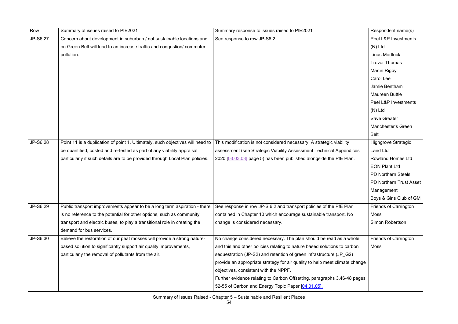| Row      | Summary of issues raised to PfE2021                                            | Summary response to issues raised to PfE2021                                | Respondent name(s)             |
|----------|--------------------------------------------------------------------------------|-----------------------------------------------------------------------------|--------------------------------|
| JP-S6.27 | Concern about development in suburban / not sustainable locations and          | See response to row JP-S6.2.                                                | Peel L&P Investments           |
|          | on Green Belt will lead to an increase traffic and congestion/ commuter        |                                                                             | $(N)$ Ltd                      |
|          | pollution.                                                                     |                                                                             | <b>Linus Mortlock</b>          |
|          |                                                                                |                                                                             | <b>Trevor Thomas</b>           |
|          |                                                                                |                                                                             | <b>Martin Rigby</b>            |
|          |                                                                                |                                                                             | Carol Lee                      |
|          |                                                                                |                                                                             | Jamie Bentham                  |
|          |                                                                                |                                                                             | <b>Maureen Buttle</b>          |
|          |                                                                                |                                                                             | Peel L&P Investments           |
|          |                                                                                |                                                                             | $(N)$ Ltd                      |
|          |                                                                                |                                                                             | <b>Save Greater</b>            |
|          |                                                                                |                                                                             | <b>Manchester's Green</b>      |
|          |                                                                                |                                                                             | <b>Belt</b>                    |
| JP-S6.28 | Point 11 is a duplication of point 1. Ultimately, such objectives will need to | This modification is not considered necessary. A strategic viability        | <b>Highgrove Strategic</b>     |
|          | be quantified, costed and re-tested as part of any viability appraisal         | assessment (see Strategic Viability Assessment Technical Appendices         | <b>Land Ltd</b>                |
|          | particularly if such details are to be provided through Local Plan policies.   | 2020 [03.03.03] page 5) has been published alongside the PfE Plan.          | <b>Rowland Homes Ltd</b>       |
|          |                                                                                |                                                                             | <b>EON Plant Ltd</b>           |
|          |                                                                                |                                                                             | <b>PD Northern Steels</b>      |
|          |                                                                                |                                                                             | <b>PD Northern Trust Asset</b> |
|          |                                                                                |                                                                             | Management                     |
|          |                                                                                |                                                                             | Boys & Girls Club of GM        |
| JP-S6.29 | Public transport improvements appear to be a long term aspiration - there      | See response in row JP-S 6.2 and transport policies of the PfE Plan         | <b>Friends of Carrington</b>   |
|          | is no reference to the potential for other options, such as community          | contained in Chapter 10 which encourage sustainable transport. No           | Moss                           |
|          | transport and electric buses, to play a transitional role in creating the      | change is considered necessary.                                             | <b>Simon Robertson</b>         |
|          | demand for bus services.                                                       |                                                                             |                                |
| JP-S6.30 | Believe the restoration of our peat mosses will provide a strong nature-       | No change considered necessary. The plan should be read as a whole          | <b>Friends of Carrington</b>   |
|          | based solution to significantly support air quality improvements,              | and this and other policies relating to nature based solutions to carbon    | Moss                           |
|          | particularly the removal of pollutants from the air.                           | sequestration (JP-S2) and retention of green infrastructure (JP G2)         |                                |
|          |                                                                                | provide an appropriate strategy for air quality to help meet climate change |                                |
|          |                                                                                | objectives, consistent with the NPPF.                                       |                                |
|          |                                                                                | Further evidence relating to Carbon Offsetting, paragraphs 3.46-48 pages    |                                |
|          |                                                                                | 52-55 of Carbon and Energy Topic Paper [04.01.05].                          |                                |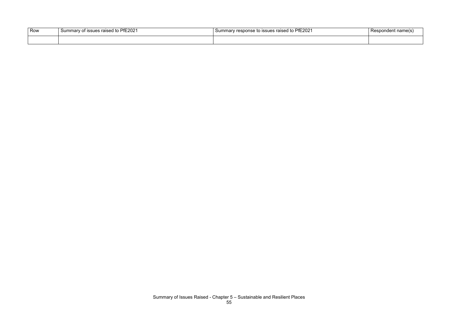| Row | PfE2021<br>$-$<br><b>ISSUES</b><br>to<br><b>Summary</b><br>ິດ ∩<br>- OT<br>Taiscu | s raised to PfE2021<br>.sponse to issues $^{\prime}$ | name |
|-----|-----------------------------------------------------------------------------------|------------------------------------------------------|------|
|     |                                                                                   |                                                      |      |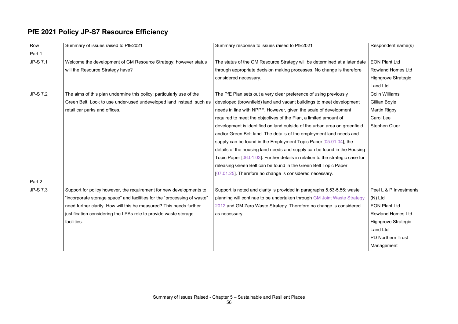### **PfE 2021 Policy JP-S7 Resource Efficiency**

| Row             | Summary of issues raised to PfE2021                                      | Summary response to issues raised to PfE2021                                  | Respondent name(s)         |
|-----------------|--------------------------------------------------------------------------|-------------------------------------------------------------------------------|----------------------------|
| Part 1          |                                                                          |                                                                               |                            |
| <b>JP-S 7.1</b> | Welcome the development of GM Resource Strategy; however status          | The status of the GM Resource Strategy will be determined at a later date     | <b>EON Plant Ltd</b>       |
|                 | will the Resource Strategy have?                                         | through appropriate decision making processes. No change is therefore         | <b>Rowland Homes Ltd</b>   |
|                 |                                                                          | considered necessary.                                                         | <b>Highgrove Strategic</b> |
|                 |                                                                          |                                                                               | <b>Land Ltd</b>            |
| <b>JP-S 7.2</b> | The aims of this plan undermine this policy; particularly use of the     | The PfE Plan sets out a very clear preference of using previously             | <b>Colin Williams</b>      |
|                 | Green Belt. Look to use under-used undeveloped land instead; such as     | developed (brownfield) land and vacant buildings to meet development          | Gillian Boyle              |
|                 | retail car parks and offices.                                            | needs in line with NPPF. However, given the scale of development              | <b>Martin Rigby</b>        |
|                 |                                                                          | required to meet the objectives of the Plan, a limited amount of              | Carol Lee                  |
|                 |                                                                          | development is identified on land outside of the urban area on greenfield     | <b>Stephen Cluer</b>       |
|                 |                                                                          | and/or Green Belt land. The details of the employment land needs and          |                            |
|                 |                                                                          | supply can be found in the Employment Topic Paper [05.01.04], the             |                            |
|                 |                                                                          | details of the housing land needs and supply can be found in the Housing      |                            |
|                 |                                                                          | Topic Paper [06.01.03]. Further details in relation to the strategic case for |                            |
|                 |                                                                          | releasing Green Belt can be found in the Green Belt Topic Paper               |                            |
|                 |                                                                          | [07.01.25]. Therefore no change is considered necessary.                      |                            |
| Part 2          |                                                                          |                                                                               |                            |
| JP-S 7.3        | Support for policy however, the requirement for new developments to      | Support is noted and clarity is provided in paragraphs 5.53-5.56; waste       | Peel L & P Investments     |
|                 | "incorporate storage space" and facilities for the "processing of waste" | planning will continue to be undertaken through GM Joint Waste Strategy       | $(N)$ Ltd                  |
|                 | need further clarity. How will this be measured? This needs further      | 2012 and GM Zero Waste Strategy. Therefore no change is considered            | <b>EON Plant Ltd</b>       |
|                 | justification considering the LPAs role to provide waste storage         | as necessary.                                                                 | <b>Rowland Homes Ltd</b>   |
|                 | facilities.                                                              |                                                                               | <b>Highgrove Strategic</b> |
|                 |                                                                          |                                                                               | <b>Land Ltd</b>            |
|                 |                                                                          |                                                                               | PD Northern Trust          |
|                 |                                                                          |                                                                               | Management                 |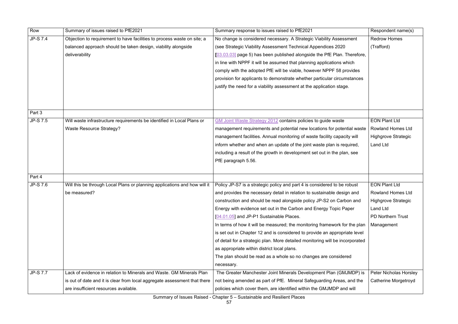| <b>JP-S 7.4</b><br>No change is considered necessary. A Strategic Viability Assessment<br><b>Redrow Homes</b><br>Objection to requirement to have facilities to process waste on site; a<br>balanced approach should be taken design, viability alongside<br>(see Strategic Viability Assessment Technical Appendices 2020<br>(Trafford)<br>deliverability<br>[03.03.03] page 5) has been published alongside the PfE Plan. Therefore,<br>in line with NPPF it will be assumed that planning applications which<br>comply with the adopted PfE will be viable, however NPPF 58 provides<br>provision for applicants to demonstrate whether particular circumstances<br>justify the need for a viability assessment at the application stage.<br>Part 3<br>JP-S 7.5<br>Will waste infrastructure requirements be identified in Local Plans or<br><b>EON Plant Ltd</b><br><b>GM Joint Waste Strategy 2012 contains policies to guide waste</b><br><b>Waste Resource Strategy?</b><br><b>Rowland Homes Ltd</b><br>management requirements and potential new locations for potential waste<br>management facilities. Annual monitoring of waste facility capacity will<br><b>Highgrove Strategic</b><br><b>Land Ltd</b><br>inform whether and when an update of the joint waste plan is required,<br>including a result of the growth in development set out in the plan, see<br>PfE paragraph 5.56.<br>Part 4<br>JP-S 7.6<br>Will this be through Local Plans or planning applications and how will it<br>Policy JP-S7 is a strategic policy and part 4 is considered to be robust<br><b>EON Plant Ltd</b><br>and provides the necessary detail in relation to sustainable design and<br><b>Rowland Homes Ltd</b><br>be measured?<br>construction and should be read alongside policy JP-S2 on Carbon and<br><b>Highgrove Strategic</b><br>Land Ltd<br>Energy with evidence set out in the Carbon and Energy Topic Paper<br><b>PD Northern Trust</b><br>[04.01.05] and JP-P1 Sustainable Places.<br>In terms of how it will be measured; the monitoring framework for the plan<br>Management<br>is set out in Chapter 12 and is considered to provide an appropriate level<br>of detail for a strategic plan. More detailed monitoring will be incorporated<br>as appropriate within district local plans.<br>The plan should be read as a whole so no changes are considered<br>necessary.<br><b>JP-S 7.7</b><br>Lack of evidence in relation to Minerals and Waste. GM Minerals Plan<br>The Greater Manchester Joint Minerals Development Plan (GMJMDP) is<br>Peter Nicholas Horsk<br>is out of date and it is clear from local aggregate assessment that there<br>not being amended as part of PfE. Mineral Safeguarding Areas, and the<br>Catherine Morgetroy<br>are insufficient resources available.<br>policies which cover them, are identified within the GMJMDP and will | Row | Summary of issues raised to PfE2021 | Summary response to issues raised to PfE2021 | Respondent name(s) |
|---------------------------------------------------------------------------------------------------------------------------------------------------------------------------------------------------------------------------------------------------------------------------------------------------------------------------------------------------------------------------------------------------------------------------------------------------------------------------------------------------------------------------------------------------------------------------------------------------------------------------------------------------------------------------------------------------------------------------------------------------------------------------------------------------------------------------------------------------------------------------------------------------------------------------------------------------------------------------------------------------------------------------------------------------------------------------------------------------------------------------------------------------------------------------------------------------------------------------------------------------------------------------------------------------------------------------------------------------------------------------------------------------------------------------------------------------------------------------------------------------------------------------------------------------------------------------------------------------------------------------------------------------------------------------------------------------------------------------------------------------------------------------------------------------------------------------------------------------------------------------------------------------------------------------------------------------------------------------------------------------------------------------------------------------------------------------------------------------------------------------------------------------------------------------------------------------------------------------------------------------------------------------------------------------------------------------------------------------------------------------------------------------------------------------------------------------------------------------------------------------------------------------------------------------------------------------------------------------------------------------------------------------------------------------------------------------------------------------------------------------------------------------------------------------------------------------------------------------------------------------------|-----|-------------------------------------|----------------------------------------------|--------------------|
|                                                                                                                                                                                                                                                                                                                                                                                                                                                                                                                                                                                                                                                                                                                                                                                                                                                                                                                                                                                                                                                                                                                                                                                                                                                                                                                                                                                                                                                                                                                                                                                                                                                                                                                                                                                                                                                                                                                                                                                                                                                                                                                                                                                                                                                                                                                                                                                                                                                                                                                                                                                                                                                                                                                                                                                                                                                                                 |     |                                     |                                              |                    |
|                                                                                                                                                                                                                                                                                                                                                                                                                                                                                                                                                                                                                                                                                                                                                                                                                                                                                                                                                                                                                                                                                                                                                                                                                                                                                                                                                                                                                                                                                                                                                                                                                                                                                                                                                                                                                                                                                                                                                                                                                                                                                                                                                                                                                                                                                                                                                                                                                                                                                                                                                                                                                                                                                                                                                                                                                                                                                 |     |                                     |                                              |                    |
|                                                                                                                                                                                                                                                                                                                                                                                                                                                                                                                                                                                                                                                                                                                                                                                                                                                                                                                                                                                                                                                                                                                                                                                                                                                                                                                                                                                                                                                                                                                                                                                                                                                                                                                                                                                                                                                                                                                                                                                                                                                                                                                                                                                                                                                                                                                                                                                                                                                                                                                                                                                                                                                                                                                                                                                                                                                                                 |     |                                     |                                              |                    |
|                                                                                                                                                                                                                                                                                                                                                                                                                                                                                                                                                                                                                                                                                                                                                                                                                                                                                                                                                                                                                                                                                                                                                                                                                                                                                                                                                                                                                                                                                                                                                                                                                                                                                                                                                                                                                                                                                                                                                                                                                                                                                                                                                                                                                                                                                                                                                                                                                                                                                                                                                                                                                                                                                                                                                                                                                                                                                 |     |                                     |                                              |                    |
|                                                                                                                                                                                                                                                                                                                                                                                                                                                                                                                                                                                                                                                                                                                                                                                                                                                                                                                                                                                                                                                                                                                                                                                                                                                                                                                                                                                                                                                                                                                                                                                                                                                                                                                                                                                                                                                                                                                                                                                                                                                                                                                                                                                                                                                                                                                                                                                                                                                                                                                                                                                                                                                                                                                                                                                                                                                                                 |     |                                     |                                              |                    |
|                                                                                                                                                                                                                                                                                                                                                                                                                                                                                                                                                                                                                                                                                                                                                                                                                                                                                                                                                                                                                                                                                                                                                                                                                                                                                                                                                                                                                                                                                                                                                                                                                                                                                                                                                                                                                                                                                                                                                                                                                                                                                                                                                                                                                                                                                                                                                                                                                                                                                                                                                                                                                                                                                                                                                                                                                                                                                 |     |                                     |                                              |                    |
|                                                                                                                                                                                                                                                                                                                                                                                                                                                                                                                                                                                                                                                                                                                                                                                                                                                                                                                                                                                                                                                                                                                                                                                                                                                                                                                                                                                                                                                                                                                                                                                                                                                                                                                                                                                                                                                                                                                                                                                                                                                                                                                                                                                                                                                                                                                                                                                                                                                                                                                                                                                                                                                                                                                                                                                                                                                                                 |     |                                     |                                              |                    |
|                                                                                                                                                                                                                                                                                                                                                                                                                                                                                                                                                                                                                                                                                                                                                                                                                                                                                                                                                                                                                                                                                                                                                                                                                                                                                                                                                                                                                                                                                                                                                                                                                                                                                                                                                                                                                                                                                                                                                                                                                                                                                                                                                                                                                                                                                                                                                                                                                                                                                                                                                                                                                                                                                                                                                                                                                                                                                 |     |                                     |                                              |                    |
|                                                                                                                                                                                                                                                                                                                                                                                                                                                                                                                                                                                                                                                                                                                                                                                                                                                                                                                                                                                                                                                                                                                                                                                                                                                                                                                                                                                                                                                                                                                                                                                                                                                                                                                                                                                                                                                                                                                                                                                                                                                                                                                                                                                                                                                                                                                                                                                                                                                                                                                                                                                                                                                                                                                                                                                                                                                                                 |     |                                     |                                              |                    |
|                                                                                                                                                                                                                                                                                                                                                                                                                                                                                                                                                                                                                                                                                                                                                                                                                                                                                                                                                                                                                                                                                                                                                                                                                                                                                                                                                                                                                                                                                                                                                                                                                                                                                                                                                                                                                                                                                                                                                                                                                                                                                                                                                                                                                                                                                                                                                                                                                                                                                                                                                                                                                                                                                                                                                                                                                                                                                 |     |                                     |                                              |                    |
|                                                                                                                                                                                                                                                                                                                                                                                                                                                                                                                                                                                                                                                                                                                                                                                                                                                                                                                                                                                                                                                                                                                                                                                                                                                                                                                                                                                                                                                                                                                                                                                                                                                                                                                                                                                                                                                                                                                                                                                                                                                                                                                                                                                                                                                                                                                                                                                                                                                                                                                                                                                                                                                                                                                                                                                                                                                                                 |     |                                     |                                              |                    |
|                                                                                                                                                                                                                                                                                                                                                                                                                                                                                                                                                                                                                                                                                                                                                                                                                                                                                                                                                                                                                                                                                                                                                                                                                                                                                                                                                                                                                                                                                                                                                                                                                                                                                                                                                                                                                                                                                                                                                                                                                                                                                                                                                                                                                                                                                                                                                                                                                                                                                                                                                                                                                                                                                                                                                                                                                                                                                 |     |                                     |                                              |                    |
|                                                                                                                                                                                                                                                                                                                                                                                                                                                                                                                                                                                                                                                                                                                                                                                                                                                                                                                                                                                                                                                                                                                                                                                                                                                                                                                                                                                                                                                                                                                                                                                                                                                                                                                                                                                                                                                                                                                                                                                                                                                                                                                                                                                                                                                                                                                                                                                                                                                                                                                                                                                                                                                                                                                                                                                                                                                                                 |     |                                     |                                              |                    |
|                                                                                                                                                                                                                                                                                                                                                                                                                                                                                                                                                                                                                                                                                                                                                                                                                                                                                                                                                                                                                                                                                                                                                                                                                                                                                                                                                                                                                                                                                                                                                                                                                                                                                                                                                                                                                                                                                                                                                                                                                                                                                                                                                                                                                                                                                                                                                                                                                                                                                                                                                                                                                                                                                                                                                                                                                                                                                 |     |                                     |                                              |                    |
|                                                                                                                                                                                                                                                                                                                                                                                                                                                                                                                                                                                                                                                                                                                                                                                                                                                                                                                                                                                                                                                                                                                                                                                                                                                                                                                                                                                                                                                                                                                                                                                                                                                                                                                                                                                                                                                                                                                                                                                                                                                                                                                                                                                                                                                                                                                                                                                                                                                                                                                                                                                                                                                                                                                                                                                                                                                                                 |     |                                     |                                              |                    |
|                                                                                                                                                                                                                                                                                                                                                                                                                                                                                                                                                                                                                                                                                                                                                                                                                                                                                                                                                                                                                                                                                                                                                                                                                                                                                                                                                                                                                                                                                                                                                                                                                                                                                                                                                                                                                                                                                                                                                                                                                                                                                                                                                                                                                                                                                                                                                                                                                                                                                                                                                                                                                                                                                                                                                                                                                                                                                 |     |                                     |                                              |                    |
|                                                                                                                                                                                                                                                                                                                                                                                                                                                                                                                                                                                                                                                                                                                                                                                                                                                                                                                                                                                                                                                                                                                                                                                                                                                                                                                                                                                                                                                                                                                                                                                                                                                                                                                                                                                                                                                                                                                                                                                                                                                                                                                                                                                                                                                                                                                                                                                                                                                                                                                                                                                                                                                                                                                                                                                                                                                                                 |     |                                     |                                              |                    |
|                                                                                                                                                                                                                                                                                                                                                                                                                                                                                                                                                                                                                                                                                                                                                                                                                                                                                                                                                                                                                                                                                                                                                                                                                                                                                                                                                                                                                                                                                                                                                                                                                                                                                                                                                                                                                                                                                                                                                                                                                                                                                                                                                                                                                                                                                                                                                                                                                                                                                                                                                                                                                                                                                                                                                                                                                                                                                 |     |                                     |                                              |                    |
|                                                                                                                                                                                                                                                                                                                                                                                                                                                                                                                                                                                                                                                                                                                                                                                                                                                                                                                                                                                                                                                                                                                                                                                                                                                                                                                                                                                                                                                                                                                                                                                                                                                                                                                                                                                                                                                                                                                                                                                                                                                                                                                                                                                                                                                                                                                                                                                                                                                                                                                                                                                                                                                                                                                                                                                                                                                                                 |     |                                     |                                              |                    |
|                                                                                                                                                                                                                                                                                                                                                                                                                                                                                                                                                                                                                                                                                                                                                                                                                                                                                                                                                                                                                                                                                                                                                                                                                                                                                                                                                                                                                                                                                                                                                                                                                                                                                                                                                                                                                                                                                                                                                                                                                                                                                                                                                                                                                                                                                                                                                                                                                                                                                                                                                                                                                                                                                                                                                                                                                                                                                 |     |                                     |                                              |                    |
|                                                                                                                                                                                                                                                                                                                                                                                                                                                                                                                                                                                                                                                                                                                                                                                                                                                                                                                                                                                                                                                                                                                                                                                                                                                                                                                                                                                                                                                                                                                                                                                                                                                                                                                                                                                                                                                                                                                                                                                                                                                                                                                                                                                                                                                                                                                                                                                                                                                                                                                                                                                                                                                                                                                                                                                                                                                                                 |     |                                     |                                              |                    |
|                                                                                                                                                                                                                                                                                                                                                                                                                                                                                                                                                                                                                                                                                                                                                                                                                                                                                                                                                                                                                                                                                                                                                                                                                                                                                                                                                                                                                                                                                                                                                                                                                                                                                                                                                                                                                                                                                                                                                                                                                                                                                                                                                                                                                                                                                                                                                                                                                                                                                                                                                                                                                                                                                                                                                                                                                                                                                 |     |                                     |                                              |                    |
|                                                                                                                                                                                                                                                                                                                                                                                                                                                                                                                                                                                                                                                                                                                                                                                                                                                                                                                                                                                                                                                                                                                                                                                                                                                                                                                                                                                                                                                                                                                                                                                                                                                                                                                                                                                                                                                                                                                                                                                                                                                                                                                                                                                                                                                                                                                                                                                                                                                                                                                                                                                                                                                                                                                                                                                                                                                                                 |     |                                     |                                              |                    |
|                                                                                                                                                                                                                                                                                                                                                                                                                                                                                                                                                                                                                                                                                                                                                                                                                                                                                                                                                                                                                                                                                                                                                                                                                                                                                                                                                                                                                                                                                                                                                                                                                                                                                                                                                                                                                                                                                                                                                                                                                                                                                                                                                                                                                                                                                                                                                                                                                                                                                                                                                                                                                                                                                                                                                                                                                                                                                 |     |                                     |                                              |                    |
|                                                                                                                                                                                                                                                                                                                                                                                                                                                                                                                                                                                                                                                                                                                                                                                                                                                                                                                                                                                                                                                                                                                                                                                                                                                                                                                                                                                                                                                                                                                                                                                                                                                                                                                                                                                                                                                                                                                                                                                                                                                                                                                                                                                                                                                                                                                                                                                                                                                                                                                                                                                                                                                                                                                                                                                                                                                                                 |     |                                     |                                              |                    |
|                                                                                                                                                                                                                                                                                                                                                                                                                                                                                                                                                                                                                                                                                                                                                                                                                                                                                                                                                                                                                                                                                                                                                                                                                                                                                                                                                                                                                                                                                                                                                                                                                                                                                                                                                                                                                                                                                                                                                                                                                                                                                                                                                                                                                                                                                                                                                                                                                                                                                                                                                                                                                                                                                                                                                                                                                                                                                 |     |                                     |                                              |                    |
|                                                                                                                                                                                                                                                                                                                                                                                                                                                                                                                                                                                                                                                                                                                                                                                                                                                                                                                                                                                                                                                                                                                                                                                                                                                                                                                                                                                                                                                                                                                                                                                                                                                                                                                                                                                                                                                                                                                                                                                                                                                                                                                                                                                                                                                                                                                                                                                                                                                                                                                                                                                                                                                                                                                                                                                                                                                                                 |     |                                     |                                              |                    |
|                                                                                                                                                                                                                                                                                                                                                                                                                                                                                                                                                                                                                                                                                                                                                                                                                                                                                                                                                                                                                                                                                                                                                                                                                                                                                                                                                                                                                                                                                                                                                                                                                                                                                                                                                                                                                                                                                                                                                                                                                                                                                                                                                                                                                                                                                                                                                                                                                                                                                                                                                                                                                                                                                                                                                                                                                                                                                 |     |                                     |                                              |                    |
|                                                                                                                                                                                                                                                                                                                                                                                                                                                                                                                                                                                                                                                                                                                                                                                                                                                                                                                                                                                                                                                                                                                                                                                                                                                                                                                                                                                                                                                                                                                                                                                                                                                                                                                                                                                                                                                                                                                                                                                                                                                                                                                                                                                                                                                                                                                                                                                                                                                                                                                                                                                                                                                                                                                                                                                                                                                                                 |     |                                     |                                              |                    |
|                                                                                                                                                                                                                                                                                                                                                                                                                                                                                                                                                                                                                                                                                                                                                                                                                                                                                                                                                                                                                                                                                                                                                                                                                                                                                                                                                                                                                                                                                                                                                                                                                                                                                                                                                                                                                                                                                                                                                                                                                                                                                                                                                                                                                                                                                                                                                                                                                                                                                                                                                                                                                                                                                                                                                                                                                                                                                 |     |                                     |                                              |                    |
|                                                                                                                                                                                                                                                                                                                                                                                                                                                                                                                                                                                                                                                                                                                                                                                                                                                                                                                                                                                                                                                                                                                                                                                                                                                                                                                                                                                                                                                                                                                                                                                                                                                                                                                                                                                                                                                                                                                                                                                                                                                                                                                                                                                                                                                                                                                                                                                                                                                                                                                                                                                                                                                                                                                                                                                                                                                                                 |     |                                     |                                              |                    |
|                                                                                                                                                                                                                                                                                                                                                                                                                                                                                                                                                                                                                                                                                                                                                                                                                                                                                                                                                                                                                                                                                                                                                                                                                                                                                                                                                                                                                                                                                                                                                                                                                                                                                                                                                                                                                                                                                                                                                                                                                                                                                                                                                                                                                                                                                                                                                                                                                                                                                                                                                                                                                                                                                                                                                                                                                                                                                 |     |                                     |                                              |                    |

|             | Respondent name(s)         |
|-------------|----------------------------|
| ment        | Redrow Homes               |
|             | (Trafford)                 |
| Therefore,  |                            |
| hich        |                            |
| ovides      |                            |
| าstances    |                            |
| э.          |                            |
|             |                            |
|             |                            |
|             |                            |
|             | <b>EON Plant Ltd</b>       |
| itial waste | <b>Rowland Homes Ltd</b>   |
| ity will    | <b>Highgrove Strategic</b> |
| quired,     | <b>Land Ltd</b>            |
| n, see      |                            |
|             |                            |
|             |                            |
|             |                            |
| obust       | <b>EON Plant Ltd</b>       |
| yn and      | <b>Rowland Homes Ltd</b>   |
| ∘on and     | Highgrove Strategic        |
| aper        | <b>Land Ltd</b>            |
|             | <b>PD Northern Trust</b>   |
| r the plan  | Management                 |
| ate level   |                            |
| prporated   |                            |
|             |                            |
| ed          |                            |
|             |                            |
| JMDP) is    | Peter Nicholas Horsley     |
| and the     | Catherine Morgetroyd       |
| lliw t      |                            |
|             |                            |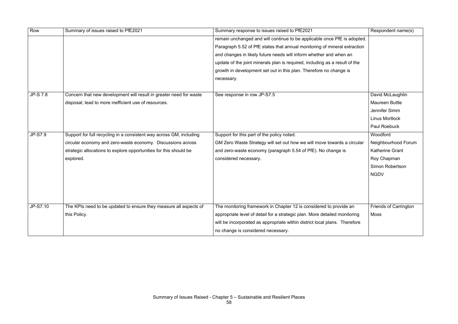| Row             | Summary of issues raised to PfE2021                                 | Summary response to issues raised to PfE2021                                | Respondent name(s)           |
|-----------------|---------------------------------------------------------------------|-----------------------------------------------------------------------------|------------------------------|
|                 |                                                                     | remain unchanged and will continue to be applicable once PfE is adopted.    |                              |
|                 |                                                                     | Paragraph 5.52 of PfE states that annual monitoring of mineral extraction   |                              |
|                 |                                                                     | and changes in likely future needs will inform whether and when an          |                              |
|                 |                                                                     | update of the joint minerals plan is required, including as a result of the |                              |
|                 |                                                                     | growth in development set out in this plan. Therefore no change is          |                              |
|                 |                                                                     | necessary.                                                                  |                              |
|                 |                                                                     |                                                                             |                              |
| <b>JP-S 7.8</b> | Concern that new development will result in greater need for waste  | See response in row JP-S7.5                                                 | David McLaughlin             |
|                 | disposal; lead to more inefficient use of resources.                |                                                                             | <b>Maureen Buttle</b>        |
|                 |                                                                     |                                                                             | Jennifer Simm                |
|                 |                                                                     |                                                                             | <b>Linus Mortlock</b>        |
|                 |                                                                     |                                                                             | Paul Roebuck                 |
| <b>JP-S7.9</b>  | Support for full recycling in a consistent way across GM, including | Support for this part of the policy noted.                                  | Woodford                     |
|                 | circular economy and zero-waste economy. Discussions across         | GM Zero Waste Strategy will set out how we will move towards a circular     | Neighbourhood Forum          |
|                 | strategic allocations to explore opportunities for this should be   | and zero-waste economy (paragraph 5.54 of PfE). No change is                | <b>Katherine Grant</b>       |
|                 | explored.                                                           | considered necessary.                                                       | Roy Chapman                  |
|                 |                                                                     |                                                                             | <b>Simon Robertson</b>       |
|                 |                                                                     |                                                                             | <b>NGDV</b>                  |
|                 |                                                                     |                                                                             |                              |
|                 |                                                                     |                                                                             |                              |
|                 |                                                                     |                                                                             |                              |
| JP-S7.10        | The KPIs need to be updated to ensure they measure all aspects of   | The monitoring framework in Chapter 12 is considered to provide an          | <b>Friends of Carrington</b> |
|                 | this Policy.                                                        | appropriate level of detail for a strategic plan. More detailed monitoring  | Moss                         |
|                 |                                                                     | will be incorporated as appropriate within district local plans. Therefore  |                              |
|                 |                                                                     | no change is considered necessary.                                          |                              |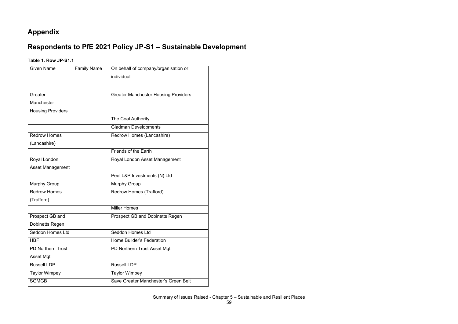#### **Appendix**

### **Respondents to PfE 2021 Policy JP-S1 – Sustainable Development**

#### **Table 1. Row JP-S1.1**

| <b>Given Name</b>        | <b>Family Name</b> | On behalf of company/organisation or        |
|--------------------------|--------------------|---------------------------------------------|
|                          |                    | individual                                  |
|                          |                    |                                             |
| Greater                  |                    | <b>Greater Manchester Housing Providers</b> |
| Manchester               |                    |                                             |
| <b>Housing Providers</b> |                    |                                             |
|                          |                    | <b>The Coal Authority</b>                   |
|                          |                    |                                             |
|                          |                    | <b>Gladman Developments</b>                 |
| <b>Redrow Homes</b>      |                    | Redrow Homes (Lancashire)                   |
| (Lancashire)             |                    |                                             |
|                          |                    | Friends of the Earth                        |
| Royal London             |                    | Royal London Asset Management               |
| <b>Asset Management</b>  |                    |                                             |
|                          |                    | Peel L&P Investments (N) Ltd                |
| <b>Murphy Group</b>      |                    | <b>Murphy Group</b>                         |
| <b>Redrow Homes</b>      |                    | Redrow Homes (Trafford)                     |
| (Trafford)               |                    |                                             |
|                          |                    | <b>Miller Homes</b>                         |
| Prospect GB and          |                    | <b>Prospect GB and Dobinetts Regen</b>      |
| <b>Dobinetts Regen</b>   |                    |                                             |
| Seddon Homes Ltd         |                    | Seddon Homes Ltd                            |
| <b>HBF</b>               |                    | <b>Home Builder's Federation</b>            |
| <b>PD Northern Trust</b> |                    | PD Northern Trust Asset Mgt                 |
| <b>Asset Mgt</b>         |                    |                                             |
| <b>Russell LDP</b>       |                    | <b>Russell LDP</b>                          |
| <b>Taylor Wimpey</b>     |                    | <b>Taylor Wimpey</b>                        |
| <b>SGMGB</b>             |                    | Save Greater Manchester's Green Belt        |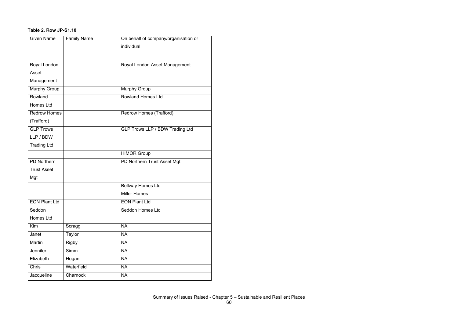#### **Table 2. Row JP-S1.10**

| <b>Given Name</b>    | <b>Family Name</b> | On behalf of company/organisation or   |
|----------------------|--------------------|----------------------------------------|
|                      |                    | individual                             |
|                      |                    |                                        |
| Royal London         |                    | Royal London Asset Management          |
| Asset                |                    |                                        |
| Management           |                    |                                        |
| <b>Murphy Group</b>  |                    | <b>Murphy Group</b>                    |
| Rowland              |                    | <b>Rowland Homes Ltd</b>               |
| <b>Homes Ltd</b>     |                    |                                        |
| <b>Redrow Homes</b>  |                    | Redrow Homes (Trafford)                |
| (Trafford)           |                    |                                        |
| <b>GLP Trows</b>     |                    | <b>GLP Trows LLP / BDW Trading Ltd</b> |
| LLP/BDW              |                    |                                        |
| <b>Trading Ltd</b>   |                    |                                        |
|                      |                    | <b>HIMOR Group</b>                     |
| <b>PD Northern</b>   |                    | PD Northern Trust Asset Mgt            |
| <b>Trust Asset</b>   |                    |                                        |
| Mgt                  |                    |                                        |
|                      |                    | <b>Bellway Homes Ltd</b>               |
|                      |                    | <b>Miller Homes</b>                    |
| <b>EON Plant Ltd</b> |                    | <b>EON Plant Ltd</b>                   |
| Seddon               |                    | <b>Seddon Homes Ltd</b>                |
| <b>Homes Ltd</b>     |                    |                                        |
| Kim                  | Scragg             | <b>NA</b>                              |
| Janet                | <b>Taylor</b>      | <b>NA</b>                              |
| Martin               | <b>Rigby</b>       | <b>NA</b>                              |
| Jennifer             | Simm               | <b>NA</b>                              |
| Elizabeth            | Hogan              | <b>NA</b>                              |
| Chris                | Waterfield         | <b>NA</b>                              |
| Jacqueline           | Charnock           | <b>NA</b>                              |
|                      |                    |                                        |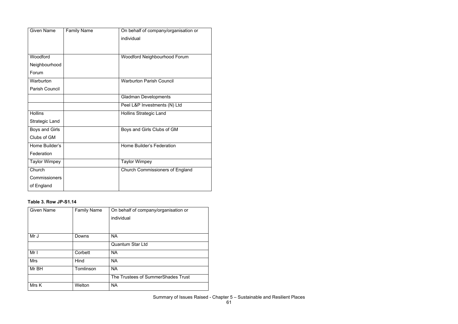| <b>Given Name</b>     | <b>Family Name</b> | On behalf of company/organisation or   |
|-----------------------|--------------------|----------------------------------------|
|                       |                    | individual                             |
|                       |                    |                                        |
| Woodford              |                    | Woodford Neighbourhood Forum           |
|                       |                    |                                        |
| Neighbourhood         |                    |                                        |
| Forum                 |                    |                                        |
| Warburton             |                    | <b>Warburton Parish Council</b>        |
| <b>Parish Council</b> |                    |                                        |
|                       |                    | <b>Gladman Developments</b>            |
|                       |                    | Peel L&P Investments (N) Ltd           |
| <b>Hollins</b>        |                    | <b>Hollins Strategic Land</b>          |
| <b>Strategic Land</b> |                    |                                        |
| <b>Boys and Girls</b> |                    | Boys and Girls Clubs of GM             |
| Clubs of GM           |                    |                                        |
| Home Builder's        |                    | <b>Home Builder's Federation</b>       |
| Federation            |                    |                                        |
| <b>Taylor Wimpey</b>  |                    | <b>Taylor Wimpey</b>                   |
| Church                |                    | <b>Church Commissioners of England</b> |
| Commissioners         |                    |                                        |
| of England            |                    |                                        |

#### **Table 3. Row JP-S1.14**

| <b>Given Name</b> | <b>Family Name</b> | On behalf of company/organisation or |
|-------------------|--------------------|--------------------------------------|
|                   |                    | individual                           |
|                   |                    |                                      |
| Mr J              | Downs              | <b>NA</b>                            |
|                   |                    | <b>Quantum Star Ltd</b>              |
| Mr I              | Corbett            | <b>NA</b>                            |
| <b>Mrs</b>        | Hind               | <b>NA</b>                            |
| Mr BH             | Tomlinson          | <b>NA</b>                            |
|                   |                    | The Trustees of SummerShades Trust   |
| Mrs K             | Welton             | <b>NA</b>                            |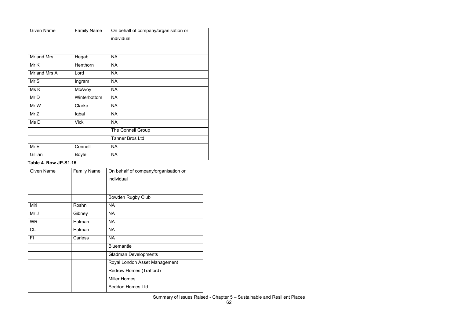| <b>Given Name</b> | <b>Family Name</b> | On behalf of company/organisation or |
|-------------------|--------------------|--------------------------------------|
|                   |                    | individual                           |
|                   |                    |                                      |
| Mr and Mrs        | Hegab              | <b>NA</b>                            |
| Mr K              | Henthorn           | <b>NA</b>                            |
| Mr and Mrs A      | Lord               | <b>NA</b>                            |
| Mr S              | Ingram             | <b>NA</b>                            |
| Ms K              | McAvoy             | <b>NA</b>                            |
| Mr D              | Winterbottom       | <b>NA</b>                            |
| Mr W              | Clarke             | <b>NA</b>                            |
| Mr Z              | Iqbal              | <b>NA</b>                            |
| Ms D              | <b>Vick</b>        | <b>NA</b>                            |
|                   |                    | <b>The Connell Group</b>             |
|                   |                    | <b>Tanner Bros Ltd</b>               |
| Mr E              | Connell            | <b>NA</b>                            |
| Gillian           | <b>Boyle</b>       | <b>NA</b>                            |

#### **Table 4. Row JP-S1.15**

| <b>Given Name</b> | <b>Family Name</b> | On behalf of company/organisation or |
|-------------------|--------------------|--------------------------------------|
|                   |                    | individual                           |
|                   |                    |                                      |
|                   |                    | <b>Bowden Rugby Club</b>             |
| Miri              | Roshni             | <b>NA</b>                            |
| Mr J              | Gibney             | <b>NA</b>                            |
| <b>WR</b>         | Halman             | <b>NA</b>                            |
| <b>CL</b>         | Halman             | <b>NA</b>                            |
| FI                | Carless            | <b>NA</b>                            |
|                   |                    | <b>Bluemantle</b>                    |
|                   |                    | <b>Gladman Developments</b>          |
|                   |                    | Royal London Asset Management        |
|                   |                    | Redrow Homes (Trafford)              |
|                   |                    | <b>Miller Homes</b>                  |
|                   |                    | Seddon Homes Ltd                     |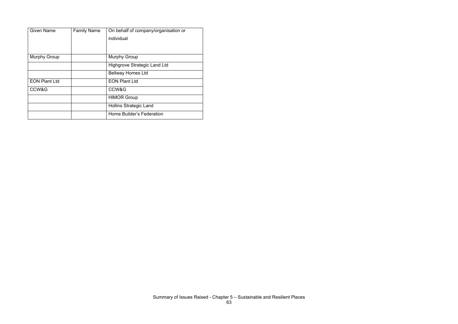| <b>Given Name</b>    | <b>Family Name</b> | On behalf of company/organisation or |
|----------------------|--------------------|--------------------------------------|
|                      |                    | individual                           |
|                      |                    |                                      |
|                      |                    |                                      |
| <b>Murphy Group</b>  |                    | <b>Murphy Group</b>                  |
|                      |                    | <b>Highgrove Strategic Land Ltd</b>  |
|                      |                    | <b>Bellway Homes Ltd</b>             |
| <b>EON Plant Ltd</b> |                    | <b>EON Plant Ltd</b>                 |
| CCW&G                |                    | CCW&G                                |
|                      |                    | <b>HIMOR Group</b>                   |
|                      |                    | <b>Hollins Strategic Land</b>        |
|                      |                    | Home Builder's Federation            |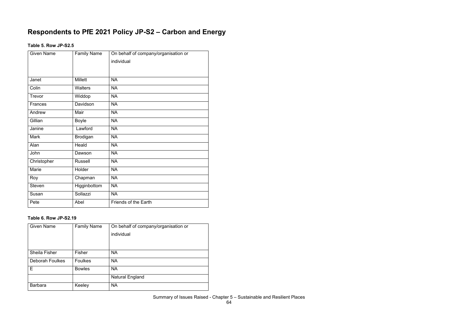### **Respondents to PfE 2021 Policy JP-S2 – Carbon and Energy**

#### **Table 5. Row JP-S2.5**

| <b>Given Name</b> | <b>Family Name</b> | On behalf of company/organisation or |
|-------------------|--------------------|--------------------------------------|
|                   |                    | individual                           |
|                   |                    |                                      |
|                   |                    |                                      |
| Janet             | <b>Millett</b>     | <b>NA</b>                            |
| Colin             | <b>Walters</b>     | <b>NA</b>                            |
| Trevor            | Widdop             | <b>NA</b>                            |
| <b>Frances</b>    | Davidson           | <b>NA</b>                            |
| Andrew            | Mair               | <b>NA</b>                            |
| Gillian           | <b>Boyle</b>       | <b>NA</b>                            |
| Janine            | Lawford            | <b>NA</b>                            |
| <b>Mark</b>       | <b>Brodigan</b>    | <b>NA</b>                            |
| Alan              | Heald              | <b>NA</b>                            |
| John              | Dawson             | <b>NA</b>                            |
| Christopher       | <b>Russell</b>     | <b>NA</b>                            |
| Marie             | Holder             | <b>NA</b>                            |
| Roy               | Chapman            | <b>NA</b>                            |
| <b>Steven</b>     | Higginbottom       | <b>NA</b>                            |
| Susan             | Sollazzi           | <b>NA</b>                            |
| Pete              | Abel               | Friends of the Earth                 |

#### **Table 6. Row JP-S2.19**

| <b>Given Name</b>      | <b>Family Name</b> | On behalf of company/organisation or |
|------------------------|--------------------|--------------------------------------|
|                        |                    | individual                           |
|                        |                    |                                      |
|                        |                    |                                      |
| <b>Sheila Fisher</b>   | Fisher             | <b>NA</b>                            |
| <b>Deborah Foulkes</b> | <b>Foulkes</b>     | <b>NA</b>                            |
| E.                     | <b>Bowles</b>      | <b>NA</b>                            |
|                        |                    | <b>Natural England</b>               |
| <b>Barbara</b>         | Keeley             | <b>NA</b>                            |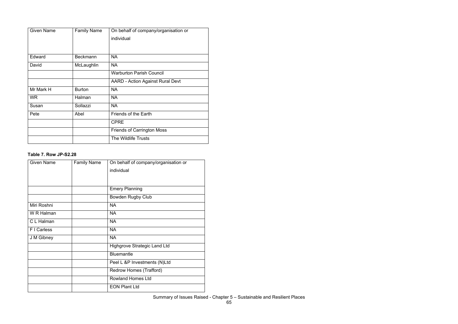| <b>Given Name</b> | <b>Family Name</b> | On behalf of company/organisation or<br>individual |
|-------------------|--------------------|----------------------------------------------------|
|                   |                    |                                                    |
| Edward            | <b>Beckmann</b>    | <b>NA</b>                                          |
| David             | McLaughlin         | <b>NA</b>                                          |
|                   |                    | <b>Warburton Parish Council</b>                    |
|                   |                    | <b>AARD - Action Against Rural Devt</b>            |
| Mr Mark H         | <b>Burton</b>      | <b>NA</b>                                          |
| <b>WR</b>         | Halman             | <b>NA</b>                                          |
| Susan             | Sollazzi           | <b>NA</b>                                          |
| Pete              | Abel               | Friends of the Earth                               |
|                   |                    | <b>CPRE</b>                                        |
|                   |                    | <b>Friends of Carrington Moss</b>                  |
|                   |                    | The Wildlife Trusts                                |

#### **Table 7. Row JP-S2.28**

| <b>Given Name</b> | <b>Family Name</b> | On behalf of company/organisation or |
|-------------------|--------------------|--------------------------------------|
|                   |                    | individual                           |
|                   |                    |                                      |
|                   |                    |                                      |
|                   |                    | <b>Emery Planning</b>                |
|                   |                    | <b>Bowden Rugby Club</b>             |
| Miri Roshni       |                    | <b>NA</b>                            |
| W R Halman        |                    | <b>NA</b>                            |
| C L Halman        |                    | <b>NA</b>                            |
| F I Carless       |                    | <b>NA</b>                            |
| J M Gibney        |                    | <b>NA</b>                            |
|                   |                    | <b>Highgrove Strategic Land Ltd</b>  |
|                   |                    | <b>Bluemantle</b>                    |
|                   |                    | Peel L &P Investments (N)Ltd         |
|                   |                    | Redrow Homes (Trafford)              |
|                   |                    | <b>Rowland Homes Ltd</b>             |
|                   |                    | <b>EON Plant Ltd</b>                 |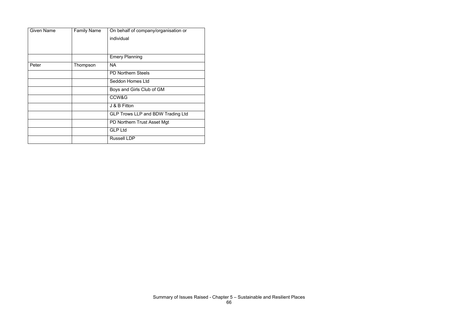| <b>Given Name</b> | <b>Family Name</b> | On behalf of company/organisation or<br>individual |
|-------------------|--------------------|----------------------------------------------------|
|                   |                    | <b>Emery Planning</b>                              |
| Peter             | Thompson           | <b>NA</b>                                          |
|                   |                    | <b>PD Northern Steels</b>                          |
|                   |                    | <b>Seddon Homes Ltd</b>                            |
|                   |                    | Boys and Girls Club of GM                          |
|                   |                    | CCW&G                                              |
|                   |                    | J & B Fitton                                       |
|                   |                    | <b>GLP Trows LLP and BDW Trading Ltd</b>           |
|                   |                    | PD Northern Trust Asset Mgt                        |
|                   |                    | <b>GLP Ltd</b>                                     |
|                   |                    | <b>Russell LDP</b>                                 |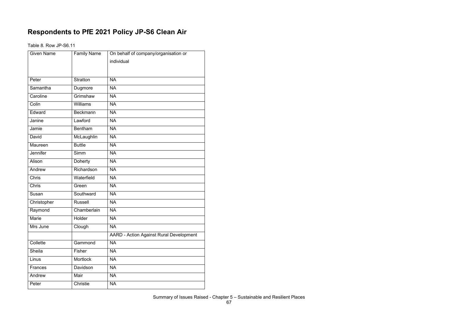### **Respondents to PfE 2021 Policy JP-S6 Clean Air**

Table 8. Row JP-S6.11

| <b>Given Name</b> | Family Name     | On behalf of company/organisation or           |
|-------------------|-----------------|------------------------------------------------|
|                   |                 | individual                                     |
|                   |                 |                                                |
| Peter             | <b>Stratton</b> | <b>NA</b>                                      |
| Samantha          | Dugmore         | <b>NA</b>                                      |
| Caroline          | Grimshaw        | <b>NA</b>                                      |
| Colin             | Williams        | <b>NA</b>                                      |
| Edward            | <b>Beckmann</b> | <b>NA</b>                                      |
| Janine            | Lawford         | <b>NA</b>                                      |
| Jamie             | <b>Bentham</b>  | <b>NA</b>                                      |
| David             | McLaughlin      | <b>NA</b>                                      |
| Maureen           | <b>Buttle</b>   | <b>NA</b>                                      |
| Jennifer          | Simm            | <b>NA</b>                                      |
| Alison            | Doherty         | <b>NA</b>                                      |
| Andrew            | Richardson      | <b>NA</b>                                      |
| <b>Chris</b>      | Waterfield      | <b>NA</b>                                      |
| Chris             | Green           | <b>NA</b>                                      |
| Susan             | Southward       | <b>NA</b>                                      |
| Christopher       | <b>Russell</b>  | <b>NA</b>                                      |
| Raymond           | Chamberlain     | <b>NA</b>                                      |
| Marie             | Holder          | <b>NA</b>                                      |
| Mrs June          | Clough          | <b>NA</b>                                      |
|                   |                 | <b>AARD - Action Against Rural Development</b> |
| Collette          | Gammond         | <b>NA</b>                                      |
| Sheila            | Fisher          | <b>NA</b>                                      |
| Linus             | <b>Mortlock</b> | <b>NA</b>                                      |
| Frances           | Davidson        | <b>NA</b>                                      |
| Andrew            | Mair            | <b>NA</b>                                      |
| Peter             | Christie        | <b>NA</b>                                      |